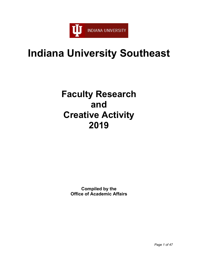

# **Indiana University Southeast**

# **Faculty Research and Creative Activity 2019**

**Compiled by the Office of Academic Affairs**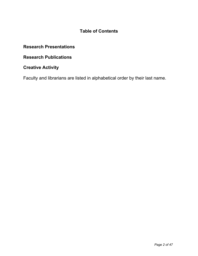# **Table of Contents**

# **Research Presentations**

**Research Publications**

# **Creative Activity**

Faculty and librarians are listed in alphabetical order by their last name.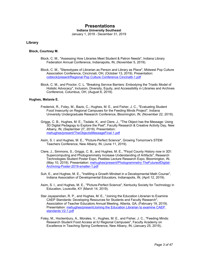# **Presentations**

**Indiana University Southeast**

January 1, 2019 - December 31, 2019

# **Library**

# **Block, Courtney M.**

- Block, C. M., "Assessing How Libraries Meet Student & Patron Needs", Indiana Library Federation Annual Conference, Indianapolis, IN, (November 5, 2019).
- Block, C. M., "Stereotypes of Librarian as Person and Library as Place", Midwest Pop Culture Association Conference, Cincinnati, OH, (October 13, 2019). Presentation: [coblock/present/Regional Pop Culture Conference Cincinatti-1.pdf](https://www.digitalmeasures.com/login/indiana/faculty/survey/ui/showFile?file=Y29ibG9jay9wcmVzZW50L1JlZ2lvbmFsIFBvcCBDdWx0dXJlIENvbmZlcmVuY2UgQ2luY2luYXR0%0AaS0xLnBkZg%3D%3D&surId=17691684&nodeId=1610663&sdId=97553448&sdSurId=17691684&rptId=20237&sgntr=j72Mz%2BcElDoDYc4IkI4TJdZ3Bb4%3D)
- Block, C. M., and Proctor, C. L. "Breaking Service Barriers: Embodying the Triadic Model of Holistic Advocacy", Inclusion, Diversity, Equity, and Accessibility in Libraries and Archives Conference, Columbus, OH, (August 6, 2019).

# **Hughes, Melanie E.**

- Frederick, R., Foley, M., Bazis, C., Hughes, M. E., and Fisher, J. C., "Evaluating Student Food Insecurity on Regional Campuses for the Feeding Minds Project", Indiana University Undergraduate Research Conference, Bloomington, IN, (November 22, 2019).
- Griggs, C. B., Hughes, M. E., Tisdale, K., and Clere, J., "The Object has the Message: Using 3D Digital Pedagogy to Explore the Past", Faculty Research & Creative Activity Day, New Albany, IN, (September 27, 2019). Presentation: [mehughes/present/TheObjectisMessageFinal-1.pdf](https://www.digitalmeasures.com/login/indiana/faculty/survey/ui/showFile?file=bWVodWdoZXMvcHJlc2VudC9UaGVPYmplY3Rpc01lc3NhZ2VGaW5hbC0xLnBkZg%3D%3D&surId=17691688&nodeId=1610663&sdId=97895572&sdSurId=17691688&rptId=20237&sgntr=ikmWYBAJDGCFk5UyuBzBM%2Fqpk%2FA%3D)
- Asim, S. I. and Hughes, M. E., "Picture-Perfect Science", Growing Tomorrow's STEM Teachers Conference, New Albany, IN, (June 11, 2019).
- Clere, J., Simmons, S., Griggs, C. B., and Hughes, M. E., "Floyd County History now in 3D!: Supercomputing and Photogrammetry Increase Understanding of Artifacts", Research Technologies Student Poster Expo, Peebles Lecture Research Expo, Bloomington, IN, (May 10, 2019). Presentation: [mehughes/present/Photogrammetry-TheFutureofDigital-](https://www.digitalmeasures.com/login/indiana/faculty/survey/ui/showFile?file=bWVodWdoZXMvcHJlc2VudC9QaG90b2dyYW1tZXRyeS1UaGVGdXR1cmVvZkRpZ2l0YWwtQXJjaGl2%0AaW5nLVBvc3Rlci0yMDE5LXNtYWxsZXItMS5wZGY%3D&surId=17691688&nodeId=1610663&sdId=97894325&sdSurId=17691688&rptId=20237&sgntr=U4kyJafjTljn2lyZF1d4XPXRMno%3D)[Archiving-Poster-2019-smaller-1.pdf](https://www.digitalmeasures.com/login/indiana/faculty/survey/ui/showFile?file=bWVodWdoZXMvcHJlc2VudC9QaG90b2dyYW1tZXRyeS1UaGVGdXR1cmVvZkRpZ2l0YWwtQXJjaGl2%0AaW5nLVBvc3Rlci0yMDE5LXNtYWxsZXItMS5wZGY%3D&surId=17691688&nodeId=1610663&sdId=97894325&sdSurId=17691688&rptId=20237&sgntr=U4kyJafjTljn2lyZF1d4XPXRMno%3D)
- Suh, E., and Hughes, M. E., "Instilling a Growth Mindset in a Developmental Math Course", Indiana Association of Developmental Educators, Indianapolis, IN, (April 12, 2019).
- Asim, S. I., and Hughes, M. E., "Picture-Perfect Science", Kentucky Society for Technology in Education, Louisville, KY (March 14, 2019).
- Star Jayapandian, R. P., and Hughes, M. E., "Joining the Education Librarian to Examine CAEP Standards: Developing Resources for Students and Faculty Research", Association of Teacher Educators Annual Meeting, Atlanta, GA, (February 19, 2019). Presentation[: mehughes/present/Joining the Education Librarian to examine CAEP](https://www.digitalmeasures.com/login/indiana/faculty/survey/ui/showFile?file=bWVodWdoZXMvcHJlc2VudC9Kb2luaW5nIHRoZSBFZHVjYXRpb24gTGlicmFyaWFuIHRvIGV4YW1p%0AbmUgQ0FFUCBzdGFuZGFyZHMgVjItMS5wZGY%3D&surId=17691688&nodeId=1610663&sdId=97890188&sdSurId=17691688&rptId=20237&sgntr=VHNk0h%2BdzcAb0FtvkGuyT8NL5ss%3D)  [standards V2-1.pdf](https://www.digitalmeasures.com/login/indiana/faculty/survey/ui/showFile?file=bWVodWdoZXMvcHJlc2VudC9Kb2luaW5nIHRoZSBFZHVjYXRpb24gTGlicmFyaWFuIHRvIGV4YW1p%0AbmUgQ0FFUCBzdGFuZGFyZHMgVjItMS5wZGY%3D&surId=17691688&nodeId=1610663&sdId=97890188&sdSurId=17691688&rptId=20237&sgntr=VHNk0h%2BdzcAb0FtvkGuyT8NL5ss%3D)
- Foley, M., Hockenbury, A., Morales, V., Hughes, M. E., and Fisher, J. C., "Feeding Minds: Research Student Food Access at IU Regional Campuses", Faculty Academy on Excellence in Teaching Spring Conference, New Albany, IN, (January 25, 2019)..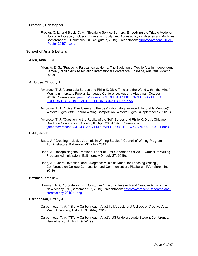# **Proctor II, Christopher L.**

Proctor, C. L., and Block, C. M., "Breaking Service Barriers: Embodying the Triadic Model of Holistic Advocacy", Inclusion, Diversity, Equity, and Accessibility in Libraries and Archives Conference '19, Columbus, OH, (August 7, 2019). Presentation: [clprocto/present/IDEAL](https://www.digitalmeasures.com/login/indiana/faculty/survey/ui/showFile?file=Y2xwcm9jdG8vcHJlc2VudC9JREVBTCAoUG9zdGVyIDIwMTkpLTEucG5n&surId=17962902&nodeId=1610663&sdId=97542365&sdSurId=17962902&rptId=20237&sgntr=9m5QeH6KSyo0B%2FT1EJCbkocdp04%3D)  [\(Poster 2019\)-1.png](https://www.digitalmeasures.com/login/indiana/faculty/survey/ui/showFile?file=Y2xwcm9jdG8vcHJlc2VudC9JREVBTCAoUG9zdGVyIDIwMTkpLTEucG5n&surId=17962902&nodeId=1610663&sdId=97542365&sdSurId=17962902&rptId=20237&sgntr=9m5QeH6KSyo0B%2FT1EJCbkocdp04%3D)

# **School of Arts & Letters**

# **Allen, Anne E. G.**

Allen, A. E. G., "Practicing Fa'asamoa at Home: The Evolution of Textile Arts in Independent Samoa", Pacific Arts Association International Conference, Brisbane, Australia, (March 2019).

#### **Ambrose, Timothy J.**

- Ambrose, T. J. "Jorge Luis Borges and Philip K. Dick: Time and the World within the Mind", Mountain Interstate Foreign Language Conference, Auburn, Alabama, (October 11, 2019). Presentation: [tjambros/present/BORGES AND PKD PAPER FOR MIFLC](https://www.digitalmeasures.com/login/indiana/faculty/survey/ui/showFile?file=dGphbWJyb3MvcHJlc2VudC9CT1JHRVMgQU5EIFBLRCBQQVBFUiBGT1IgTUlGTEMgQVVCVVJOIE9D%0AVCAyMDE5IFNUQVJUSU5HIEZST00gU0NSQVRDSCA3LTEuZG9jeA%3D%3D&surId=17691160&nodeId=1610663&sdId=98218092&sdSurId=17691160&rptId=20237&sgntr=YcgIBIV84LV%2B7aQJEAENTx3z988%3D)  [AUBURN OCT 2019 STARTING FROM SCRATCH 7-1.docx](https://www.digitalmeasures.com/login/indiana/faculty/survey/ui/showFile?file=dGphbWJyb3MvcHJlc2VudC9CT1JHRVMgQU5EIFBLRCBQQVBFUiBGT1IgTUlGTEMgQVVCVVJOIE9D%0AVCAyMDE5IFNUQVJUSU5HIEZST00gU0NSQVRDSCA3LTEuZG9jeA%3D%3D&surId=17691160&nodeId=1610663&sdId=98218092&sdSurId=17691160&rptId=20237&sgntr=YcgIBIV84LV%2B7aQJEAENTx3z988%3D)
- Ambrose, T. J., "Luisa, Bandolero and the Sea" (short story awarded Honorable Mention)", Writer's Digest 88th Annual Writing Competition, Writer's Digest, (September 12, 2019).
- Ambrose, T. J. "Questioning the Reality of the Self: Borges and Philip K. Dick", Chicago Graduate Conference, Chicago, IL (April 20, 2019). Presentation: [tjambros/present/BORGES AND PKD PAPER FOR THE CGC APR 16 2019 9-1.docx](https://www.digitalmeasures.com/login/indiana/faculty/survey/ui/showFile?file=dGphbWJyb3MvcHJlc2VudC9CT1JHRVMgQU5EIFBLRCBQQVBFUiBGT1IgVEhFIENHQyBBUFIgMTYg%0AMjAxOSA5LTEuZG9jeA%3D%3D&surId=17691160&nodeId=1610663&sdId=98218066&sdSurId=17691160&rptId=20237&sgntr=0KlTL8gjkfMRMOUXrHEcDFjxCbk%3D)

#### **Babb, Jacob**

- Babb, J., "Creating Inclusive Journals in Writing Studies", Council of Writing Program Administrators, Baltimore, MD, (July 2019).
- Babb, J. "Recognizing the Emotional Labor of First-Generation WPAs", Council of Writing Program Administrators, Baltimore, MD, (July 27, 2019).
- Babb, J., "Genre, Invention, and Bluegrass: Music as Model for Teaching Writing", Conference on College Composition and Communication, Pittsburgh, PA, (March 16, 2019).

#### **Bowman, Natalie C.**

Bowman, N. C. "Storytelling with Costumes", Faculty Research and Creative Activity Day, New Albany, IN, (September 27, 2019). Presentation: [natcbrow/present/Research and](https://www.digitalmeasures.com/login/indiana/faculty/survey/ui/showFile?file=bmF0Y2Jyb3cvcHJlc2VudC9SZXNlYXJjaCBhbmQgY3JlYXRpdmUgZGF5IDIwMTktMS5qcGVn&surId=17881741&nodeId=1610663&sdId=97331406&sdSurId=17881741&rptId=20237&sgntr=5WBMLmw6ILsdmc%2BL5PVkzn0e6vw%3D)  [creative day 2019-1.jpeg](https://www.digitalmeasures.com/login/indiana/faculty/survey/ui/showFile?file=bmF0Y2Jyb3cvcHJlc2VudC9SZXNlYXJjaCBhbmQgY3JlYXRpdmUgZGF5IDIwMTktMS5qcGVn&surId=17881741&nodeId=1610663&sdId=97331406&sdSurId=17881741&rptId=20237&sgntr=5WBMLmw6ILsdmc%2BL5PVkzn0e6vw%3D)

# **Carbonneau, Tiffany A.**

- Carbonneau, T. A. "Tiffany Carbonneau Artist Talk", Lecture at College of Creative Arts, Miami University, Oxford, OH, (May, 2019).
- Carbonneau, T. A. "Tiffany Carbonneau Artist", IUS Undergraduate Student Conference, New Albany, IN, (April 19, 2019).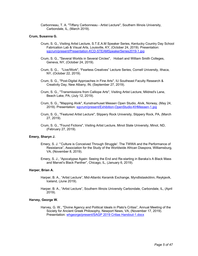Carbonneau, T. A. "Tiffany Carbonneau - Artist Lecture", Southern Illinois University, Carbondale, IL, (March 2019).

#### **Crum, Susanna G.**

- Crum, S. G., Visiting Artist Lecture, S.T.E.A.M Speaker Series, Kentucky Country Day School Fabrication Lab & Visual Arts, Louisville, KY, (October 24, 2019). Presentation: [sgcrum/present/Presentation-KCD-STEAMSpeakerSeries2019-1.jpg](https://www.digitalmeasures.com/login/indiana/faculty/survey/ui/showFile?file=c2djcnVtL3ByZXNlbnQvUHJlc2VudGF0aW9uLUtDRC1TVEVBTVNwZWFrZXJTZXJpZXMyMDE5LTEu%0AanBn&surId=17691155&nodeId=1610663&sdId=97851217&sdSurId=17691155&rptId=20237&sgntr=EQdRH9WgCabbaNZpDrq491%2BYV60%3D)
- Crum, S. G., "Several Worlds in Several Circles", Hobart and William Smith Colleges, Geneva, NY, (October 24, 2019).
- Crum, S. G., "Live/Work", "Fearless Creatives" Lecture Series, Cornell University, Ithaca, NY, (October 22, 2019).
- Crum, S. G., "Post-Digital Approaches in Fine Arts", IU Southeast Faculty Research & Creativity Day, New Albany, IN, (September 27, 2019).
- Crum, S. G., "Transmissions from Calliope Arts", Visiting Artist Lecture, Mildred's Lane, Beach Lake, PA, (July 12, 2019).
- Crum, S. G., "Mapping Alvik", Kunstnarhuset Messen Open Studio, Alvik, Norway, (May 24, 2019). Presentation: [sgcrum/present/Exhibition-OpenStudio-KHMessen-1.jpg](https://www.digitalmeasures.com/login/indiana/faculty/survey/ui/showFile?file=c2djcnVtL3ByZXNlbnQvRXhoaWJpdGlvbi1PcGVuU3R1ZGlvLUtITWVzc2VuLTEuanBn&surId=17691155&nodeId=1610663&sdId=97843470&sdSurId=17691155&rptId=20237&sgntr=5y20UGx0o9pTWrdJS81G9isr0ZQ%3D)
- Crum, S. G., "Featured Artist Lecture", Slippery Rock University, Slippery Rock, PA, (March 27, 2019).
- Crum, S. G., "Found Fictions", Visiting Artist Lecture, Minot State University, Minot, ND, (February 27, 2019).

# **Emery, Sharyn J.**

- Emery, S. J. "'Culture is Conceived Through Struggle': The TWWA and the Performance of Resistance", Association for the Study of the Worldwide African Diaspora, Williamsburg, VA, (November 8, 2019).
- Emery, S. J., "Apocalypse Again: Seeing the End and Re-starting in Baraka's A Black Mass and Marvel's Black Panther", Chicago, IL, (January 6, 2019).

#### **Harper, Brian A.**

- Harper, B. A., "Artist Lecture", Mid-Atlantic Keramik Exchange, Myndlistaskólinn, Reykjavik, Iceland, (June 2019).
- Harper, B. A., "Artist Lecture", Southern Illinois University Carbondale, Carbondale, IL, (April 2019).

#### **Harvey, George W.**

Harvey, G. W., "Divine Agency and Political Ideals in Plato's Critias", Annual Meeting of the Society for Ancient Greek Philosophy, Newport News, VA, (November 17, 2019). Presentation[: whgeorge/present/SAGP 2019 Critias Handout-1.docx](https://www.digitalmeasures.com/login/indiana/faculty/survey/ui/showFile?file=d2hnZW9yZ2UvcHJlc2VudC9TQUdQIDIwMTkgQ3JpdGlhcyBIYW5kb3V0LTEuZG9jeA%3D%3D&surId=17691163&nodeId=1610663&sdId=97267382&sdSurId=17691163&rptId=20237&sgntr=y%2BJoVrsoHg5RhkT2XTtdEL0ATiM%3D)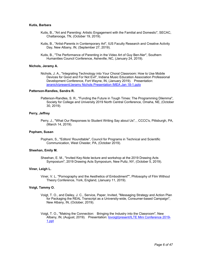#### **Kutis, Barbara**

- Kutis, B., "Art and Parenting: Artistic Engagement with the Familial and Domestic", SECAC, Chattanooga, TN, (October 19, 2019).
- Kutis, B., "Artist-Parents in Contemporary Art", IUS Faculty Research and Creative Activity Day, New Albany, IN, (September 27, 2019).
- Kutis, B., "The Performance of Parenting in the Video Art of Guy Ben-Ner", Southern Humanities Council Conference, Asheville, NC, (January 24, 2019).

#### **Nichols, Jeramy A.**

Nichols, J. A., "Integrating Technology into Your Choral Classroom: How to Use Mobile Devices for Good and For Not Evil", Indiana Music Education Association Professional Development Conference, Fort Wayne, IN, (January 2019). Presentation: [jeranich/present/Jeramy Nichols Presentation IMEA Jan 18-1.pptx](https://www.digitalmeasures.com/login/indiana/faculty/survey/ui/showFile?file=amVyYW5pY2gvcHJlc2VudC9KZXJhbXkgTmljaG9scyBQcmVzZW50YXRpb24gSU1FQSBKYW4gMTgt%0AMS5wcHR4&surId=17829045&nodeId=1610663&sdId=97856555&sdSurId=17829045&rptId=20237&sgntr=XIycJkFtWrmoIuJNLFedn9Jr0WM%3D)

#### **Patterson-Randles, Sandra R.**

Patterson-Randles, S. R., "Funding the Future in Tough Times: The Programming Dilemma", Society for College and University 2019 North Central Conference, Omaha, NE, (October 30, 2019).

# **Perry, Jeffrey**

Perry, J., "What Our Responses to Student Writing Say about Us", , CCCC's, Pittsburgh, PA, (March 14, 2019).

# **Popham, Susan**

Popham, S., "Editors' Roundtable", Council for Programs in Technical and Scientific Communication, West Chester, PA, (October 2019).

#### **Sheehan, Emily M.**

Sheehan, E. M., "Invited Key-Note lecture and workshop at the 2019 Drawing Acts Symposium", 2019 Drawing Acts Symposium, New Pultz, NY, (October 5, 2019).

#### **Viner, Leigh L.**

Viner, V. L. "Pornography and the Aesthetics of Embodiment"", Philosophy of Film Without Theory Conference, York, England, (January 11, 2019).

# **Voigt, Tammy O.**

- Voigt, T. O., and Dailey, J. C., Service, Paper, Invited, "Messaging Strategy and Action Plan for Packaging the REAL Transcript as a University-wide, Consumer-based Campaign", New Albany, IN, (October, 2019).
- Voigt, T. O., "Making the Connection: Bringing the Industry into the Classroom", New Albany, IN, (August, 2019). Presentation: [tovoigt/present/ILTE Mini Conference 2019-](https://www.digitalmeasures.com/login/indiana/faculty/survey/ui/showFile?file=dG92b2lndC9wcmVzZW50L0lMVEUgTWluaSBDb25mZXJlbmNlIDIwMTktMS5wcHQ%3D&surId=17691161&nodeId=1610663&sdId=69170940&sdSurId=17691161&rptId=20237&sgntr=vzRTRmZPCNkOSZeb6nwZst4xI%2Fs%3D) [1.ppt](https://www.digitalmeasures.com/login/indiana/faculty/survey/ui/showFile?file=dG92b2lndC9wcmVzZW50L0lMVEUgTWluaSBDb25mZXJlbmNlIDIwMTktMS5wcHQ%3D&surId=17691161&nodeId=1610663&sdId=69170940&sdSurId=17691161&rptId=20237&sgntr=vzRTRmZPCNkOSZeb6nwZst4xI%2Fs%3D)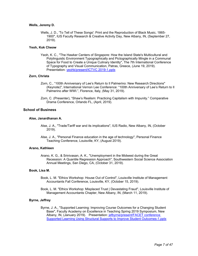# **Wells, Jeremy D.**

Wells, J. D., 'To Tell of These Songs': Print and the Reproduction of Black Music, 1865- 1900", IUS Faculty Research & Creative Activity Day, New Albany, IN, (September 27, 2019).

# **Yeoh, Kok Cheow**

Yeoh, K. C., "The Hawker Centers of Singapore: How the Island State's Multicultural and Polylinguistic Environment Typographically and Pictographically Mingle in a Communal Space for Food to Create a Unique Culinary Identity", The 7th International Conference of Typography and Visual Communication, Patras, Greece, (June 19, 2019). Presentation[: yeohk/present/ICTVC 2019-1.pptx](https://www.digitalmeasures.com/login/indiana/faculty/survey/ui/showFile?file=eWVvaGsvcHJlc2VudC9JQ1RWQyAyMDE5LTEucHB0eA%3D%3D&surId=17691164&nodeId=1610663&sdId=97659990&sdSurId=17691164&rptId=20237&sgntr=QcwMYdpQt45F8zml3F%2B9jtkWkY0%3D)

#### **Zorn, Christa**

- Zorn, C., "100th Anniversary of Lee's Return to Il Palmerino: New Research Directions" (Keynote)", International Vernon Lee Conference: "100th Anniversary of Lee's Return to Il Palmerino after WWI.", Florence, Italy, (May 31, 2019).
- Zorn, C. (Presenter), "Shaw's Realism: Practicing Capitalism with Impunity." Comparative Drama Conference, Orlando FL, (April, 2019).

# **School of Business**

#### **Alse, Janardhanan A.**

- Alse, J. A., "Trade/Tariff war and its implications", IUS Radio, New Albany, IN, (October 2019).
- Alse, J. A., "Personal Finance education in the age of technology", Personal Finance Teaching Conference, Louisville, KY, (August 2019).

#### **Arano, Kathleen**

Arano, K. G., & Srinivasan, A. K., "Unemployment in the Midwest during the Great Recession: A Quantile Regression Approach", Southwestern Social Science Association Annual Meetings, San Diego, CA, (October 31, 2019).

#### **Book, Lisa M.**

- Book, L. M. "Ethics Workshop: House Out of Control", Louisville Institute of Management Accountants Fall Conference, Louisville, KY, (October 15, 2019).
- Book, L. M. "Ethics Workshop: Misplaced Trust | Devastating Fraud", Louisville Institute of Management Accountants Chapter, New Albany, IN, (March 11, 2019).

#### **Byrne, Jeffrey**

Byrne, J. A., "Supported Learning: Improving Course Outcomes for a Changing Student Base", Faculty Academy on Excellence in Teaching Spring 2019 Symposium, New Albany, IN, (January 2019). Presentation: jefbyrne/present/FACET conference [Supported Learning Using Structural Supports to Improve Student Outcomes-1.pptx](https://www.digitalmeasures.com/login/indiana/faculty/survey/ui/showFile?file=amVmYnlybmUvcHJlc2VudC9GQUNFVCBjb25mZXJlbmNlIFN1cHBvcnRlZCBMZWFybmluZyBVc2lu%0AZyBTdHJ1Y3R1cmFsIFN1cHBvcnRzIHRvIEltcHJvdmUgU3R1ZGVudCBPdXRjb21lcy0xLnBwdHg%3D&surId=17691103&nodeId=1610663&sdId=88538940&sdSurId=17691103&rptId=20237&sgntr=owlnpIhMl7KiTIrvxWmuiR%2BrklA%3D)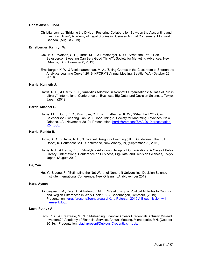# **Christiansen, Linda**

Christiansen, L., "Bridging the Divide - Fostering Collaboration Between the Accounting and Law Disciplines", Academy of Legal Studies in Business Annual Conference, Montreal, Canada, (August 2019).

# **Ernstberger, Kathryn W.**

- Cox, K. C., Watson, C. F., Harris, M. L. & Ernstberger, K. W., "What the F\*\*\*!? Can Salesperson Swearing Can Be a Good Thing?", Society for Marketing Advances, New Orleans, LA, (November 8, 2019).
- Ernstberger, K. W. & Venkataramanan, M. A., "Using Games in the Classroom to Shorten the Analytics Learning Curve", 2019 INFORMS Annual Meeting, Seattle, WA, (October 22, 2019).

# **Harris, Kenneth J.**

Harris, R. B., & Harris, K. J., "Analytics Adoption in Nonprofit Organizations: A Case of Public Library", International Conference on Business, Big-Data, and Decision Sciences, Tokyo, Japan, (2019).

# **Harris, Michael L.**

Harris, M. L., Cox, K. C., Musgrove, C. F., & Ernstberger, K. W., "What the F\*\*\*!? Can Salesperson Swearing Can Be A Good Thing?", Society for Marketing Advances, New Orleans, LA, (November 2019). Presentation: [harris60/present/SMA 2019 presentation](https://www.digitalmeasures.com/login/indiana/faculty/survey/ui/showFile?file=aGFycmlzNjAvcHJlc2VudC9TTUEgMjAxOSBwcmVzZW50YXRpb24gdjItMS5wcHR4&surId=17691098&nodeId=1610663&sdId=97778366&sdSurId=17691098&rptId=20237&sgntr=yHQ8XhhtVJbvuC7A01DAUlrijgQ%3D)  [v2-1.pptx](https://www.digitalmeasures.com/login/indiana/faculty/survey/ui/showFile?file=aGFycmlzNjAvcHJlc2VudC9TTUEgMjAxOSBwcmVzZW50YXRpb24gdjItMS5wcHR4&surId=17691098&nodeId=1610663&sdId=97778366&sdSurId=17691098&rptId=20237&sgntr=yHQ8XhhtVJbvuC7A01DAUlrijgQ%3D)

# **Harris, Ranida B.**

- Snow, S. C., & Harris, R. B., "Universal Design for Learning (UDL) Guidelines: The Full Dose", IU Southeast SoTL Conference, New Albany, IN, (September 20, 2019).
- Harris, R. B. & Harris, K. J. "Analytics Adoption in Nonprofit Organizations: A Case of Public Library", International Conference on Business, Big-Data, and Decision Sciences, Tokyo, Japan, (August 2019).

# **He, Yan**

He, Y., & Long, F., "Estimating the Net Worth of Nonprofit Universities, Decision Science Institute International Conference, New Orleans, LA, (November 2019).

# **Kara, Aycan**

Søndergaard, M., Kara, A., & Peterson, M. F., "Relationship of Political Attitudes to Country and Region Differences in Work Goals", AIB, Copenhagen, Denmark, (2019). Presentation[: karaa/present/Soendergaard Kara Peterson 2019 AIB submission with](https://www.digitalmeasures.com/login/indiana/faculty/survey/ui/showFile?file=a2FyYWEvcHJlc2VudC9Tb2VuZGVyZ2FhcmQgS2FyYSBQZXRlcnNvbiAyMDE5IEFJQiBzdWJtaXNz%0AaW9uIHdpdGggbmFtZXMtMS5kb2N4&surId=17691105&nodeId=1610663&sdId=97437275&sdSurId=17691105&rptId=20237&sgntr=lhtN8njbYFwvtmrmnATeC5Zn%2BAI%3D)  [names-1.docx](https://www.digitalmeasures.com/login/indiana/faculty/survey/ui/showFile?file=a2FyYWEvcHJlc2VudC9Tb2VuZGVyZ2FhcmQgS2FyYSBQZXRlcnNvbiAyMDE5IEFJQiBzdWJtaXNz%0AaW9uIHdpdGggbmFtZXMtMS5kb2N4&surId=17691105&nodeId=1610663&sdId=97437275&sdSurId=17691105&rptId=20237&sgntr=lhtN8njbYFwvtmrmnATeC5Zn%2BAI%3D)

# **Lach, Patrick A.**

Lach, P. A., & Breazeale, M., "Do Misleading Financial Advisor Credentials Actually Mislead Investors?", Academy of Financial Services Annual Meeting, Minneapolis, MN, (October 2019). Presentation: [plach/present/Dubious Credentials-1.pptx](https://www.digitalmeasures.com/login/indiana/faculty/survey/ui/showFile?file=cGxhY2gvcHJlc2VudC9EdWJpb3VzIENyZWRlbnRpYWxzLTEucHB0eA%3D%3D&surId=18089702&nodeId=1610663&sdId=97350376&sdSurId=18089702&rptId=20237&sgntr=oM1Lo6xE6wDax%2BlVdWXNbkP8k5E%3D)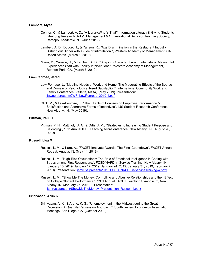# **Lambert, Alysa**

- Connor, C., & Lambert, A. D., "A Library.What's That? Information Literacy & Giving Students Life-Long Research Skills", Management & Organizational Behavior Teaching Society, Ramapo, Academic, NJ, (June 2019).
- Lambert, A. D., Doucet, J., & Yanson, R., "Age Discrimination in the Restaurant Industry: Dishing out Dinner with a Side of Intimidation.", Western Academy of Management, CA, United States, (March 8, 2019).
- Mann, M., Yanson, R., & Lambert, A. D., "Shaping Character through Internships: Meaningful Experiences Start with Faculty Interventions.", Western Academy of Management, Rohnert Park, CA, (March 7, 2019).

# **Law-Penrose, Jared**

- Law-Penrose, J., "Meeting Needs at Work and Home: The Moderating Effects of the Source and Domain of Psychological Need Satisfaction", International Community Work and Family Conference, Valletta, Malta,. (May 2019). Presentation: [jlawpen/present/CWF\\_LawPenrose\\_2019-1.pdf](https://www.digitalmeasures.com/login/indiana/faculty/survey/ui/showFile?file=amxhd3Blbi9wcmVzZW50L0NXRl9MYXdQZW5yb3NlXzIwMTktMS5wZGY%3D&surId=17919165&nodeId=1610663&sdId=97947999&sdSurId=17919165&rptId=20237&sgntr=PLJJ8D7SVC939csl634w%2FbxP3Hs%3D)
- Click, M., & Law-Penrose, J., "The Effects of Bonuses on Employee Performance & Satisfaction and Alternative Forms of Incentives", IUS Student Research Conference, New Albany, IN, (May 2019).

#### **Pittman, Paul H.**

Pittman, P. H., Mattingly, J. A., & Ortiz, J. M., "Strategies to Increasing Student Purpose and Belonging", 10th Annual ILTE Teaching Mini-Conference, New Albany, IN, (August 20, 2019).

#### **Russell, Lisa M.**

- Russell, L. M., & Kara, A., "FACET Innovate Awards: The Final Countdown", FACET Annual Retreat, Angola, IN, (May 14, 2019).
- Russell, L. M., "High-Risk Occupations: The Role of Emotional Intelligence in Coping with Stress among First Responders.", FCSD/NAPD In-Service Training, New Albany, IN, (January 10, 2019; January 17, 2019; January 24, 2019; January 31, 2019; February 7, 2019). Presentation: [lismruss/present/2019\\_FCSD\\_NAPD\\_In-serviceTraining-4.pptx](https://www.digitalmeasures.com/login/indiana/faculty/survey/ui/showFile?file=bGlzbXJ1c3MvcHJlc2VudC8yMDE5X0ZDU0RfTkFQRF9Jbi1zZXJ2aWNlVHJhaW5pbmctNC5wcHR4%0A&surId=17691111&nodeId=1610663&sdId=97569406&sdSurId=17691111&rptId=20237&sgntr=T5enHup%2BhrsHOOgPqYq%2FIeMbmRg%3D)
- Russell, L. M., "Show Me The Money: Controlling and Abusive Relationships and their Effect on College Student Performance.", 23rd Annual FACET Teaching Symposium, New Albany, IN, (January 25, 2019). Presentation: [lismruss/present/ShowMeTheMoney\\_Presentation\\_Russell-1.pptx](https://www.digitalmeasures.com/login/indiana/faculty/survey/ui/showFile?file=bGlzbXJ1c3MvcHJlc2VudC9TaG93TWVUaGVNb25leV9QcmVzZW50YXRpb25fUnVzc2VsbC0xLnBw%0AdHg%3D&surId=17691111&nodeId=1610663&sdId=97568235&sdSurId=17691111&rptId=20237&sgntr=AaXc6BvckzYcihCy6i54m5OSzK0%3D)

#### **Srinivasan, Arun K.**

Srinivasan, A. K., & Arano, K. G., "Unemployment in the Midwest during the Great Recession: A Quantile Regression Approach.", Southwestern Economics Association Meetings, San Diego, CA, (October 2019).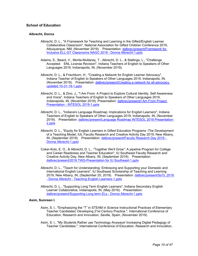# **School of Education**

# **Albrecht, Donna**

- Albrecht, D. L., "A Framework for Teaching and Learning in the Gifted/English Learner Collaborative Classroom", National Association for Gifted Children Conference 2019, Albuquerque, NM, (November 2019). Presentation: [dalbrec/present/Framework for](https://www.digitalmeasures.com/login/indiana/faculty/survey/ui/showFile?file=ZGFsYnJlYy9wcmVzZW50L0ZyYW1ld29yayBmb3IgSW5jbHVzaXZlIEVMTC1HVCBDbGFzc3Jvb21z%0AIE5BR0MgMjAxOSAtIERvbm5hIEFsYnJlY2h0LTEucHB0eA%3D%3D&surId=17918974&nodeId=1610663&sdId=97870702&sdSurId=17918974&rptId=20237&sgntr=WIBB9oyJIuTHkZKjkB7iBtH2BX8%3D)  [Inclusive ELL-GT Classrooms NAGC 2019 -](https://www.digitalmeasures.com/login/indiana/faculty/survey/ui/showFile?file=ZGFsYnJlYy9wcmVzZW50L0ZyYW1ld29yayBmb3IgSW5jbHVzaXZlIEVMTC1HVCBDbGFzc3Jvb21z%0AIE5BR0MgMjAxOSAtIERvbm5hIEFsYnJlY2h0LTEucHB0eA%3D%3D&surId=17918974&nodeId=1610663&sdId=97870702&sdSurId=17918974&rptId=20237&sgntr=WIBB9oyJIuTHkZKjkB7iBtH2BX8%3D) Donna Albrecht-1.pptx
- Adams, S., Beard, V., Morita-Mullaney, T., Albrecht, D. L., & Stallings, L., "Challenge Accepted: ENL License Revision", Indiana Teachers of English to Speakers of Other Languages 2019, Indianapolis, IN, (November 2019).
- Albrecht, D. L., & Frischkorn, H., "Creating a Network for English Learner Advocacy", Indiana Teacher of English to Speakers of Other Languages 2019, Indianapolis, IN, (November 2019). Presentation: [dalbrec/present/Creating a network for ell advocacy](https://www.digitalmeasures.com/login/indiana/faculty/survey/ui/showFile?file=ZGFsYnJlYy9wcmVzZW50L0NyZWF0aW5nIGEgbmV0d29yayBmb3IgZWxsIGFkdm9jYWN5IHVwZGF0%0AZWQgMTAtMzEtMTktMS5wcHR4&surId=17918974&nodeId=1610663&sdId=97889718&sdSurId=17918974&rptId=20237&sgntr=sfhcapXAT5NvISDYhdj61lUd4E0%3D)  [updated 10-31-19-1.pptx](https://www.digitalmeasures.com/login/indiana/faculty/survey/ui/showFile?file=ZGFsYnJlYy9wcmVzZW50L0NyZWF0aW5nIGEgbmV0d29yayBmb3IgZWxsIGFkdm9jYWN5IHVwZGF0%0AZWQgMTAtMzEtMTktMS5wcHR4&surId=17918974&nodeId=1610663&sdId=97889718&sdSurId=17918974&rptId=20237&sgntr=sfhcapXAT5NvISDYhdj61lUd4E0%3D)
- Albrecht, D. L., & Zino, J., "I Am From: A Project to Explore Cultural Identity, Self Awareness and Voice", Indiana Teachers of English to Speakers of Other Languages 2019, Indianapolis, IN, (November 2019). Presentation: [dalbrec/present/I Am From Project](https://www.digitalmeasures.com/login/indiana/faculty/survey/ui/showFile?file=ZGFsYnJlYy9wcmVzZW50L0kgQW0gRnJvbSBQcm9qZWN0IFByZXNlbnRhdGlvbiAtIElOVEVTT0wg%0AMjAxOS0xLnBwdHg%3D&surId=17918974&nodeId=1610663&sdId=97889979&sdSurId=17918974&rptId=20237&sgntr=kr00CC6FJzKe5Hx5NLPpRwNtzGQ%3D)  Presentation - [INTESOL 2019-1.pptx](https://www.digitalmeasures.com/login/indiana/faculty/survey/ui/showFile?file=ZGFsYnJlYy9wcmVzZW50L0kgQW0gRnJvbSBQcm9qZWN0IFByZXNlbnRhdGlvbiAtIElOVEVTT0wg%0AMjAxOS0xLnBwdHg%3D&surId=17918974&nodeId=1610663&sdId=97889979&sdSurId=17918974&rptId=20237&sgntr=kr00CC6FJzKe5Hx5NLPpRwNtzGQ%3D)
- Albrecht, D. L., "Indiana's Language Roadmap: Implications for English Learners", Indiana Teachers of English to Speakers of Other Languages 2019, Indianapolis, IN, (November 2019). Presentation: [dalbrec/present/Language Roadmap INTESOL 2019 Presentation-](https://www.digitalmeasures.com/login/indiana/faculty/survey/ui/showFile?file=ZGFsYnJlYy9wcmVzZW50L0xhbmd1YWdlIFJvYWRtYXAgSU5URVNPTCAyMDE5IFByZXNlbnRhdGlv%0Abi0yLnBwdHg%3D&surId=17918974&nodeId=1610663&sdId=97889853&sdSurId=17918974&rptId=20237&sgntr=eZVmmI8FL9rYz0ahc45fxro1Nuc%3D)[2.pptx](https://www.digitalmeasures.com/login/indiana/faculty/survey/ui/showFile?file=ZGFsYnJlYy9wcmVzZW50L0xhbmd1YWdlIFJvYWRtYXAgSU5URVNPTCAyMDE5IFByZXNlbnRhdGlv%0Abi0yLnBwdHg%3D&surId=17918974&nodeId=1610663&sdId=97889853&sdSurId=17918974&rptId=20237&sgntr=eZVmmI8FL9rYz0ahc45fxro1Nuc%3D)
- Albrecht, D. L., "Equity for English Learners in Gifted Education Programs -The Development of a Teaching Model, IUL Faculty Research and Creative Activity Day 2019, New Albany, IN, (September 2019). Presentation: [dalbrec/present/Faculty Research Day 2019 -](https://www.digitalmeasures.com/login/indiana/faculty/survey/ui/showFile?file=ZGFsYnJlYy9wcmVzZW50L0ZhY3VsdHkgUmVzZWFyY2ggRGF5IDIwMTkgLSBEb25uYSBBbGJyZWNo%0AdC0xLnBwdHg%3D&surId=17918974&nodeId=1610663&sdId=97869744&sdSurId=17918974&rptId=20237&sgntr=TCUh%2BDyebfzIxo%2FMpqT0uFNbhVc%3D) [Donna Albrecht-1.pptx](https://www.digitalmeasures.com/login/indiana/faculty/survey/ui/showFile?file=ZGFsYnJlYy9wcmVzZW50L0ZhY3VsdHkgUmVzZWFyY2ggRGF5IDIwMTkgLSBEb25uYSBBbGJyZWNo%0AdC0xLnBwdHg%3D&surId=17918974&nodeId=1610663&sdId=97869744&sdSurId=17918974&rptId=20237&sgntr=TCUh%2BDyebfzIxo%2FMpqT0uFNbhVc%3D)
- Coker-Kolo, E. O., & Albrecht, D. L., "Together We'll Grow": A pipeline Program for College and Career Readiness and Teacher Education", IU Southeast Faculty Research and Creative Activity Day, New Albany, IN, (September 2019). Presentation: [dalbrec/present/2019 TWG-Presentation for IU Southeast-1.pptx](https://www.digitalmeasures.com/login/indiana/faculty/survey/ui/showFile?file=ZGFsYnJlYy9wcmVzZW50LzIwMTkgVFdHLVByZXNlbnRhdGlvbiBmb3IgSVUgU291dGhlYXN0LTEu%0AcHB0eA%3D%3D&surId=17918974&nodeId=1610663&sdId=97869578&sdSurId=17918974&rptId=20237&sgntr=Wjjlbtwopir7I2izpb07AYm8%2Fv0%3D)
- Albrecht, D. L., "Teach for Understanding: Embracing and Supporting your Domestic and International English Learners", IU Southeast Scholarship of Teaching and Learning 2019, New Albany, IN, (September 25, 2019). Presentation: [dalbrec/present/SoTL 2019](https://www.digitalmeasures.com/login/indiana/faculty/survey/ui/showFile?file=ZGFsYnJlYy9wcmVzZW50L1NvVEwgMjAxOSAtIERvbm5hIEFsYnJlY2h0IC0gVGVhY2hpbmcgRW5n%0AbGlzaCBMZWFybmVycy0xLnBwdHg%3D&surId=17918974&nodeId=1610663&sdId=97869894&sdSurId=17918974&rptId=20237&sgntr=faKHJD03TkZqpJXfnQFJfZaCmgA%3D)  - Donna Albrecht - [Teaching English Learners-1.pptx](https://www.digitalmeasures.com/login/indiana/faculty/survey/ui/showFile?file=ZGFsYnJlYy9wcmVzZW50L1NvVEwgMjAxOSAtIERvbm5hIEFsYnJlY2h0IC0gVGVhY2hpbmcgRW5n%0AbGlzaCBMZWFybmVycy0xLnBwdHg%3D&surId=17918974&nodeId=1610663&sdId=97869894&sdSurId=17918974&rptId=20237&sgntr=faKHJD03TkZqpJXfnQFJfZaCmgA%3D)
- Albrecht, D. L., "Supporting Long Term English Learners", Indiana Secondary English Learner Collaborative, Indianapolis, IN, (May 2019). Presentation: [dalbrec/present/Supporting Long term ELs -](https://www.digitalmeasures.com/login/indiana/faculty/survey/ui/showFile?file=ZGFsYnJlYy9wcmVzZW50L1N1cHBvcnRpbmcgTG9uZyB0ZXJtIEVMcyAtIERvbm5hIEFsYnJlY2h0%0ALTEucHB0eA%3D%3D&surId=17918974&nodeId=1610663&sdId=97870432&sdSurId=17918974&rptId=20237&sgntr=95t9PMJqTTgb7NqcZRMbkkbHqAM%3D) Donna Albrecht-1.pptx

# **Asim, Sumreen I.**

- Asim, S. I., "Emphasizing the "T" in STEAM in Science Instructional Practices of Elementary Teacher Candidates' Developing 21st Century Practice.", International Conference of Education, Research and Innovation, Seville, Spain, (November 2019).
- Asim, S. I., "My Students Rather use Technology Anyways! Increasing Digital Pedagogy of Teacher Candidates.", International Conference of Education, Research and Innovation,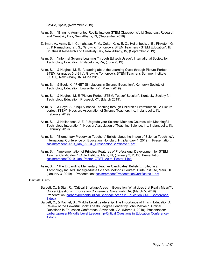Seville, Spain, (November 2019).

- Asim, S. I., "Bringing Augmented Reality into our STEM Classrooms", IU Southeast Research and Creativity Day, New Albany, IN, (September 2019).
- Zollman, A., Asim, S. I., Camahalan, F. M., Coker-Kolo, E. O., Hollenbeck, J. E., Pinkston, G. L., & Ramachandran, S., "Growing Tomorrow's STEM Teachers - STEM Education", IU Southeast Research and Creativity Day, New Albany, IN, (September 2019).
- Asim, S. I., "Informal Science Learning Through Ed tech Usage", International Society for Technology Education, Philadelphia, PA, (June 2019).
- Asim, S. I., & Hughes, M. E., "Learning about the Learning Cycle through Picture-Perfect STEM for grades 3rd-8th.", Growing Tomorrow's STEM Teacher's Summer Institute (GTST), New Albany, IN, (June 2019).
- Asim, S. I., & Book, K., "PHET Simulations in Science Education", Kentucky Society of Technology Education, Louisville, KY, (March 2019).
- Asim, S. I., & Hughes, M. E "Picture-Perfect STEM: Teaser' Session", Kentucky Society for Technology Education, Prospect, KY, (March 2019).
- Asim, S. I., & Boyd, A., "Inquiry-based Teaching through Children's Literature: NSTA Pictureperfect STEM", Hoosiers Association of Science Teachers Inc, Indianapolis, IN, (February 2019).
- Asim, S. I., & Hollenbeck, J. E., "Upgrade your Science Methods Courses with Meaningful Technology Integration.", Hoosier Association of Teaching Science, Inc, Indianapolis, IN, (February 2019).
- Asim, S. I., "Elementary Preservice Teachers' Beliefs about the Image of Science Teaching.", International Conference on Education, Honolulu, HI, (January 4, 2019). Presentation: [sasim/present/2019\\_Jan\\_IAFOR\\_PresenationCertificate-1.pdf](https://www.digitalmeasures.com/login/indiana/faculty/survey/ui/showFile?file=c2FzaW0vcHJlc2VudC8yMDE5X0phbl9JQUZPUl9QcmVzZW5hdGlvbkNlcnRpZmljYXRlLTEucGRm%0A&surId=17829051&nodeId=1610663&sdId=88302301&sdSurId=17829051&rptId=20237&sgntr=13Xgy%2FMg4TBrSde2149YJCE3R94%3D)
- Asim, S. I., "Implementation of Principal Features of Professional Development for STEM Teacher Candidates.", Clute Institute, Maui, HI, (January 3, 2019). Presentation: [sasim/present/2019\\_Jan\\_Poster\\_GTST\\_Asim\\_Poster-1.jpg](https://www.digitalmeasures.com/login/indiana/faculty/survey/ui/showFile?file=c2FzaW0vcHJlc2VudC8yMDE5X0phbl9Qb3N0ZXJfR1RTVF9Bc2ltX1Bvc3Rlci0xLmpwZw%3D%3D&surId=17829051&nodeId=1610663&sdId=88302322&sdSurId=17829051&rptId=20237&sgntr=1AAhIx5UOvlAwDLARF4KO56vWm0%3D)
- Asim, S. I., "The Expanding Elementary Teacher Candidates' Beliefs Enrolled in a Technology Infused Undergraduate Science Methods Course", Clute Institute, Maui, HI, (January 3, 2019). Presentation: [sasim/present/PresentationCertificates-1.pdf](https://www.digitalmeasures.com/login/indiana/faculty/survey/ui/showFile?file=c2FzaW0vcHJlc2VudC9QcmVzZW50YXRpb25DZXJ0aWZpY2F0ZXMtMS5wZGY%3D&surId=17829051&nodeId=1610663&sdId=88302311&sdSurId=17829051&rptId=20237&sgntr=MX%2FVbMOfwZwZoPxnW5S1OMtGFIM%3D)

# **Bartlett, Carol**

- Bartlett, C., & Star, R., "Critical Shortage Areas in Education: What does that Really Mean?", Critical Questions In Education Conference, Savannah, GA, (March 5, 2019). Presentation[: carbartl/present/Critical Shortage Areas in Education-CQiE Conference-](https://www.digitalmeasures.com/login/indiana/faculty/survey/ui/showFile?file=Y2FyYmFydGwvcHJlc2VudC9Dcml0aWNhbCBTaG9ydGFnZSBBcmVhcyBpbiBFZHVjYXRpb24tQ1Fp%0ARSBDb25mZXJlbmNlLTEuZG9jeA%3D%3D&surId=17829053&nodeId=1610663&sdId=88524312&sdSurId=17829053&rptId=20237&sgntr=CAca4tz6F2N2r61prpjlVaGylU0%3D)[1.docx](https://www.digitalmeasures.com/login/indiana/faculty/survey/ui/showFile?file=Y2FyYmFydGwvcHJlc2VudC9Dcml0aWNhbCBTaG9ydGFnZSBBcmVhcyBpbiBFZHVjYXRpb24tQ1Fp%0ARSBDb25mZXJlbmNlLTEuZG9jeA%3D%3D&surId=17829053&nodeId=1610663&sdId=88524312&sdSurId=17829053&rptId=20237&sgntr=CAca4tz6F2N2r61prpjlVaGylU0%3D)
- Bartlett, C., & Rachel, S., "Middle Level Leadership: The Importance of This in Education A Review of the Powerful Book: The 360 degree Leader by John Maxwell", Critical Questions In Education Conference, Savannah, GA, (March 4, 2019). Presentation: [carbartl/present/Middle Level Leadership-Critical Questions in Education Conference-](https://www.digitalmeasures.com/login/indiana/faculty/survey/ui/showFile?file=Y2FyYmFydGwvcHJlc2VudC9NaWRkbGUgTGV2ZWwgTGVhZGVyc2hpcC1Dcml0aWNhbCBRdWVzdGlv%0AbnMgaW4gRWR1Y2F0aW9uIENvbmZlcmVuY2UtMS5kb2N4&surId=17829053&nodeId=1610663&sdId=88524238&sdSurId=17829053&rptId=20237&sgntr=%2BqQijm%2BehDKQSLg3ibM8QMO7Xh4%3D)[1.docx](https://www.digitalmeasures.com/login/indiana/faculty/survey/ui/showFile?file=Y2FyYmFydGwvcHJlc2VudC9NaWRkbGUgTGV2ZWwgTGVhZGVyc2hpcC1Dcml0aWNhbCBRdWVzdGlv%0AbnMgaW4gRWR1Y2F0aW9uIENvbmZlcmVuY2UtMS5kb2N4&surId=17829053&nodeId=1610663&sdId=88524238&sdSurId=17829053&rptId=20237&sgntr=%2BqQijm%2BehDKQSLg3ibM8QMO7Xh4%3D)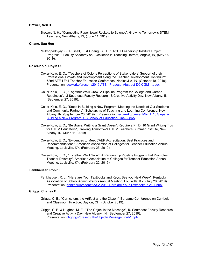# **Brewer, Neil H.**

Brewer, N. H., "Connecting Paper-towel Rockets to Science", Growing Tomorrow's STEM Teachers, New Albany, IN, (June 11, 2019).

# **Chang, Sau Hou**

Mukhopadhyay, S., Russell, L., & Chang, S. H., "FACET Leadership Institute Project Progress.", Faculty Academy on Excellence in Teaching Retreat, Angola, IN, (May 16, 2019).

#### **Coker-Kolo, Doyin O.**

- Coker-Kolo, E. O., "Teachers of Color's Perceptions of Stakeholders' Support of their Professional Growth and Development along the Teacher Development Continuum", 72nd ATE-I Fall Teacher Education Conference, Noblesville, IN, (October 18, 2019). Presentation[: ecokerko/present/2019 ATE-I Proposal Abstract-DCK GM-1.docx](https://www.digitalmeasures.com/login/indiana/faculty/survey/ui/showFile?file=ZWNva2Vya28vcHJlc2VudC8yMDE5IEFURS1JIFByb3Bvc2FsIEFic3RyYWN0LURDSyBHTS0xLmRv%0AY3g%3D&surId=17691036&nodeId=1610663&sdId=97456022&sdSurId=17691036&rptId=20237&sgntr=9hnXu%2Fzq40pSLOnZtIGq1y7rhsg%3D)
- Coker-Kolo, E. O., "Together We'll Grow: A Pipeline Program for College and Career Readiness", IU Southeast Faculty Research & Creative Activity Day, New Albany, IN, (September 27, 2019).
- Coker-Kolo, E. O., "Steps in Building a New Program: Meeting the Needs of Our Students and Community Partners", Scholarship of Teaching and Learning Conference, New Albany, IN, (September 20, 2019). Presentation: [ecokerko/present/SoTL 18 Steps in](https://www.digitalmeasures.com/login/indiana/faculty/survey/ui/showFile?file=ZWNva2Vya28vcHJlc2VudC9Tb1RMIDE4IFN0ZXBzIGluIEJ1aWxkaW5nIGEgTmV3IFByb2dyYW0g%0ASVVTIFNjaG9vbCBvZiBFZHVjYXRpb24tRmluYWwtMi5wcHR4&surId=17691036&nodeId=1610663&sdId=97498776&sdSurId=17691036&rptId=20237&sgntr=YDNX6lQM7hImundnGzVEzuDH9ao%3D)  [Building a New Program IUS School of Education-Final-2.pptx](https://www.digitalmeasures.com/login/indiana/faculty/survey/ui/showFile?file=ZWNva2Vya28vcHJlc2VudC9Tb1RMIDE4IFN0ZXBzIGluIEJ1aWxkaW5nIGEgTmV3IFByb2dyYW0g%0ASVVTIFNjaG9vbCBvZiBFZHVjYXRpb24tRmluYWwtMi5wcHR4&surId=17691036&nodeId=1610663&sdId=97498776&sdSurId=17691036&rptId=20237&sgntr=YDNX6lQM7hImundnGzVEzuDH9ao%3D)
- Coker-Kolo, E. O., "Be Brave: Writing a Grant Doesn't Require a Ph.D. 10 Grant Writing Tips for STEM Educators", Growing Tomorrow's STEM Teachers Summer Institute, New Albany, IN, (June 11, 2019).
- Coker-Kolo, E. O., "Evidences to Meet CAEP Accreditation: Best Practices and Recommendations", American Association of Colleges for Teacher Education Annual Meeting, Louisville, KY, (February 23, 2019).
- Coker-Kolo, E. O., "Together We'll Grow": A Partnership Pipeline Program that Promotes Teacher Diversity", American Association of Colleges for Teacher Education Annual Meeting, Louisville, KY, (February 22, 2019).

#### **Fankhauser, Robin L.**

Fankhauser, R. L., "Here are Your Textbooks and Keys, See you Next Week", Kentucky Association of School Administrators Annual Meeting, Louisville, KY, (July 26, 2019). Presentation: [rfankhau/present/KASA 2018 Here are Your Textbooks 7.21-1.pptx](https://www.digitalmeasures.com/login/indiana/faculty/survey/ui/showFile?file=cmZhbmtoYXUvcHJlc2VudC9LQVNBIDIwMTggSGVyZSBhcmUgWW91ciBUZXh0Ym9va3MgNy4yMS0x%0ALnBwdHg%3D&surId=17691049&nodeId=1610663&sdId=88566508&sdSurId=17691049&rptId=20237&sgntr=ze0hG3z7pz8zpF5xsRqvXLJnaYk%3D)

#### **Griggs, Charles B.**

- Griggs, C. B., "Curriculum, the Artifact and the Citizen", Bergamo Conference on Curriculum and Classroom Practice, Dayton, OH, (October 2019).
- Griggs, C. B. & Hughes, M. E., "The Object is the Message", IU Southeast Faculty Research and Creative Activity Day, New Albany, IN, (September 27, 2019). Presentation[: cbgriggs/present/TheObjectisMessageFinal-1.pptx](https://www.digitalmeasures.com/login/indiana/faculty/survey/ui/showFile?file=Y2JncmlnZ3MvcHJlc2VudC9UaGVPYmplY3Rpc01lc3NhZ2VGaW5hbC0xLnBwdHg%3D&surId=17691033&nodeId=1610663&sdId=97895673&sdSurId=17691033&rptId=20237&sgntr=66JHSB38%2FlzSj1XYLl0bozGWoSE%3D)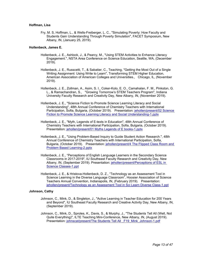# **Hoffman, Lisa**

Fry, M. S, Hoffman, L., & Wells-Freiberger, L. C., "Simulating Poverty: How Faculty and Students Gain Understanding Through Poverty Simulation", FACET Symposium, New Albany, IN, (January 25, 2019).

#### **Hollenbeck, James E.**

- Hollenbeck, J. E., Ashlock, J., & Pearcy, M., "Using STEM Activities to Enhance Literacy Engagement.", NSTA Area Conference on Science Education, Seattle, WA, (December 2019).
- Hollenbeck, J. E., Russcetti, T., & Sabatier, C., Teaching, "Getting the Most Out of a Single Writing Assignment: Using Write to Learn", Transforming STEM Higher Education, American Association of American Colleges and Universities., Chicago, IL, (November 2019).
- Hollenbeck, J. E., Zollman, A., Asim, S. I., Coker-Kolo, E. O., Camahalan, F. M., Pinkston, G. L., & Ramachandran, S., "Growing Tomorrow's STEM Teachers Program", Indiana University Faculty Research and Creativity Day, New Albany, IN, (November 2019).
- Hollenbeck, J. E., "Science Fiction to Promote Science Learning Literacy and Social Understanding", 48th Annual Conference of Chemistry Teachers with International Participation, Sofia, Bulgaria, (October 2019). Presentation[: jehollen/present/02 Science](https://www.digitalmeasures.com/login/indiana/faculty/survey/ui/showFile?file=amVob2xsZW4vcHJlc2VudC8wMiBTY2llbmNlIEZpY3Rpb24gdG8gUHJvbW90ZSBTY2llbmNlIExl%0AYXJuaW5nIExpdGVyYWN5IGFuZCBTb2NpYWwgVW5kZXJzdGFuZGluZy0xLnBwdHg%3D&surId=17691040&nodeId=1610663&sdId=97274121&sdSurId=17691040&rptId=20237&sgntr=oSpPvjbdF9KQUJ72tOsa2SQ%2BJdQ%3D)  [Fiction to Promote Science Learning Literacy and Social Understanding-1.pptx](https://www.digitalmeasures.com/login/indiana/faculty/survey/ui/showFile?file=amVob2xsZW4vcHJlc2VudC8wMiBTY2llbmNlIEZpY3Rpb24gdG8gUHJvbW90ZSBTY2llbmNlIExl%0AYXJuaW5nIExpdGVyYWN5IGFuZCBTb2NpYWwgVW5kZXJzdGFuZGluZy0xLnBwdHg%3D&surId=17691040&nodeId=1610663&sdId=97274121&sdSurId=17691040&rptId=20237&sgntr=oSpPvjbdF9KQUJ72tOsa2SQ%2BJdQ%3D)
- Hollenbeck, J. E., "Myth, Legends of E-texts in Education", 48th Annual Conference of Chemistry Teachers with International Participation, Sofia, Bulgaria, (October 2019). Presentation[: jehollen/present/01 Myths Legends of E books-1.pptx](https://www.digitalmeasures.com/login/indiana/faculty/survey/ui/showFile?file=amVob2xsZW4vcHJlc2VudC8wMSBNeXRocyBMZWdlbmRzIG9mIEUgYm9va3MtMS5wcHR4&surId=17691040&nodeId=1610663&sdId=97274034&sdSurId=17691040&rptId=20237&sgntr=NS8Kj0LFOkn2bHafIx6PgTUbJMw%3D)
- Hollenbeck, J. E., "Using Problem-Based Inquiry to Guide Student Action Research.", 48th Annual Conference of Chemistry Teachers with International Participation, Sofia, Bulgaria, (October 2019). Presentation: [jehollen/present/4 The Flipped Class Room and](https://www.digitalmeasures.com/login/indiana/faculty/survey/ui/showFile?file=amVob2xsZW4vcHJlc2VudC80IFRoZSBGbGlwcGVkIENsYXNzIFJvb20gYW5kIFByb2JsZW0gQmFz%0AZWQgTGVhcm5pbmctMi5wcHR4&surId=17691040&nodeId=1610663&sdId=97274239&sdSurId=17691040&rptId=20237&sgntr=jNv6mZNKcYp2RNuAEivK4420pSw%3D)  [Problem Based Learning-2.pptx](https://www.digitalmeasures.com/login/indiana/faculty/survey/ui/showFile?file=amVob2xsZW4vcHJlc2VudC80IFRoZSBGbGlwcGVkIENsYXNzIFJvb20gYW5kIFByb2JsZW0gQmFz%0AZWQgTGVhcm5pbmctMi5wcHR4&surId=17691040&nodeId=1610663&sdId=97274239&sdSurId=17691040&rptId=20237&sgntr=jNv6mZNKcYp2RNuAEivK4420pSw%3D)
- Hollenbeck, J. E., "Perceptions of English Language Learners in the Secondary Science Classrooms in 2017-2019", IU Southeast Faculty Research and Creativity Day, New Albany, IN, (September 2019). Presentation: jehollen/present/Perceptions of ESL in [Science Classes-1.ppt](https://www.digitalmeasures.com/login/indiana/faculty/survey/ui/showFile?file=amVob2xsZW4vcHJlc2VudC9QZXJjZXB0aW9ucyBvZiBFU0wgaW4gU2NpZW5jZSBDbGFzc2VzLTEu%0AcHB0&surId=17691040&nodeId=1610663&sdId=97276049&sdSurId=17691040&rptId=20237&sgntr=GWuFyT2vI92fpEDtgG7F6JoSNV0%3D)
- Hollenbeck, J. E., & Hristova-Hollenbeck, D. Z., "Technology as an Assessment Tool in Science Learning in the Diverse Language Classroom", Hoosier Association of Science Teachers Annual Convention, Indianapolis, IN, (February 2019). Presentation: [jehollen/present/Technology as an Assessment Tool in Sci Learn Diverse Class-1.ppt](https://www.digitalmeasures.com/login/indiana/faculty/survey/ui/showFile?file=amVob2xsZW4vcHJlc2VudC9UZWNobm9sb2d5IGFzIGFuIEFzc2Vzc21lbnQgVG9vbCBpbiBTY2kg%0ATGVhcm4gRGl2ZXJzZSBDbGFzcy0xLnBwdA%3D%3D&surId=17691040&nodeId=1610663&sdId=97276780&sdSurId=17691040&rptId=20237&sgntr=l7cTSfrXe5awXkzbjj7XL5oyFDg%3D)

# **Johnson, Cathy**

- Johnson, C., Mink, D., & Singleton, J., "Active Learning in Teacher Education for 200 Years and Beyond", IU Southeast Faculty Research and Creative Activity Day, New Albany, IN, (September 2019).
- Johnson, C., Mink, D., Sproles, K., Davis, S., & Murphy, J., "The Students Tell All (Well, Not Quite Everything)", ILTE Teaching Mini-Conference, New Albany, IN, (August 2019). Presentation[: johnscat/present/The Students Tell All \\_F19\\_Mink\\_Johnson-1.pdf](https://www.digitalmeasures.com/login/indiana/faculty/survey/ui/showFile?file=am9obnNjYXQvcHJlc2VudC9UaGUgU3R1ZGVudHMgVGVsbCBBbGwgX0YxOV9NaW5rX0pvaG5zb24t%0AMS5wZGY%3D&surId=17691041&nodeId=1610663&sdId=97699125&sdSurId=17691041&rptId=20237&sgntr=LY7TyjFO%2BmSTJsBlxMwIyta6i2g%3D)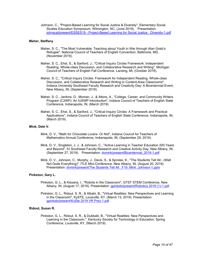Johnson, C., "Project-Based Learning for Social Justice & Diversity", Elementary Social Studies Education Symposium, Wilmington, NC, (June 2019). Presentation: johnscat/present/ESSES19 - [Project-Based Learning for Social Justice Diversity-1.pdf](https://www.digitalmeasures.com/login/indiana/faculty/survey/ui/showFile?file=am9obnNjYXQvcHJlc2VudC9FU1NFUzE5IC0gUHJvamVjdC1CYXNlZCBMZWFybmluZyBmb3IgU29j%0AaWFsIEp1c3RpY2UgIERpdmVyc2l0eS0xLnBkZg%3D%3D&surId=17691041&nodeId=1610663&sdId=97698312&sdSurId=17691041&rptId=20237&sgntr=SLQ7tEOcB5M%2Brhn3jLrUySVV57E%3D)

# **Maher, Steffany**

- Maher, S. C., "The Most Vulnerable: Teaching about Youth in War through Alan Gratz's Refugee", National Council of Teachers of English Convention, Baltimore, MD, (November 2019).
- Maher, S. C., Ehst, S., & Sanford, J., "Critical Inquiry Circles Framework: Independent Reading, Whole-class Discussion, and Collaborative Research and Writing", Michigan Council of Teachers of English Fall Conference, Lansing, MI, (October 2019).
- Maher, S. C., "Critical Inquiry Circles: Framework for Independent Reading, Whole-class Discussion, and Collaborative Research and Writing in Content-Area Classrooms", Indiana University Southeast Faculty Research and Creativity Day: A Bicentennial Event, New Albany, IN, (September 2019).
- Maher, S. C., Jenkins, D., Moman, J., & Atkins, A., "College, Career, and Community Writers Program (C3WP): An IUSWP Introduction", Indiana Council of Teachers of English State Conference, Indianapolis, IN, (March 2019).
- Maher, S. C., Ehst, S., & Sanford, J., "Critical Inquiry Circles: A Framework and Practical Applications", Indiana Council of Teachers of English State Conference, Indianapolis, IN, (March 2019).

#### **Mink, Debi V.**

- Mink, D. V., "Math for Chocolate Lovers- Or Not", Indiana Council for Teachers of Mathematics Annual Conference, Indianapolis, IN, (September 29, 2019).
- Mink, D. V., Singleton, J. J., & Johnson, C., "Active Learning in Teacher Education 200 Years and Beyond", IU Southeast Faculty Research and Creative Activity Day, New Albany, IN, (September 27, 2019). Presentation: [dvmink/present/Bicentennial\\_2019-1.pdf](https://www.digitalmeasures.com/login/indiana/faculty/survey/ui/showFile?file=ZHZtaW5rL3ByZXNlbnQvQmljZW50ZW5uaWFsXzIwMTktMS5wZGY%3D&surId=17691035&nodeId=1610663&sdId=95621374&sdSurId=17691035&rptId=20237&sgntr=KMtXUCdV%2FmW8DgDopWTu9v2FWJw%3D)
- Mink, D. V., Johnson, C., Murphy, J., Davis, S., & Sproles, K., "The Students Tell All (Well Not Quite Everything)", ITLE Mini-Conference, New Albany, IN, (August 20, 2019). Presentation: dvmink/present/The Students Tell All F19\_Mink\_Johnson-1.pptx

#### **Pinkston, Gary L.**

- Pinkston, G. L., & Kissana, I., "Robots in the Classroom", GTST STEM Conference, New Albany, IN, (August 17, 2019). Presentation: [gpinksto/present/Robotics 2019 \(1\)-1.pdf](https://www.digitalmeasures.com/login/indiana/faculty/survey/ui/showFile?file=Z3BpbmtzdG8vcHJlc2VudC9Sb2JvdGljcyAyMDE5ICgxKS0xLnBkZg%3D%3D&surId=17691039&nodeId=1610663&sdId=97572957&sdSurId=17691039&rptId=20237&sgntr=rVnsXlyX531IBeg0d6I9NwaH0P8%3D)
- Pinkston, G. L., Ridout, S. R., & Albabi, B., "Virtual Realities: New Perspectives and Learning in the Classroom", KySTE, Louisville, KY, (March 13, 2019). Presentation: [gpinksto/present/KySte 2019 VR Prez-1.pdf](https://www.digitalmeasures.com/login/indiana/faculty/survey/ui/showFile?file=Z3BpbmtzdG8vcHJlc2VudC9LeVN0ZSAyMDE5IFZSIFByZXotMS5wZGY%3D&surId=17691039&nodeId=1610663&sdId=97572663&sdSurId=17691039&rptId=20237&sgntr=LUJ2OPz3yUCUMfbP7KFAkPNcL8Y%3D)

# **Ridout, Susan R.**

Pinkston, G. L., Ridout, S. R., & Dubbabi, B., "Virtual Realities: New Perspectives and Learning in the Classroom.", Kentucky Society for Technology in Education: Spring Conference, Louisville, KY, (March 2019).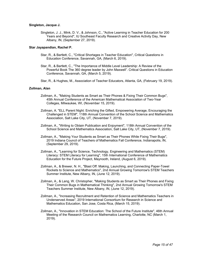# **Singleton, Jacque J.**

Singleton, J. J., Mink, D. V., & Johnson, C., "Active Learning in Teacher Education for 200 Years and Beyond", IU Southeast Faculty Research and Creative Activity Day, New Albany, IN, (September 27, 2019).

# **Star Jayapandian, Rachel P.**

- Star, R., & Bartlett, C., "Critical Shortages in Teacher Education", Critical Questions in Education Conference, Savannah, GA, (March 6, 2019).
- Star, R., & Bartlett, C., "The Importance of Middle Level Leadership: A Review of the Powerful Book The 360 degree leader by John Maxwell". Critical Questions in Education Conference, Savannah, GA, (March 5, 2019).
- Star, R., & Hughes, M., Association of Teacher Educators, Atlanta, GA, (February 19, 2019).

#### **Zollman, Alan**

- Zollman, A., "Making Students as Smart as Their Phones & Fixing Their Common Bugs", 45th Annual Conference of the American Mathematical Association of Two-Year Colleges, Milwaukee, WI, (November 15, 2019).
- Zollman, A. "ELL Parent Night: Enriching the Gifted, Empowering Average, Encouraging the Challenged in STEM", 118th Annual Convention of the School Science and Mathematics Association, Salt Lake City, UT, (November 7, 2019).
- Zollman, A., "Writing to Obtain Publication and Enjoyment", 118th Annual Convention of the School Science and Mathematics Association, Salt Lake City, UT, (November 7, 2019).
- Zollman, A., "Making Your Students as Smart as Their Phones While Fixing Their Bugs", 2019 Indiana Council of Teachers of Mathematics Fall Conference, Indianapolis, IN, (September 29, 2019).
- Zollman, A., "Learning for Science, Technology, Engineering and Mathematics (STEM) Literacy: STEM Literacy for Learning", 15th International Conference of Mathematics Education for the Future Project, Maynooth, Ireland, (August 6, 2019).
- Zollman, A., & Brewer, N. H., "Blast Off: Making, Launching, and Connecting Paper-Towel Rockets to Science and Mathematics", 2nd Annual Growing Tomorrow's STEM Teachers Summer Institute, New Albany, IN, (June 12, 2019).
- Zollman, A., & Lang, W. Christopher, "Making Students as Smart as Their Phones and Fixing Their Common Bugs in Mathematical Thinking", 2nd Annual Growing Tomorrow's STEM Teachers Summer Institute, New Albany, IN, (June 12, 2019).
- Zollman, A., "Increasing Recruitment and Retention of Science and Mathematics Teachers in Underserved Areas", 2019 International Consortium for Research in Science and Mathematics Education, San Jose, Costa Rica, (March 15, 2019).
- Zollman, A., "Innovation in STEM Education: The School of the Future Institute", 46th Annual Meeting of the Research Council on Mathematics Learning, Charlotte, NC (March 1, 2019).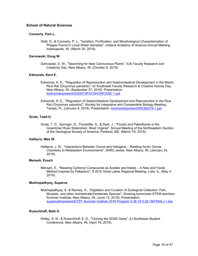# **School of Natural Sciences**

# **Connerly, Pam L.**

Watt, D., & Connerly, P. L., "Isolation, Purification, and Morphological Characterization of Phages Found in Local Water Samples", Indiana Academy of Science Annual Meeting, Indianapolis, IN, (March 30, 2019).

# **Darnowski, Doug W.**

Darnowski, D. W., "Searching for New Carnivorous Plants", IUS Faculty Research and Creativity Day, New Albany, IN, (October 8, 2019).

#### **Edmonds, Kent E.**

- Edmonds, K. E., "Regulation of Reproduction and Gastrointestinal Development in the Marsh Rice Rat (Oryzomys palustris)", IU Southeast Faculty Research & Creative Activity Day, New Albany, IN, (September 27, 2019). Presentation: [kedmonds/present/IUS2019FACSHOWCASE-1.ppt](https://www.digitalmeasures.com/login/indiana/faculty/survey/ui/showFile?file=a2VkbW9uZHMvcHJlc2VudC9JVVMyMDE5RkFDU0hPV0NBU0UtMS5wcHQ%3D&surId=17689456&nodeId=1610663&sdId=97740613&sdSurId=17689456&rptId=20237&sgntr=p%2FZyT2LqaCBuOKY4jqLyfZ6f1qU%3D)
- Edmonds, K. E., "Regulation of Gastrointestinal Development and Reproduction in the Rice Rat (Oryzomys palustris)", Society for Integrative and Comparative Biology Meeting, Tampa, FL, (January 6, 2019). Presentation: [kedmonds/present/SICB2019-1.ppt](https://www.digitalmeasures.com/login/indiana/faculty/survey/ui/showFile?file=a2VkbW9uZHMvcHJlc2VudC9TSUNCMjAxOS0xLnBwdA%3D%3D&surId=17689456&nodeId=1610663&sdId=68993863&sdSurId=17689456&rptId=20237&sgntr=avJ%2FAieunwQqIA7xw0%2FlnOu%2FA%2B0%3D)

#### **Grote, Todd D.**

Grote, T. D., Springer, G., Thurkettle, S., & Dyer, J., "Floods and Paleofloods in the Greenbrier River Watershed, West Virginia", Annual Meeting of the Northeastern Section of the Geological Society of America, Portland, ME, (March 19, 2019).

#### **Halfacre, Wes W.**

Halfacre, J. W., "Interactions Between Ozone and Halogens – Relating Arctic Ozone Chemistry to Midwestern Environments", SARC series, New Albany, IN, (January 24, 2019).

#### **Mensah, Enoch**

Mensah, E., "Masking Carbonyl Compounds as Acetals and Ketals – A New and Facile Method Inspired by Palladium", S ACS Great Lakes Regional Meeting, Lisle, IL, (May 4, 2019).

#### **Mukhopadhyay, Suparna**

Mukhopadhyay, S. & Ranney, K., "Digitation and Curation of Zoological Collection: Fish, Mussels, and other Invertebrate/Vertebrate Species", Growing tomorrows STEM teachers Summer Institute, New Albany, IN, (June 12, 2019). Presentation: [supamukh/present/GTST Summer Institute 2019 Program 5.28.19 5.28.19\(FINAL\)-1.doc](https://www.digitalmeasures.com/login/indiana/faculty/survey/ui/showFile?file=c3VwYW11a2gvcHJlc2VudC9HVFNUIFN1bW1lciBJbnN0aXR1dGUgMjAxOSBQcm9ncmFtIDUuMjgu%0AMTkgNS4yOC4xOShGSU5BTCktMS5kb2M%3D&surId=17918230&nodeId=1610663&sdId=91535413&sdSurId=17918230&rptId=20237&sgntr=DpJm00BjXAuo3cLp2H7GZ3nFCzY%3D)

# **Rueschhoff, Beth D.**

Kirtley, S. N., & Rueschhoff, E. D., "Cloning the SOS4 Gene", IU Southeast Student Conference, New Albany, IN, (April 19, 2019).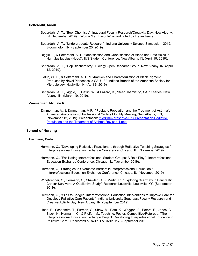# **Setterdahl, Aaron T.**

- Setterdahl, A. T., "Beer Chemistry", Inaugural Faculty Research/Creativity Day, New Albany, IN (September 2019). Won a "Fan Favorite" award voted by the audience.
- Setterdahl, A. T., "Undergraduate Research", Indiana University Science Symposium 2019, Bloomington, IN, (September 20, 2019).
- Riggle, J., & Setterdahl, A. T., "Identification and Quantification of Alpha and Beta Acids in Humulus lupulus (Hops)", IUS Student Conference, New Albany, IN, (April 19, 2019).
- Setterdahl, A. T., "Hop Biochemistry", Biology Open Research Group, New Albany, IN, (April 12, 2019).
- Gatlin, W. G., & Setterdahl, A. T., "Extraction and Characterization of Black Pigment Produced by Novel Planococcus CAU-13", Indiana Branch of the American Society for Microbiology, Nashville, IN, (April 6, 2019).
- Setterdahl, A. T., Riggle, J., Gatlin, W., & Lazaro, B., "Beer Chemistry", SARC series, New Albany, IN, (March 19, 2019).

#### **Zimmerman, Michele R.**

Zimmerman, A., & Zimmerman, M.R., "Pediatric Population and the Treatment of Asthma", American Association of Professional Coders Monthly Meeting, New Albany, IN, (November 12, 2019). Presentation: [micrzimm/present/AAPC Presentation-Pediatric](https://www.digitalmeasures.com/login/indiana/faculty/survey/ui/showFile?file=bWljcnppbW0vcHJlc2VudC9BQVBDIFByZXNlbnRhdGlvbi1QZWRpYXRyaWMgUG9wdWxhdGlvbiBh%0AbmQgdGhlIFRyZWF0bWVudCBvZiBBc3RobWEtUmV2aXNlZC0xLnBwdHg%3D&surId=17689461&nodeId=1610663&sdId=97523359&sdSurId=17689461&rptId=20237&sgntr=41CsU5%2BgIJ%2FrCptl9pwJQMCCQm0%3D)  [Population and the Treatment of Asthma-Revised-1.pptx](https://www.digitalmeasures.com/login/indiana/faculty/survey/ui/showFile?file=bWljcnppbW0vcHJlc2VudC9BQVBDIFByZXNlbnRhdGlvbi1QZWRpYXRyaWMgUG9wdWxhdGlvbiBh%0AbmQgdGhlIFRyZWF0bWVudCBvZiBBc3RobWEtUmV2aXNlZC0xLnBwdHg%3D&surId=17689461&nodeId=1610663&sdId=97523359&sdSurId=17689461&rptId=20237&sgntr=41CsU5%2BgIJ%2FrCptl9pwJQMCCQm0%3D)

# **School of Nursing**

# **Hermann, Carla**

- Hermann, C., "Developing Reflective Practitioners through Reflective Teaching Strategies.", Interprofessional Education Exchange Conference, Chicago, IL, (November 2019).
- Hermann, C., "Facilitating Interprofessional Student Groups: A Role Play.", Interprofessional Education Exchange Conference, Chicago, IL, (November 2019).
- Hermann, C. "Strategies to Overcome Barriers in Interprofessional Education.", Interprofessional Education Exchange Conference, Chicago, IL, (November 2019).
- Winebrenner, S., Hermann, C., Shawler, C., & Martin, R., "Exploring Scanxiety in Pancreatic Cancer Survivors: A Qualitative Study", Research!Louisville, Louisville, KY, (September 2019).
- Hermann, C., "Silos to Bridges: Interprofessional Education Interventions to Improve Care for Oncology Palliative Care Patients", Indiana University Southeast Faculty Research and Creative Activity Day, New Albany, IN, (September 2019).
- Head, B., Schapmire, T., Furman, C., Shaw, M., Pate, K., Woggon, F., Peters, B., Jones, C., Black, K., Hermann, C., & Pfeifer, M., Teaching, Poster, Competitive/Refereed, "The Interprofessional Education Exchange Project: Developing Interprofessional Education in Palliative Care", Research!Louisville, Louisville, KY, (September 2019).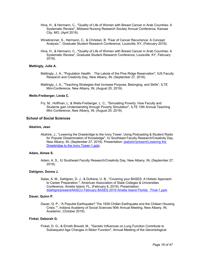- Hina, H., & Hermann, C., "Quality of Life of Women with Breast Cancer in Arab Countries: A Systematic Review", Midwest Nursing Research Society Annual Conference, Kansas City, MO, (April 2019).
- Winebrenner, S., Hermann, C., & Christian, B. "Fear of Cancer Recurrence: A Concept Analysis.", Graduate Student Research Conference, Louisville, KY, (February 2019).
- Hina, H., & Hermann, C., "Quality of Life of Women with Breast Cancer in Arab Countries: A Systematic Review", Graduate Student Research Conference, Louisville, KY, February 2019).

# **Mattingly, Julie A.**

- Mattingly, J. A., "Population Health: The Lakota of the Pine Ridge Reservation", IUS Faculty Research and Creativity Day, New Albany, IN, (September 27, 2019).
- Mattingly, J. A., "Teaching Strategies that Increase Purpose, Belonging, and Skills", ILTE Mini-Conference, New Albany, IN, (August 20, 2019).

#### **Wells-Freiberger, Linda C.**

Fry, M., Hoffman, L, & Wells-Freiberger, L. C., "Simulating Poverty: How Faculty and Students gain Understanding through Poverty Simulation", ILTE 10th Annual Teaching Mini Conference, New Albany, IN, (August 20, 2019).

#### . **School of Social Sciences**

#### **Abshire, Jean**

Abshire, J., "Lowering the Drawbridge to the Ivory Tower: Using Podcasting & Student Radio for Popular Dissemination of Knowledge", IU Southeast Faculty Research/Creativity Day, New Albany, IN, (September 27, 2019). Presentation: [jeabshir/present/Lowering the](https://www.digitalmeasures.com/login/indiana/faculty/survey/ui/showFile?file=amVhYnNoaXIvcHJlc2VudC9Mb3dlcmluZyB0aGUgRHJhd2JyaWRnZSB0byB0aGUgSXZvcnkgVG93%0AZXItMS5wcHR4&surId=17689300&nodeId=1610663&sdId=98505308&sdSurId=17689300&rptId=20237&sgntr=XjNmgnIFQ6%2BSPRjvNCJGx4UcIvg%3D)  [Drawbridge to the Ivory Tower-1.pptx](https://www.digitalmeasures.com/login/indiana/faculty/survey/ui/showFile?file=amVhYnNoaXIvcHJlc2VudC9Mb3dlcmluZyB0aGUgRHJhd2JyaWRnZSB0byB0aGUgSXZvcnkgVG93%0AZXItMS5wcHR4&surId=17689300&nodeId=1610663&sdId=98505308&sdSurId=17689300&rptId=20237&sgntr=XjNmgnIFQ6%2BSPRjvNCJGx4UcIvg%3D)

#### **Adam, Aimee S.**

Adam, A. S., IU Southeast Faculty Research/Creativity Day, New Albany, IN, (September 27, 2019).

#### **Dahlgren, Donna J.**

Salas, A. M., Dahlgren, D. J., & Dufrene, U. B., "Covering your BASES: A Holistic Approach to Career Preparation.", American Association of State Colleges & Universities Conference, Amelia Island, FL, (February 8, 2019). Presentation: [ddahlgre/present/AASCU February BASES 2019 Amelie Island Florida Final-1.pptx](https://www.digitalmeasures.com/login/indiana/faculty/survey/ui/showFile?file=ZGRhaGxncmUvcHJlc2VudC9BQVNDVSBGZWJydWFyeSBCQVNFUyAyMDE5IEFtZWxpZSBJc2xhbmQg%0ARmxvcmlkYSAgRmluYWwtMS5wcHR4&surId=17689292&nodeId=1610663&sdId=88586973&sdSurId=17689292&rptId=20237&sgntr=WutdwKiWA8cXrhXDxdDH9i4uKcA%3D)

#### **Dauer, Quinn P.**

Dauer, Q. P., "A Populist Earthquake? The 1939 Chillán Earthquake and the Chilean Housing Crisis."", Indiana Academy of Social Sciences 90th Annual Meeting, New Albany, IN, Academic. (October 2019).

#### **Finkel, Deborah G.**

Finkel, D. G., & Ernsth Bravell, M., "Genetic Influences on Lung Function Contribute to Subsequent Age Changes in Motor Function", Annual Meeting of the Gerontological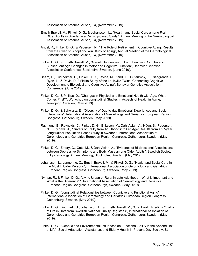Association of America, Austin, TX, (November 2019).

- Ernsth Bravell, M., Finkel, D. G., & Johansson, L., "Health- and Social Care among Frail Older Adults in Sweden – a Registry-based Study", Annual Meeting of the Gerontological Association of America, Austin, TX, (November 2019).
- Andel, R., Finkel, D. G., & Pedersen, N., "The Role of Retirement in Cognitive Aging: Results from the Swedish Adoption/Twin Study of Aging", Annual Meeting of the Gerontological Association of America, Austin, TX, (November 2019).
- Finkel, D. G., & Ernsth Bravell, M., "Genetic Influences on Lung Function Contribute to Subsequent Age Changes in Motor and Cognitive Function", Behavior Genetics Association Conference, Stockholm, Sweden, (June 2019).
- Beam, C., Turkheimer, E., Finkel, D. G., Levine, M., Zandi, E., Guterbock, T., Giangrande, E., Ryan, L., & Davis, D., "Midlife Study of the Louisville Twins: Connecting Cognitive Development to Biological and Cognitive Aging", Behavior Genetics Association Conference, (June 2019).
- Finkel, D. G., & Phillips, D., "Changes in Physical and Emotional Health with Age: What Comes First?", Workshop on Longitudinal Studies in Aspects of Health in Aging, Jönköping, Sweden, (May 2019).
- Finkel, D. G., & Schwartz, E., "Diversity of Day-to-day Emotional Experiences and Social Interactions", International Association of Gerontology and Geriatrics European Region Congress, Gothenburg, Sweden, (May 2019).
- Raymond, E., Reynolds, C., Finkel, D. G., Eriksson, M., Dahl Aslan, A., Hägg, S., Pedersen, N., & Jylhävä, J., "Drivers of Frailty from Adulthood into Old Age: Results from a 27-year Longitudinal Population-Based Study in Sweden", International Association of Gerontology and Geriatrics European Region Congress, Gothenburg, Sweden, (May 2019).
- Finkel, D. G., Emery, C., Gatz, M., & Dahl Aslan, A., "Evidence of Bi-directional Associations between Depressive Symptoms and Body Mass among Older Adults", Swedish Society of Epidemiology Annual Meeting, Stockholm, Sweden, (May 2019).
- Johansson, L., Lannering, C., Ernsth Bravell, M., & Finkel, D. G., "Health and Social Care in the Most Ill Older Persons", International Association of Gerontology and Geriatrics European Region Congress, Gothenburg, Sweden, (May 2019).
- Nyman, R., & Finkel, D. G., "Living Urban or Rural in Late Adulthood…What is Important and What is the Difference?", International Association of Gerontology and Geriatrics European Region Congress, Gothenburgh, Sweden, (May 2019).
- Finkel, D. G., "Longitudinal Relationships between Cognitive and Functional Aging", International Association of Gerontology and Geriatrics European Region Congress, Gothenburg, Sweden, (May 2019).
- Finkel, D. G., Lindmark, U., Johansson, L., & Ernsth Bravell, M., "Oral Health Predicts Quality of Life in Data from Swedish National Quality Registries", International Association of Gerontology and Geriatrics European Region Congress, Gothenburg, Sweden, (May 2019).
- Finkel, D. G., "Genetic and Environmental Influences on Functional Ability in the Second Half of Life", Social Adaptation, Assistance, and Elderly Health in Present-Day Society, St.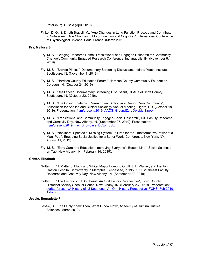Petersburg, Russia (April 2019).

Finkel, D. G., & Ernsth Bravell, M., "Age Changes in Lung Function Precede and Contribute to Subsequent Age Changes in Motor Function and Cognition", International Conference of Psychological Science, Paris, France, (March 2019).

# **Fry, Melissa S.**

- Fry, M. S., "Bringing Research Home: Translational and Engaged Research for Community Change", Community Engaged Research Conference, Indianapolis, IN, (November 8, 2019).
- Fry, M. S., "Broken Places", Documentary Screening Discussant, Indiana Youth Institute, Scottsburg, IN, (November 7, 2019).
- Fry, M. S., "Harrison County Education Forum", Harrison County Community Foundation, Corydon, IN, (October 24, 2019).
- Fry, M. S., "Resilience", Documentary Screening Discussant, CEASe of Scott County, Scottsburg, IN, (October 22, 2019).
- Fry, M. S., "The Opioid Epidemic: Research and Action in a Ground Zero Community", Association for Applied and Clinical Sociology Annual Meeting, Tigard, OR, (October 18, 2019). Presentation: [frym/present/2019\\_AACS\\_GroundZeroOpioids-1.pptx](https://www.digitalmeasures.com/login/indiana/faculty/survey/ui/showFile?file=ZnJ5bS9wcmVzZW50LzIwMTlfQUFDU19Hcm91bmRaZXJvT3Bpb2lkcy0xLnBwdHg%3D&surId=17689296&nodeId=1610663&sdId=98128594&sdSurId=17689296&rptId=20237&sgntr=QmX%2BE0TvZYsYYxXpsxaI%2F69qvAk%3D)
- Fry, M. S., "Translational and Community Engaged Social Research", IUS Faculty Research and Creativity Day, New Albany, IN, (September 27, 2019). Presentation: [frym/present/2019\\_Fac\\_Showcase\\_ECE-1.pptx](https://www.digitalmeasures.com/login/indiana/faculty/survey/ui/showFile?file=ZnJ5bS9wcmVzZW50LzIwMTlfRmFjX1Nob3djYXNlX0VDRS0xLnBwdHg%3D&surId=17689296&nodeId=1610663&sdId=98129331&sdSurId=17689296&rptId=20237&sgntr=4fHU6suj%2B4AcNhp1lgoEIJ9iit8%3D)
- Fry, M. S., "Neoliberal Spectacle: Missing System Failures for the Transformative Power of a Mani-Pedi", Engaging Social Justice for a Better World Conference, New York, NY, August 11, 2019).
- Fry, M. S., "Early Care and Education: Improving Everyone's Bottom Line", Social Sciences on Tap, New Albany, IN, (February 14, 2019).

# **Gritter, Elizabeth**

- Gritter, E., "A Matter of Black and White: Mayor Edmund Orgill, J. E. Walker, and the John Gaston Hospital Controversy in Memphis, Tennessee, in 1956", IU Southeast Faculty Research and Creativity Day, New Albany, IN, (September 27, 2019).
- Gritter, E., "The History of IU Southeast: An Oral History Perspective", Floyd County Historical Society Speaker Series, New Albany, IN, (February 26, 2019). Presentation: [egritter/present/A History of IU Southeast\\_An Oral History Perspective\\_FCHS\\_Feb 2019-](https://www.digitalmeasures.com/login/indiana/faculty/survey/ui/showFile?file=ZWdyaXR0ZXIvcHJlc2VudC9BIEhpc3Rvcnkgb2YgSVUgU291dGhlYXN0X0FuIE9yYWwgSGlzdG9y%0AeSBQZXJzcGVjdGl2ZV9GQ0hTX0ZlYiAyMDE5LTEuZG9jeA%3D%3D&surId=17689295&nodeId=1610663&sdId=98051540&sdSurId=17689295&rptId=20237&sgntr=6owVOz%2FNzQFqbrYVsw3ibPGVrMw%3D) [1.docx](https://www.digitalmeasures.com/login/indiana/faculty/survey/ui/showFile?file=ZWdyaXR0ZXIvcHJlc2VudC9BIEhpc3Rvcnkgb2YgSVUgU291dGhlYXN0X0FuIE9yYWwgSGlzdG9y%0AeSBQZXJzcGVjdGl2ZV9GQ0hTX0ZlYiAyMDE5LTEuZG9jeA%3D%3D&surId=17689295&nodeId=1610663&sdId=98051540&sdSurId=17689295&rptId=20237&sgntr=6owVOz%2FNzQFqbrYVsw3ibPGVrMw%3D)

# **Jessie, Bernadette F.**

Jessie, B. F., "If I Only Knew Then, What I know Now", Academy of Criminal Justice Sciences, March 2019).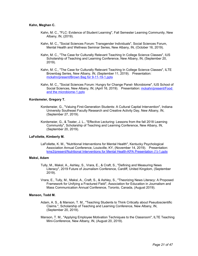# **Kahn, Meghan C.**

- Kahn, M. C., "FLC: Evidence of Student Learning", Fall Semester Learning Community, New Albany, IN, (2019).
- Kahn, M. C., "Social Sciences Forum: Transgender Individuals", Social Sciences Forum, Mental Health and Wellness Seminar Series, New Albany, IN, (October 16, 2019).
- Kahn, M. C., "The Case for Culturally Relevant Teaching In College Science Classes", IUS Scholarship of Teaching and Learning Conference, New Albany, IN, (September 20, 2019).
- Kahn, M. C., "The Case for Culturally Relevant Teaching In College Science Classes", ILTE Brownbag Series, New Albany, IN, (September 11, 2019). Presentation: [mckahn/present/Brown Bag for 9-11-19-1.pptx](https://www.digitalmeasures.com/login/indiana/faculty/survey/ui/showFile?file=bWNrYWhuL3ByZXNlbnQvQnJvd24gQmFnIGZvciA5LTExLTE5LTEucHB0eA%3D%3D&surId=17689303&nodeId=1610663&sdId=98204566&sdSurId=17689303&rptId=20237&sgntr=WeWVyPDo9njYnWepdHTrKNYRDUM%3D)
- Kahn, M. C., "Social Sciences Forum: Hungry for Change Panel- Microbiome", IUS School of Social Sciences, New Albany, IN, (April 16, 2019). Presentation: [mckahn/present/Food](https://www.digitalmeasures.com/login/indiana/faculty/survey/ui/showFile?file=bWNrYWhuL3ByZXNlbnQvRm9vZCBhbmQgdGhlIG1pY3JvYmlvbWUtMS5wcHR4&surId=17689303&nodeId=1610663&sdId=98204447&sdSurId=17689303&rptId=20237&sgntr=G7j6gE8SYUU37l0xjuTA64ESmDY%3D)  [and the microbiome-1.pptx](https://www.digitalmeasures.com/login/indiana/faculty/survey/ui/showFile?file=bWNrYWhuL3ByZXNlbnQvRm9vZCBhbmQgdGhlIG1pY3JvYmlvbWUtMS5wcHR4&surId=17689303&nodeId=1610663&sdId=98204447&sdSurId=17689303&rptId=20237&sgntr=G7j6gE8SYUU37l0xjuTA64ESmDY%3D)

# **Kordsmeier, Gregory T.**

- Kordsmeier, G., "Valuing First-Generation Students: A Cultural Capital Intervention", Indiana University Southeast Faculty Research and Creative Activity Day, New Albany, IN, (September 27, 2019).
- Kordsmeier, G., & Teater, J. L., "Effective Lecturing: Lessons from the fall 2018 Learning Community", Scholarship of Teaching and Learning Conference, New Albany, IN, (September 20, 2019).

# **LaFollette, Kimberly M.**

LaFollette, K. M., "Nutritional Interventions for Mental Health", Kentucky Psychological Association Annual Conference, Louisville, KY, (November 14, 2019). Presentation: [kms3/present/Nutritional Interventions for Mental Health-KPA Presentation \(1\)-1.pptx](https://www.digitalmeasures.com/login/indiana/faculty/survey/ui/showFile?file=a21zMy9wcmVzZW50L051dHJpdGlvbmFsIEludGVydmVudGlvbnMgZm9yIE1lbnRhbCBIZWFsdGgt%0AS1BBIFByZXNlbnRhdGlvbiAoMSktMS5wcHR4&surId=17881742&nodeId=1610663&sdId=97945803&sdSurId=17881742&rptId=20237&sgntr=2zGucnMP2mRmPlDNcXm84%2BwSr2o%3D)

#### **Maksl, Adam**

- Tully, M., Maksl, A., Ashley, S., Vrara, E., & Craft, S., "Defining and Measuring News Literacy", 2019 Future of Journalism Conference, Cardiff, United Kingdom, (September 2019).
- Vrara, E., Tully, M., Maksl, A., Craft, S., & Ashley, S., "Theorizing News Literacy: A Proposed Framework for Unifying a Fractured Field", Association for Education in Journalism and Mass Communication Annual Conference, Toronto, Canada, (August 2019).

#### **Manson, Todd M.**

- Adam, A. S., & Manson, T. M., "Teaching Students to Think Critically about Pseudoscientific Claims.", Scholarship of Teaching and Learning Conference, New Albany, IN, (September 20, 2019).
- Manson, T. M., "Applying Employee Motivation Techniques to the Classroom", ILTE Teaching Mini-Conference, New Albany, IN, (August 20, 2019).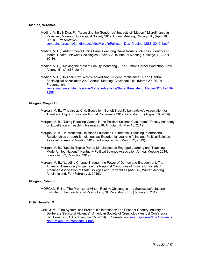# **Medina, Veronica E.**

- Medina, V. E., & Dua, P., "Assessing the Gender(ed) Impacts of "Modern" Microfinance in Pakistan", Midwest Sociological Society 2019 Annual Meeting, Chicago, IL, (April 18, 2019). Presentation: [vemedina/present/GendImpactsModMicrofinPakistan\\_Dua\\_Medina\\_MSS\\_2019-1.pdf](https://www.digitalmeasures.com/login/indiana/faculty/survey/ui/showFile?file=dmVtZWRpbmEvcHJlc2VudC9HZW5kSW1wYWN0c01vZE1pY3JvZmluUGFraXN0YW5fRHVhX01lZGlu%0AYV9NU1NfMjAxOS0xLnBkZg%3D%3D&surId=17689315&nodeId=1610663&sdId=90744142&sdSurId=17689315&rptId=20237&sgntr=SyxQ4mhPJlrQ7aCkCGbqmUgxyw0%3D)
- Medina, V. E., "Author meets Critics Panel Featuring Dawn Norris's Job Loss, Identity and Mental Health" Midwest Sociological Society 2019 Annual Meeting, Chicago, IL, (April 18, 2019).
- Medina, V. E., "Making the Most of Faculty Mentoring", The Summit Career Workshop, New Albany, IN, (April 5, 2019).

Medina, V. E., "In Their Own Words: Advertising Student Persistence", North Central Sociological Association 2019 Annual Meeting, Cincinnati, OH, (March 29, 2019). Presentation: [vemedina/present/InTheirOwnWords\\_AdvertisingStudentPersistenc\\_MedinaNCSA2019-](https://www.digitalmeasures.com/login/indiana/faculty/survey/ui/showFile?file=dmVtZWRpbmEvcHJlc2VudC9JblRoZWlyT3duV29yZHNfQWR2ZXJ0aXNpbmdTdHVkZW50UGVyc2lz%0AdGVuY19NZWRpbmFOQ1NBMjAxOS0xLnBkZg%3D%3D&surId=17689315&nodeId=1610663&sdId=90744261&sdSurId=17689315&rptId=20237&sgntr=jVVaTl34SWTkKWtWrhOf32HGOtw%3D) [1.pdf](https://www.digitalmeasures.com/login/indiana/faculty/survey/ui/showFile?file=dmVtZWRpbmEvcHJlc2VudC9JblRoZWlyT3duV29yZHNfQWR2ZXJ0aXNpbmdTdHVkZW50UGVyc2lz%0AdGVuY19NZWRpbmFOQ1NBMjAxOS0xLnBkZg%3D%3D&surId=17689315&nodeId=1610663&sdId=90744261&sdSurId=17689315&rptId=20237&sgntr=jVVaTl34SWTkKWtWrhOf32HGOtw%3D)

#### **Morgan, Margot B.**

- Morgan, M. B., "Theatre as Civic Education: Bertolt Brecht's Lehrstücke", Association for Theatre in Higher Education Annual Conference 2019, Orlando, FL, (August 10, 2019).
- Morgan, M. B., "Using Reacting Games in the Political Science Classroom", Faculty Academy on Excellence in Teaching Retreat 2019, Angola, IN, (May 16, 2019).
- Morgan, M. B., "International Relations Education Roundtable: Teaching International Relationships through Simulations as Experiential Learning"", Indiana Political Science Association Annual Meeting 2019, Indianapolis, IN, (March 22, 2019).
- Morgan, M. B., "Special Topics Panel: Simulations as Engaged Learning and Teaching: Model United Nations", Kentucky Political Science Association Annual Meeting 2019, Louisville, KY, (March 2, 2019).
- Morgan, M. B., "Leading Change Through the Power of Democratic Engagement: The American Democracy Project on the Regional Campuses of Indiana University"", American Association of State Colleges and Universities (AASCU) Winter Meeting, Amelia Island, FL, (February 8, 2019).

# **Morgan, Robin K.**

MORGAN, R. K., "The Promise of Virtual Reality: Challenges and Successes", National Institute for the Teaching of Psychology, St. Petersburg, FL, (January 6, 2019).

#### **Ortiz, Jennifer M.**

Ortiz, J. M., "The System isn't Broken, It's Intentional: The Prisoner Reentry Industry as Deliberate Structural Violence", American Society of Criminology Annual Conference, San Francisco, CA, (November 15, 2019). Presentation[: jmortiz/present/The System is](https://www.digitalmeasures.com/login/indiana/faculty/survey/ui/showFile?file=am1vcnRpei9wcmVzZW50L1RoZSBTeXN0ZW0gaXMgTm90IEJyb2tlbiBJdCBpcyBJbnRlbnRpb25h%0AbC0xLnBwdHg%3D&surId=17829050&nodeId=1610663&sdId=96780134&sdSurId=17829050&rptId=20237&sgntr=xQJ4dbT31M0hAk3OYztuUetdR4Y%3D)  [Not Broken It is Intentional-1.pptx](https://www.digitalmeasures.com/login/indiana/faculty/survey/ui/showFile?file=am1vcnRpei9wcmVzZW50L1RoZSBTeXN0ZW0gaXMgTm90IEJyb2tlbiBJdCBpcyBJbnRlbnRpb25h%0AbC0xLnBwdHg%3D&surId=17829050&nodeId=1610663&sdId=96780134&sdSurId=17829050&rptId=20237&sgntr=xQJ4dbT31M0hAk3OYztuUetdR4Y%3D)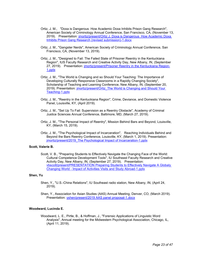- Ortiz, J. M., "Doxa is Dangerous: How Academic Doxa Inhibits Prison Gang Research", American Society of Criminology Annual Conference, San Francisco, CA, (November 13, 2019). Presentation: *jmortiz/present/Ortiz J. Doxa is Dangerous\_How Academic Doxa* [Inhibits Prison Gang Research \(revised submission\)-1.docx](https://www.digitalmeasures.com/login/indiana/faculty/survey/ui/showFile?file=am1vcnRpei9wcmVzZW50L09ydGl6IEouIERveGEgaXMgRGFuZ2Vyb3VzX0hvdyBBY2FkZW1pYyBE%0Ab3hhIEluaGliaXRzIFByaXNvbiBHYW5nIFJlc2VhcmNoIChyZXZpc2VkIHN1Ym1pc3Npb24pLTEu%0AZG9jeA%3D%3D&surId=17829050&nodeId=1610663&sdId=96780063&sdSurId=17829050&rptId=20237&sgntr=%2B4EbQZrIGBd%2F3G%2Ftck10W8fzDw4%3D)
- Ortiz, J. M., "Gangster Nerds", American Society of Criminology Annual Conference, San Francisco, CA, (November 13, 2019).
- Ortiz, J. M., "Designed to Fail: The Failed State of Prisoner Reentry in the Kentuckiana Region", IUS Faculty Research and Creative Activity Day, New Albany, IN, (September 27, 2019). Presentation: [jmortiz/present/Prisoner Reentry in the Kentuckiana Region-](https://www.digitalmeasures.com/login/indiana/faculty/survey/ui/showFile?file=am1vcnRpei9wcmVzZW50L1ByaXNvbmVyIFJlZW50cnkgaW4gdGhlIEtlbnR1Y2tpYW5hIFJlZ2lv%0Abi0xLnBwdHg%3D&surId=17829050&nodeId=1610663&sdId=96781852&sdSurId=17829050&rptId=20237&sgntr=frZZJu6kgIKChQeSKW%2F2WxAxF3U%3D)[1.pptx](https://www.digitalmeasures.com/login/indiana/faculty/survey/ui/showFile?file=am1vcnRpei9wcmVzZW50L1ByaXNvbmVyIFJlZW50cnkgaW4gdGhlIEtlbnR1Y2tpYW5hIFJlZ2lv%0Abi0xLnBwdHg%3D&surId=17829050&nodeId=1610663&sdId=96781852&sdSurId=17829050&rptId=20237&sgntr=frZZJu6kgIKChQeSKW%2F2WxAxF3U%3D)
- Ortiz, J. M., "The World is Changing and so Should Your Teaching: The Importance of Developing Culturally Responsive Classrooms in a Rapidly Changing Society", Scholarship of Teaching and Learning Conference, New Albany, IN, (September 20, 2019). Presentation: *jmortiz/present/Ortiz* The World is Changing and Should Your [Teaching-1.pptx](https://www.digitalmeasures.com/login/indiana/faculty/survey/ui/showFile?file=am1vcnRpei9wcmVzZW50L09ydGl6X1RoZSBXb3JsZCBpcyBDaGFuZ2luZyBhbmQgU2hvdWxkIFlv%0AdXIgVGVhY2hpbmctMS5wcHR4&surId=17829050&nodeId=1610663&sdId=96781629&sdSurId=17829050&rptId=20237&sgntr=YUNpibp9%2BdO6ibjLNNGe77Rl%2Fok%3D)
- Ortiz, J. M., "Reentry in the Kentuckiana Region", Crime, Deviance, and Domestic Violence Panel, Louisville, KY, (April 2019).
- Ortiz, J. M., "Set Up To Fail: Supervision as a Reentry Obstacle", Academy of Criminal Justice Sciences Annual Conference, Baltimore, MD, (March 27, 2019).
- Ortiz, J. M., "The Personal Impact of Reentry", Mission Behind Bars and Beyond, Louisville, KY, (March 15, 2019).
- Ortiz, J. M., "The Psychological Impact of Incarceration", Reaching Individuals Behind and Beyond the Bars Reentry Conference, Louisville, KY, (March 1, 2019). Presentation: [jmortiz/present/2019\\_The Psychological Impact of Incarceration-1.pptx](https://www.digitalmeasures.com/login/indiana/faculty/survey/ui/showFile?file=am1vcnRpei9wcmVzZW50LzIwMTlfVGhlIFBzeWNob2xvZ2ljYWwgSW1wYWN0IG9mIEluY2FyY2Vy%0AYXRpb24tMS5wcHR4&surId=17829050&nodeId=1610663&sdId=96913321&sdSurId=17829050&rptId=20237&sgntr=p8svCoXcaoUcnHiKEoVrr0ChNVI%3D)

#### **Scott, Valerie B.**

Scott, V. B., "Preparing Students to Effectively Navigate the Changing Face of the World: Cultural Competence Development Tools", IU Southeast Faculty Research and Creative Activity Day, New Albany, IN, (September 27, 2019). Presentation: [vbscott/present/PRESENTATION Preparing Students to Effectively Navigate A Globaly](https://www.digitalmeasures.com/login/indiana/faculty/survey/ui/showFile?file=dmJzY290dC9wcmVzZW50L1BSRVNFTlRBVElPTiBQcmVwYXJpbmcgU3R1ZGVudHMgdG8gRWZmZWN0%0AaXZlbHkgTmF2aWdhdGUgQSBHbG9iYWx5IENoYW5naW5nIFdvcmxkIC0gSW1wYWN0IG9mIEFjdGl2%0AaXRpZXMgVmlzaXRzIGFuZCBTdHVkeSBBYnJvYWQtMS5wcHR4&surId=17689314&nodeId=1610663&sdId=98049160&sdSurId=17689314&rptId=20237&sgntr=jWIGKn99hqgjhrSb35%2B6aOLgcvs%3D)  Changing World - [Impact of Activities Visits and Study Abroad-1.pptx](https://www.digitalmeasures.com/login/indiana/faculty/survey/ui/showFile?file=dmJzY290dC9wcmVzZW50L1BSRVNFTlRBVElPTiBQcmVwYXJpbmcgU3R1ZGVudHMgdG8gRWZmZWN0%0AaXZlbHkgTmF2aWdhdGUgQSBHbG9iYWx5IENoYW5naW5nIFdvcmxkIC0gSW1wYWN0IG9mIEFjdGl2%0AaXRpZXMgVmlzaXRzIGFuZCBTdHVkeSBBYnJvYWQtMS5wcHR4&surId=17689314&nodeId=1610663&sdId=98049160&sdSurId=17689314&rptId=20237&sgntr=jWIGKn99hqgjhrSb35%2B6aOLgcvs%3D)

# **Shen, Yu**

- Shen, Y., "U.S.-China Relations", IU Southeast radio station, New Albany, IN, (April 24, 2019).
- Shen, Y., Association for Asian Studies (AAS) Annual Meeting, Denver, CO, (March 2019). Presentation[: yshen/present/2019 AAS panel proposal-1.docx](https://www.digitalmeasures.com/login/indiana/faculty/survey/ui/showFile?file=eXNoZW4vcHJlc2VudC8yMDE5IEFBUyBwYW5lbCBwcm9wb3NhbC0xLmRvY3g%3D&surId=17689317&nodeId=1610663&sdId=88554289&sdSurId=17689317&rptId=20237&sgntr=703flDEu5DOjm5Qhp%2BR5iOs44CQ%3D)

# **Woodward, Lucinda E.**

Woodward, L. E., Pirtle, B., & Hoffman, J., "Forensic Applications of Linguistic Word Analysis", Annual meeting for the Midwestern Psychological Association, Chicago, IL, (April 11, 2019).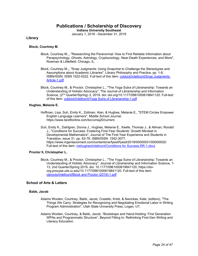# **Publications / Scholarship of Discovery**

**Indiana University Southeast**

January 1, 2019 - December 31, 2019

# **Library**

#### **Block, Courtney M.**

- Block, Courtney M.,, "Researching the Paranormal: How to Find Reliable Information about Parapsychology, Ghosts, Astrology, Cryptozoology, Near-Death Experiences, and More", Rowman & Littlefield: Chicago, IL.
- Block, Courtney M.,, "Snap Judgments: Using Snapchat to Challenge the Stereotypes and Assumptions about Academic Libraries", Library Philosophy and Practice, pp. 1-8, ISBN/ISSN: ISSN 1522-0222. Full-text of this item: coblock/intellcont/Snap Judgments [Article-1.pdf](https://www.digitalmeasures.com/login/indiana/faculty/survey/ui/showFile?file=Y29ibG9jay9pbnRlbGxjb250L1NuYXAgSnVkZ21lbnRzIEFydGljbGUtMS5wZGY%3D&surId=17691684&nodeId=1610518&sdId=97550217&sdSurId=17691684&rptId=20226&sgntr=61GiYpqOUyAes9ca8UOraSOk8bI%3D)
- Block, Courtney M., & Proctor, Christopher L., "The Yoga Sutra of Librarianship: Towards an Understanding of Holistic Advocacy", The Journal of Librarianship and Information Science, (2nd Quarter/Spring) 3, 2019. doi: doi.org/10.1177/0961000619841120. Full-text of this item: [coblock/intellcont/Yoga Sutra of Librarianship-1.pdf](https://www.digitalmeasures.com/login/indiana/faculty/survey/ui/showFile?file=Y29ibG9jay9pbnRlbGxjb250L1lvZ2EgU3V0cmEgb2YgTGlicmFyaWFuc2hpcC0xLnBkZg%3D%3D&surId=17691684&nodeId=1610518&sdId=88287125&sdSurId=17691684&rptId=20226&sgntr=EsZBBYGO%2Fvi1UB0b%2BYA7MWA8mkQ%3D)

#### **Hughes, Melanie E.**

- Hoffman, Lisa, Suh, Emily K., Zollman, Alan, & Hughes, Melanie E., "STEM Circles Empower English Language Learners", Middle School Journal, https://www.tandfonline.com/toc/umsj20/current.
- Suh, Emily K., Dahlgren, Donna J., Hughes, Melanie E., Keefe, Thomas J., & Allman, Ronald J., "Conditions for Success: Fostering First-Year Students' Growth Mindset in Developmental Mathematics", Journal of The First-Year Experience and Students in Transition, issue 31, pp. 63-78. ISBN/ISSN: 1542-3077, https://www.ingentaconnect.com/contentone/fyesit/fyesit/2019/00000031/00000002/ Full-text of this item: [mehughes/intellcont/Conditions for Success.RR-1.docx](https://www.digitalmeasures.com/login/indiana/faculty/survey/ui/showFile?file=bWVodWdoZXMvaW50ZWxsY29udC9Db25kaXRpb25zIGZvciBTdWNjZXNzLlJSLTEuZG9jeA%3D%3D&surId=17691688&nodeId=1610518&sdId=88533245&sdSurId=17691688&rptId=20226&sgntr=fBuaccyWMpj9TfHqTyLPFw%2BKIzE%3D)

# **Proctor II, Christopher L.**

Block, Courtney M., & Proctor, Christopher L., "The Yoga Sutra of Librarianship: Towards an Understanding of Holistic Advocacy", Journal of Librarianship and Information Science, 1- 13, 2nd Quarter/Spring 2019. doi: 10.1177/0961000619841120, https://doiorg.proxyse.uits.iu.edu/10.1177/0961000619841120. Full-text of this item: [clprocto/intellcont/Block and Proctor \(2019\)-1.pdf](https://www.digitalmeasures.com/login/indiana/faculty/survey/ui/showFile?file=Y2xwcm9jdG8vaW50ZWxsY29udC9CbG9jayBhbmQgUHJvY3RvciAoMjAxOSktMS5wZGY%3D&surId=17962902&nodeId=1610518&sdId=86222666&sdSurId=17962902&rptId=20226&sgntr=tsMk0fiqWHGhu7c7%2FbMv%2FTOBkvE%3D)

# **School of Arts & Letters**

#### **Babb, Jacob**

- Adams Wooten, Courtney, Babb, Jacob, Costello, Kristi, & Navickas, Kate, (editors), "The Things We Carry: Strategies for Recognizing and Negotiating Emotional Labor in Writing Program Administration", Utah State University Press, Logan, UT.
- Adams Wooten, Courtney, & Babb, Jacob, "Bootstraps and Hand-Holding: First Generation WPAs and Programmatic Structure", Beyond Fitting In: Rethinking First-Gen Writing and Literacy Education.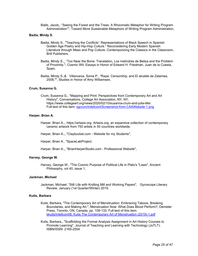Babb, Jacob,, "Seeing the Forest and the Trees: A Rhizomatic Metaphor for Writing Program Administration"", Toward More Sustainable Metaphors of Writing Program Administration,

#### **Badia, Mindy S.**

- Badia, Mindy S., "Teaching the Conflicts': Representations of Black Speech in Spanish Golden Age Poetry and Hip-Hop Culture." Reconsidering Early Modern Spanish Literature through Mass and Pop Culture: Contemporizing the Classics in the Classroom, Brill Publishers.
- Badia, Mindy S.,, "Too Near the Bone: Translation, Los melindres de Belisa and the Problem of Proximity.", Cosmic Wit: Essays in Honor of Edward H. Friedman, Juan de la Cuesta, Spain.
- Badia, Mindy S.,& Villanueva, Sonia P., "Rape, Censorship, and El alcalde de Zalamea, 2008,"", Studies in Honor of Amy Williamsen,

#### **Crum, Susanna G.**

Crum, Susanna G., "Mapping and Print: Perspectives from Contemporary Art and Art History", Conversations, College Art Association, NY, NY, https://www.collegeart.org/news/2020/02/10/susanna-crum-and-julia-lille/. Full-text of this item: [sgcrum/intellcont/Screenshot-from-CAAWebsite-1.png](https://www.digitalmeasures.com/login/indiana/faculty/survey/ui/showFile?file=c2djcnVtL2ludGVsbGNvbnQvU2NyZWVuc2hvdC1mcm9tLUNBQVdlYnNpdGUtMS5wbmc%3D&surId=17691155&nodeId=1610518&sdId=97839772&sdSurId=17691155&rptId=20226&sgntr=RLmpU1dnHH7DoZ7NrRIlTOoJIwA%3D)

# **Harper, Brian A.**

Harper, Brian A.,, https://artaxis.org. Artaxis.org, an expansive collection of contemporary ceramic artwork from 750 artists in 50 countries worldwide.

Harper, Brian A.,, "Claybucket.com - Website for my Students",

Harper, Brian A., "SpaceLabProject.

Harper, Brian A.,, "BrianHarperStudio.com - Professional Website",

#### **Harvey, George W.**

Harvey, George W., "The Cosmic Purpose of Political Life in Plato's "Laws", Ancient Philosophy, vol 40, issue 1,

#### **Jackman, Michael**

Jackman, Michael, "Still Life with Knitting Mill and Working Papers", Gyroscope Literary Review. January (1st Quarter/Winter) 2019.

#### **Kutis, Barbara**

Kutis, Barbara, "The Contemporary Art of Menstruation: Embracing Taboos, Breaking Boundaries, and Making Art.", Menstruation Now: What Does Blood Perform?, Demeter Press, Toronto, ON, Canada, pp. 109-133. Full-text of this item: [bkutis/intellcont/B. Kutis The Contemporary Art of Menstruation \(2019\)-1.pdf](https://www.digitalmeasures.com/login/indiana/faculty/survey/ui/showFile?file=Ymt1dGlzL2ludGVsbGNvbnQvQi4gS3V0aXMgVGhlIENvbnRlbXBvcmFyeSBBcnQgb2YgTWVuc3Ry%0AdWF0aW9uICgyMDE5KS0xLnBkZg%3D%3D&surId=17691125&nodeId=1610518&sdId=68219841&sdSurId=17691125&rptId=20226&sgntr=vQTCdzfhMyxUG%2FJ%2FXwJHraZ%2FgoI%3D)

Kutis, Barbara,, "Scaffolding the Formal Analysis Assignment in Art History Courses to Promote Learning", Journal of Teaching and Learning with Technology (JoTLT). ISBN/ISSN: 2165-2554.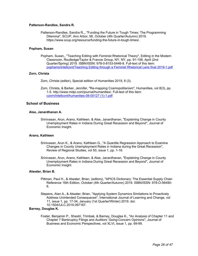# **Patterson-Randles, Sandra R.**

Patterson-Randles, Sandra R.,, "Funding the Future in Tough Times: The Programming Dilemma", SCUP, Ann Arbor, MI, October (4th Quarter/Autumn) 2019. https://www.scup.org/resource/funding-the-future-in-tough-times/.

# **Popham, Susan**

Popham, Susan,, "Teaching Editing with Feminist Rhetorical Theory", Editing in the Modern Classroom, Routledge/Taylor & Francis Group, NY, NY, pp. 91-108, April (2nd Quarter/Spring) 2019. ISBN/ISSN: 978-0-8153-5446-8. Full-text of this item: [pophams/intellcont/Teaching Editing through a Feminist Rhetorical Lens final 2019-1.pdf](https://www.digitalmeasures.com/login/indiana/faculty/survey/ui/showFile?file=cG9waGFtcy9pbnRlbGxjb250L1RlYWNoaW5nIEVkaXRpbmcgdGhyb3VnaCBhIEZlbWluaXN0IFJo%0AZXRvcmljYWwgTGVucyBmaW5hbCAyMDE5LTEucGRm&surId=17829047&nodeId=1610518&sdId=91116049&sdSurId=17829047&rptId=20226&sgntr=r11ig9KeFhA4g68w5gxjRdS8Zpo%3D)

#### **Zorn, Christa**

Zorn, Christa (editor), Special edition of Humanities 2019, 8 (3).

Zorn, Christa, & Barker, Jennifer, "Re-mapping Cosmopolitanism", Humanities, vol 8(3), pp. 1-5. http://www.mdpi.com/journal/humanities/. Full-text of this item: [czorn/intellcont/humanities-08-00127 \(1\)-1.pdf](https://www.digitalmeasures.com/login/indiana/faculty/survey/ui/showFile?file=Y3pvcm4vaW50ZWxsY29udC9odW1hbml0aWVzLTA4LTAwMTI3ICgxKS0xLnBkZg%3D%3D&surId=17691127&nodeId=1610518&sdId=98209897&sdSurId=17691127&rptId=20226&sgntr=Jo7ff%2FdEelouhvbNqbnqVjO6vAo%3D)

# **School of Business**

#### **Alse, Janardhanan A.**

Srinivasan, Arun, Arano, Kathleen, & Alse, Janardhanan, "Explaining Change in County Unemployment Rates in Indiana During Great Recession and Beyond", Journal of Economic Insight.

# **Arano, Kathleen**

- Srinivasan, Arun K., & Arano, Kathleen G., "A Quantile Regression Approach to Examine Changes in County Unemployment Rates in Indiana during the Great Recession", Review of Regional Studies, vol 50, issue 1, pp. 1-16.
- Srinivasan, Arun, Arano, Kathleen, & Alse, Janardhanan, "Explaining Change in County Unemployment Rates in Indiana During Great Recession and Beyond", Journal of Economic Insight.

# **Atwater, Brian B.**

- Pittman, Paul H., & Atwater, Brian, (editors), "APICS Dictionary: The Essential Supply Chain Reference 16th Edition, October (4th Quarter/Autumn) 2019. ISBN/ISSN: 978-O-56490- 6.
- Stepens, Alan A., & Atwater, Brian, "Applying System Dynamics Similations to Proactively Address Unintended Consequeces", International Journal of Learning and Change, vol 11, issue 1, pp. 17-34, January (1st Quarter/Winter) 2019. doi: 10.1504/IJLC.2019.097167.

# **Barney, Douglas K.**

Foster, Benjamin P., Shastri, Trimbak, & Barney, Douglas K., "An Analysis of Chapter 11 and Chapter 7 Bankruptcy Filings and Auditors' Going-Concern Opinions", Journal of Business and Economic Perspectives, vol XLVI, issue 1, pp. 69-99.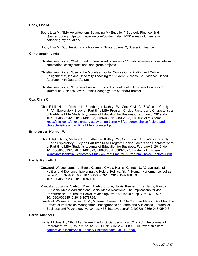# **Book, Lisa M.**

- Book, Lisa M., "IMA Volunteerism: Balancing My Equation", Strategic Finance, 2nd Quarter/Spring. https://sfmagazine.com/post-entry/april-2019-ima-volunteerismbalancing-my-equation/.
- Book, Lisa M., "Confessions of a Reforming "Plate Spinner"", Strategic Finance.

# **Christiansen, Linda**

- Christiansen, Linda,, "Wall Street Journal Weekly Reviews 118 article reviews, complete with summaries, essay questions, and group projects".
- Christiansen, Linda,, "Use of the Modules Tool for Course Organization and Online Assignments", Indiana University Teaching for Student Success: An Evidence-Based Approach, 4th Quarter/Autumn.
- Christiansen, Linda,, "Business Law and Ethics: Foundational to Business Education". Journal of Business Law & Ethics Pedagogy. 3rd Quarter/Summer.

# **Cox, Chris C.**

Choi, Pilsik, Harris, Michael L., Ernstberger, Kathryn W., Cox, Kevin C., & Watson, Carolyn F., "An Exploratory Study on Part-time MBA Program Choice Factors and Characteristics of Part-time MBA Students",Journal of Education for Business, February 8, 2019. doi: 10.1080/08832323.2018.1491823, ISBN/ISSN: 0883-2323, Full-text of this item: [kccox/intellcont/An exploratory study on part time MBA program choice factors and](https://www.digitalmeasures.com/login/indiana/faculty/survey/ui/showFile?file=a2Njb3gvaW50ZWxsY29udC9BbiBleHBsb3JhdG9yeSBzdHVkeSBvbiBwYXJ0IHRpbWUgTUJBIHBy%0Ab2dyYW0gY2hvaWNlIGZhY3RvcnMgYW5kIGNoYXJhY3RlcmlzdGljcyBvZiBwYXJ0IHRpbWUgTUJB%0AIHN0dWRlbnRzLTEucGRm&surId=17691107&nodeId=1610518&sdId=78529844&sdSurId=17691107&rptId=20226&sgntr=s0Ey5K3Rn9bg%2BlA3GnPRdXT0nlo%3D)  [characteristics of part time MBA students-1.pdf](https://www.digitalmeasures.com/login/indiana/faculty/survey/ui/showFile?file=a2Njb3gvaW50ZWxsY29udC9BbiBleHBsb3JhdG9yeSBzdHVkeSBvbiBwYXJ0IHRpbWUgTUJBIHBy%0Ab2dyYW0gY2hvaWNlIGZhY3RvcnMgYW5kIGNoYXJhY3RlcmlzdGljcyBvZiBwYXJ0IHRpbWUgTUJB%0AIHN0dWRlbnRzLTEucGRm&surId=17691107&nodeId=1610518&sdId=78529844&sdSurId=17691107&rptId=20226&sgntr=s0Ey5K3Rn9bg%2BlA3GnPRdXT0nlo%3D)

# **Ernstberger, Kathryn W.**

Choi, Pilsik, Harris, Michael L., Ernstberger, Kathryn W., Cox, Kevin C., & Watson, Carolyn F., "An Exploratory Study on Part-time MBA Program Choice Factors and Characteristics of Part-time MBA Students",Journal of Education for Business, February 8, 2019. doi: 10.1080/08832323.2018.1491823, ISBN/ISSN: 0883-2323, Full-text of this item: [kernst/intellcont/An Exploratory Study on Part Time MBA Program Choice Factors-1.pdf](https://www.digitalmeasures.com/login/indiana/faculty/survey/ui/showFile?file=a2VybnN0L2ludGVsbGNvbnQvQW4gRXhwbG9yYXRvcnkgU3R1ZHkgb24gUGFydCBUaW1lIE1CQSBQ%0Acm9ncmFtIENob2ljZSBGYWN0b3JzLTEucGRm&surId=17691108&nodeId=1610518&sdId=70280949&sdSurId=17691108&rptId=20226&sgntr=XFTJzafOAjIxzywRTBh9f15pYYU%3D)

#### **Harris, Kenneth J.**

- Crawford, Wayne, Lamarre, Ester, Kacmar, K M., & Harris, Kenneth J., "Organizational Politics and Deviance: Exploring the Role of Political Skill", Human Performance, vol 32, issue 2, pp. 92-106. DOI: 10.1080/08959285.2019.1597100, DOI: 10.1080/08959285.2019.1597100.
- Zivnuska, Suzanne, Carlson, Dawn, Carlson, John, Harris, Kenneth J., & Harris, Ranida B.,"Social Media Addiction and Social Media Reactions: The Implications for Job Performance", Journal of Social Psychology, vol 159, issue 6, pp. 746-760. DOI: 10.1080/00224545.2019.1578725.
- Crawford, Wayne S., Kacmar, K M., & Harris, Kenneth J., "Do You See Me as I See Me? The Effects of Impression Management Incongruence of Actors and Audiences", Journal of Business and Psychology, vol 34, pp. 453. https://doi.org/10.1007/s10869-018-9549-6.

#### **Harris, Michael L.**

Harris, Michael L., "Should a Retiree File for Social Security at 62 or 70", The Journal of Retirement, vol 7, issue 2, pp. 51-59, ISBN/ISSN: 2326-6899, Full-text of this item: [harris60/intellcont/Social Security Claiming ages -](https://www.digitalmeasures.com/login/indiana/faculty/survey/ui/showFile?file=aGFycmlzNjAvaW50ZWxsY29udC9Tb2NpYWwgU2VjdXJpdHkgQ2xhaW1pbmcgYWdlcyAtIEpPUi0x%0ALmRvY3g%3D&surId=17691098&nodeId=1610518&sdId=97778062&sdSurId=17691098&rptId=20226&sgntr=cJpZ5cpiHAOBjo4rU0z1S0%2FrXmw%3D) JOR-1.docx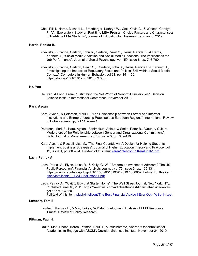Choi, Pilsik, Harris, Michael L., Ernstberger, Kathryn W., Cox, Kevin C., & Watson, Carolyn F., "An Exploratory Study on Part-time MBA Program Choice Factors and Characteristics of Part-time MBA Students", Journal of Education for Business. February 8, 2019.

#### **Harris, Ranida B.**

- Zivnuska, Suzanne, Carlson, John R., Carlson, Dawn S., Harris, Ranida B., & Harris, Kenneth J., "Social Media Addiction and Social Media Reactions: The Implications for Job Performance", Journal of Social Psychology, vol 159, issue 6, pp. 746-760.
- Zivnuska, Suzanne, Carlson, Dawn S., Carlson, John R., Harris, Ranida B & Kenneth J., "Investigating the Impacts of Regulatory Focus and Political Skill within a Social Media Context", Computers in Human Behavior, vol 91, pp. 151-156. https://doi.org/10.1016/j.chb.2018.09.030.

#### **He, Yan**

He, Yan, & Long, Frank, "Estimating the Net Worth of Nonprofit Universities", Decision Science Institute International Conference. November 2019.

#### **Kara, Aycan**

- Kara, Aycan,, & Peterson, Mark F., "The Relationship between Formal and Informal Institutions and Entrepreneurship Rates across European Regions", International Review of Entrepreneurship, vol 14, issue 4.
- Peterson, Mark F., Kara, Aycan,, Fanimokun, Abiola, & Smith, Peter B., "Country Culture Moderators of the Relationship between Gender and Organizational Commitment", Baltic Journal of Management, vol 14, issue 3, pp. 389-410.
- Kara, Aycan, & Russell, Lisa M., "The Final Countdown: A Design for Helping Students Implement Business Strategies", Journal of Higher Education Theory and Practice, vol 19, issue 1, pp. 80 – 94. Full-text of this item: [karaa/intellcont/7 KaraFinal-1.pdf](https://www.digitalmeasures.com/login/indiana/faculty/survey/ui/showFile?file=a2FyYWEvaW50ZWxsY29udC83IEthcmFGaW5hbC0xLnBkZg%3D%3D&surId=17691105&nodeId=1610518&sdId=78314105&sdSurId=17691105&rptId=20226&sgntr=qssUhoMEGFTy0Q7QT2EUGXI%2FSTY%3D)

#### **Lach, Patrick A.**

- Lach, Patrick A., Flynn, Leisa R., & Kelly, G. W., "Brokers or Investment Advisers? The US Public Perception", Financial Analysts Journal, vol 75, issue 3, pp. 125-131, https://www.cfapubs.org/doi/pdf/10.1080/0015198X.2019.1600957. Full-text of this item: [plach/intellcont/\\_\\_\\_FAJ Final Proof-1.pdf](https://www.digitalmeasures.com/login/indiana/faculty/survey/ui/showFile?file=cGxhY2gvaW50ZWxsY29udC9fX19GQUogRmluYWwgUHJvb2YtMS5wZGY%3D&surId=18089702&nodeId=1610518&sdId=97302129&sdSurId=18089702&rptId=20226&sgntr=RB%2BSpumMnCgiVqq%2Bu%2Be%2B3r0KQMs%3D)
- Lach, Patrick A., "Wait to Buy that Starter Home", The Wall Street Journal, New York, NY,. Published June 16, 2019. https://www.wsj.com/articles/the-best-financial-advice-i-evergot-11560737220. Full-text of this item: [plach/intellcont/The Best Financial Advice I Ever Got -](https://www.digitalmeasures.com/login/indiana/faculty/survey/ui/showFile?file=cGxhY2gvaW50ZWxsY29udC9UaGUgQmVzdCBGaW5hbmNpYWwgQWR2aWNlIEkgRXZlciBHb3QgLSBX%0AU0otMS0xLnBkZg%3D%3D&surId=18089702&nodeId=1610518&sdId=98130808&sdSurId=18089702&rptId=20226&sgntr=gNDDD%2BdU8UTN%2FOU8eahyLlsPPuU%3D) WSJ-1-1.pdf

#### **Lambert, Tom E.**

Lambert, Thomas E., & Min, Hokey, "A Data Envelopment Analysis of EMS Response Times". Review of Policy Research.

#### **Pittman, Paul H.**

Drake, Matt, Eboch, Karen, Pittman, Paul H., & Prud'homme, Andrea,"Opportunities for Academics to Engage with ASCM", Decision Sciences Institute. November 24, 2019.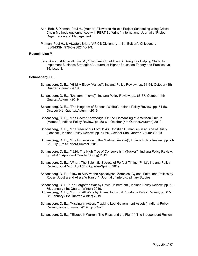- Ash, Bob, & Pittman, Paul H., (Author), "Towards Holistic Project Scheduling using Critical Chain Methodology enhanced with PERT Buffering". International Journal of Project Organization and Management.
- Pittman, Paul H., & Atwater, Brian, "APICS Dictionary 16th Edition", Chicago, IL, ISBN/ISSN: 978-0-9882146-1-3.

#### **Russell, Lisa M.**

Kara, Aycan, & Russell, Lisa M., "The Final Countdown: A Design for Helping Students Implement Business Strategies.", Journal of Higher Education Theory and Practice, vol 19, issue 1.

#### **Schansberg, D. E.**

- Schansberg, D. E.,, "Hillbilly Elegy (Vance)", Indiana Policy Review, pp. 61-64. October (4th Quarter/Autumn) 2019.
- Schansberg, D. E.,, "Shazam! (movie)", Indiana Policy Review, pp. 66-67. October (4th Quarter/Autumn) 2019.
- Schansberg, D. E.,, "The Kingdom of Speech (Wolfe)", Indiana Policy Review, pp. 54-58. October (4th Quarter/Autumn) 2019.
- Schansberg, D. E.,, "The Secret Knowledge: On the Dismantling of American Culture (Mamet)", Indiana Policy Review, pp. 58-61. October (4th Quarter/Autumn) 2019.
- Schansberg, D. E.,, "The Year of our Lord 1943: Christian Humanism in an Age of Crisis (Jacobs)", Indiana Policy Review, pp. 64-66. October (4th Quarter/Autumn) 2019.
- Schansberg, D. E.,, "The Professor and the Madman (movie)", Indiana Policy Review, pp. 21- 23. July (3rd Quarter/Summer) 2019.
- Schansberg, D. E.,, "1924: The High Tide of Conservatism (Tucker)", Indiana Policy Review, pp. 44-47. April (2nd Quarter/Spring) 2019.
- Schansberg, D. E.,, "When: The Scientific Secrets of Perfect Timing (Pink)", Indiana Policy Review, pp. 47-48. April (2nd Quarter/Spring) 2019.
- Schansberg, D. E.,, "How to Survive the Apocalypse: Zombies, Cylons, Faith, and Politics by Robert Joustra and Alissa Wilkinson", Journal of Interdisciplinary Studies.
- Schansberg, D. E., "The Forgotten War by David Halberstam", Indiana Policy Review, pp. 68- 75. January (1st Quarter/Winter) 2019.
- Schansberg, D. E.,, "To End All Wars by Adam Hochschild", Indiana Policy Review, pp. 67- 68. January (1st Quarter/Winter) 2019.
- Schansberg, D. E.,, "Missing in Action: Tracking Lost Government Assets", Indiana Policy Review, issue Summer 2019, pp. 24-25.

Schansberg, D. E.,, ""Elizabeth Warren, The Flips, and the Fight"", The Independent Review.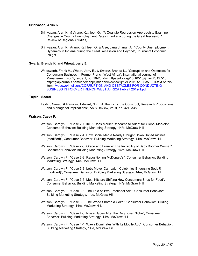# **Srinivasan, Arun K.**

- Srinivasan, Arun K., & Arano, Kathleen G., "A Quantile Regression Approach to Examine Changes in County Unemployment Rates in Indiana during the Great Recession", Review of Regional Studies,
- Srinivasan, Arun K., Arano, Kathleen G.,& Alse, Janardhanan A., "County Unemployment Dynamics in Indiana during the Great Recession and Beyond", Journal of Economic Insight.

#### **Swartz, Brenda K. and Wheat, Jerry E.**

Wadsworth, Frank H., Wheat, Jerry E., & Swartz, Brenda K., "Corruption and Obstacles for Conducting Business in Former French West Africa", International Journal of Management, vol 5, issue 1, pp. 18-23, doi: https://doi.org/10.18510/ijmier.2019.513, http://giapjournals.com/index.php/ijmier/article/view/ijmier.2019.513/635. Full-text of this item: [fwadswo/intellcont/CORRUPTION AND OBSTACLES FOR CONDUCTING](https://www.digitalmeasures.com/login/indiana/faculty/survey/ui/showFile?file=ZndhZHN3by9pbnRlbGxjb250L0NPUlJVUFRJT04gQU5EIE9CU1RBQ0xFUyBGT1IgQ09ORFVDVElO%0ARyBCVVNJTkVTUyBJTiBGT1JNRVIgRlJFTkNIIFdFU1QgQUZSSUNBIEZlYiAyNyAyMDE5LTEucGRm%0A&surId=17692515&nodeId=1610518&sdId=89038560&sdSurId=17692515&rptId=20226&sgntr=j2Y2x52OM9g5XO7TOYy4w9NQKC8%3D)  [BUSINESS IN FORMER FRENCH WEST AFRICA Feb 27 2019-1.pdf](https://www.digitalmeasures.com/login/indiana/faculty/survey/ui/showFile?file=ZndhZHN3by9pbnRlbGxjb250L0NPUlJVUFRJT04gQU5EIE9CU1RBQ0xFUyBGT1IgQ09ORFVDVElO%0ARyBCVVNJTkVTUyBJTiBGT1JNRVIgRlJFTkNIIFdFU1QgQUZSSUNBIEZlYiAyNyAyMDE5LTEucGRm%0A&surId=17692515&nodeId=1610518&sdId=89038560&sdSurId=17692515&rptId=20226&sgntr=j2Y2x52OM9g5XO7TOYy4w9NQKC8%3D)

#### **Tajdini, Saeed**

Tajdini, Saeed, & Ramirez, Edward, "Firm Authenticity: the Construct, Research Propositions, and Managerial Implications", AMS Review, vol 9, pp. 324–338.

#### **Watson, Casey F.**

- Watson, Carolyn F., "Case 2-1: IKEA Uses Market Research to Adapt for Global Markets", Consumer Behavior: Building Marketing Strategy, 14/e, McGraw Hill.
- Watson, Carolyn F., "Case 2-4: How Social Media Nearly Brought Down United Airlines (modified)", Consumer Behavior: Building Marketing Strategy, 14/e, McGraw Hill.
- Watson, Carolyn F., "Case 2-5: Grace and Frankie: The Invisibility of Baby Boomer Women", Consumer Behavior: Building Marketing Strategy, 14/e, McGraw Hill.
- Watson, Carolyn F., "Case 3-2: Repositioning McDonald's", Consumer Behavior: Building Marketing Strategy, 14/e, McGraw Hill.
- Watson, Carolyn F., "Case 3-3: Let's Move! Campaign Celebrities Endorsing Soda?! (modified)", Consumer Behavior: Building Marketing Strategy, 14/e, McGraw Hill.
- Watson, Carolyn F., "Case 3-5: Meal Kits are Shifting How Consumers Shop for Food", Consumer Behavior: Building Marketing Strategy, 14/e, McGraw Hill.
- Watson, Carolyn F., "Case 3-8: The Tale of Two Emotional Ads", Consumer Behavior: Building Marketing Strategy, 14/e, McGraw Hill.
- Watson, Carolyn F., "Case 3-9: The World Shares a Coke", Consumer Behavior: Building Marketing Strategy, 14/e, McGraw Hill.
- Watson, Carolyn F., "Case 4-3: Nissan Goes After the Dog Lover Niche", Consumer Behavior: Building Marketing Strategy, 14/e, McGraw Hill.
- Watson, Carolyn F., "Case 4-4: Wawa Dominates With Its Mobile App", Consumer Behavior: Building Marketing Strategy, 14/e, McGraw Hill.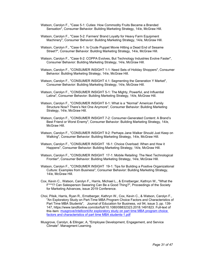- Watson, Carolyn F., "Case 5-1: Cuties: How Commodity Fruits Became a Branded Sensation", Consumer Behavior: Building Marketing Strategy, 14/e, McGraw Hill.
- Watson, Carolyn F., "Case 5-2: Farmers' Brand Loyalty for Heavy Farm Equipment Machinery", Consumer Behavior: Building Marketing Strategy, 14/e, McGraw Hill.
- Watson, Carolyn F., "Case 6-1: Is Crude Puppet Movie Hitting a Dead End of Sesame Street?", Consumer Behavior: Building Marketing Strategy, 14/e, McGraw Hill.
- Watson, Carolyn F., "Case 6-2: COPPA Evolves, But Technology Industries Evolve Faster", Consumer Behavior: Building Marketing Strategy, 14/e, McGraw Hill.
- Watson, Carolyn F., "CONSUMER INSIGHT 1-1: Need Sets of Holiday Shoppers", Consumer Behavior: Building Marketing Strategy, 14/e, McGraw Hill.
- Watson, Carolyn F., "CONSUMER INSIGHT 4.1: Segmenting the Generation Y Market", Consumer Behavior: Building Marketing Strategy, 14/e, McGraw Hill.
- Watson, Carolyn F., "CONSUMER INSIGHT 5-1: The Mighty, Powerful, and Influential Latina", Consumer Behavior: Building Marketing Strategy, 14/e, McGraw Hill.
- Watson, Carolyn F., "CONSUMER INSIGHT 6-1: What is a "Normal" American Family Structure Now? There's Not One Anymore", Consumer Behavior: Building Marketing Strategy, 14/e, McGraw Hill.
- Watson, Carolyn F., "CONSUMER INSIGHT 7-2: Consumer-Generated Content: A Brand's Best Friend or Worst Enemy", Consumer Behavior: Building Marketing Strategy, 14/e, McGraw Hill.
- Watson, Carolyn F., "CONSUMER INSIGHT 9-2: Perhaps Jane Walker Should Just Keep on Walking", Consumer Behavior: Building Marketing Strategy, 14/e, McGraw Hill.
- Watson, Carolyn F., "CONSUMER INSIGHT 16-1: Choice Overload: When and How it Happens", Consumer Behavior: Building Marketing Strategy, 14/e, McGraw Hill.
- Watson, Carolyn F., "CONSUMER INSIGHT 17-1: Mobile Retailing: The Next Technological Frontier", Consumer Behavior: Building Marketing Strategy, 14/e, McGraw Hill.
- Watson, Carolyn F., "CONSUMER INSIGHT 19-1: Tips for Building a Positive Organizational Culture: Examples from Business", Consumer Behavior: Building Marketing Strategy, 14/e, McGraw Hill.
- Cox, Kevin C., Watson, Carolyn F,, Harris, Michael L., & Ernstberger, Kathryn W., "What the F\*\*\*!? Can Salesperson Swearing Can Be a Good Thing?", Proceedings of the Society for Marketing Advances, issue 2019 Conference.
- Choi, Pilsik, Harris, Ryan R., Ernstberger, Kathryn W., Cox, Kevin C., & Watson, Carolyn F., "An Exploratory Study on Part-Time MBA Program Choice Factors and Characteristics of Part Time MBA Students", Journal of Education for Business, vol 94, issue 3, pp. 139- 147, https://www.tandfonline.com/doi/full/10.1080/08832323.2018.1491823. Full-text of this item: [musgrove/intellcont/An exploratory study on part time MBA program choice](https://www.digitalmeasures.com/login/indiana/faculty/survey/ui/showFile?file=bXVzZ3JvdmUvaW50ZWxsY29udC9BbiBleHBsb3JhdG9yeSBzdHVkeSBvbiBwYXJ0IHRpbWUgTUJB%0AIHByb2dyYW0gY2hvaWNlIGZhY3RvcnMgYW5kIGNoYXJhY3RlcmlzdGljcyBvZiBwYXJ0IHRpbWUg%0ATUJBIHN0dWRlbnRzLTEucGRm&surId=17691113&nodeId=1610518&sdId=88640223&sdSurId=17691113&rptId=20226&sgntr=y2tJG%2FmbPrXQGCKy3lnni%2FWBRSA%3D)  [factors and characteristics of part time MBA students-1.pdf](https://www.digitalmeasures.com/login/indiana/faculty/survey/ui/showFile?file=bXVzZ3JvdmUvaW50ZWxsY29udC9BbiBleHBsb3JhdG9yeSBzdHVkeSBvbiBwYXJ0IHRpbWUgTUJB%0AIHByb2dyYW0gY2hvaWNlIGZhY3RvcnMgYW5kIGNoYXJhY3RlcmlzdGljcyBvZiBwYXJ0IHRpbWUg%0ATUJBIHN0dWRlbnRzLTEucGRm&surId=17691113&nodeId=1610518&sdId=88640223&sdSurId=17691113&rptId=20226&sgntr=y2tJG%2FmbPrXQGCKy3lnni%2FWBRSA%3D)
- Musgrove, Carolyn, & Ellinger, A, "Employee Development, Engagement, and Service Climate". Managment Learning.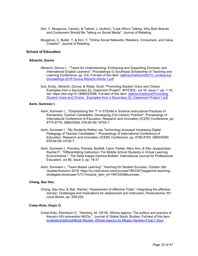- Kim, Y, Musgrove, Carolyn, & Talbott, J, (Author), "Look Who's Talking: Why Both Brands and Consumers Should Be Talking on Social Media". Journal of Retailing.
- Musgrove, C, Butler, T, & Kim, Y, "Online Social Networks: Retailers, Consumers, and Value Creation". Journal of Retailing.

# **School of Education**

#### **Albrecht, Donna**

- Albrecht, Donna L., "Teach for Understanding: Embracing and Supporting Domestic and International English Learners", Proceedings IU Southeast Scholarship of Teaching and Learning Conference, pp. 5-9, Full-text of this item: [dalbrec/intellcont/SOTL-conference](https://www.digitalmeasures.com/login/indiana/faculty/survey/ui/showFile?file=ZGFsYnJlYy9pbnRlbGxjb250L1NPVEwtY29uZmVyZW5jZS1wcm9jZWVkaW5ncy0yMDE5IERvbm5h%0AIEFsYnJlY2h0IEFydGljbGUtMS5wZGY%3D&surId=17918974&nodeId=1610518&sdId=97841591&sdSurId=17918974&rptId=20226&sgntr=Fqdt5mE1UzUQlj3J4%2BLJqr4ASOE%3D)[proceedings-2019 Donna Albrecht Article-1.pdf](https://www.digitalmeasures.com/login/indiana/faculty/survey/ui/showFile?file=ZGFsYnJlYy9pbnRlbGxjb250L1NPVEwtY29uZmVyZW5jZS1wcm9jZWVkaW5ncy0yMDE5IERvbm5h%0AIEFsYnJlY2h0IEFydGljbGUtMS5wZGY%3D&surId=17918974&nodeId=1610518&sdId=97841591&sdSurId=17918974&rptId=20226&sgntr=Fqdt5mE1UzUQlj3J4%2BLJqr4ASOE%3D)
- Suh, Emily, Albrecht, Donna, & Wade, Scott, "Promoting Student Voice and Choice: Examples from a Secondary EL Classroom Project", INTESOL, vol 16, issue 1, pp. 1-16, doi: https://doi.org/10.18060/23598, Full-text of this item: [dalbrec/intellcont/Promoting](https://www.digitalmeasures.com/login/indiana/faculty/survey/ui/showFile?file=ZGFsYnJlYy9pbnRlbGxjb250L1Byb21vdGluZyBTdHVkZW50IFZvaWNlIGFuZCBDaG9pY2UgIEV4%0AYW1wbGVzIGZyb20gYSBTZWNvbmRhcnkgRUwgQ2xhc3Nyb29tIFByb2plY3QtMS5wZGY%3D&surId=17918974&nodeId=1610518&sdId=97840913&sdSurId=17918974&rptId=20226&sgntr=0QyCrQOHSo0jg6Ru%2BlTvUcek0mA%3D)  [Student Voice and Choice Examples from a](https://www.digitalmeasures.com/login/indiana/faculty/survey/ui/showFile?file=ZGFsYnJlYy9pbnRlbGxjb250L1Byb21vdGluZyBTdHVkZW50IFZvaWNlIGFuZCBDaG9pY2UgIEV4%0AYW1wbGVzIGZyb20gYSBTZWNvbmRhcnkgRUwgQ2xhc3Nyb29tIFByb2plY3QtMS5wZGY%3D&surId=17918974&nodeId=1610518&sdId=97840913&sdSurId=17918974&rptId=20226&sgntr=0QyCrQOHSo0jg6Ru%2BlTvUcek0mA%3D) Secondary EL Classroom Project-1.pdf

#### **Asim, Sumreen I.**

- Asim, Sumreen I.,, "Emphasizing the "T" in STEAM in Science Instructional Practices of Elementary Teacher Candidates' Developing 21st Century Practice", Proceedings of International Conference of Education, Research and Innovation (ICERI) Conference, pp. 8775-8779, ISBN/ISSN: 978-84-09-14755-7.
- Asim, Sumreen I., "My Students Rather use Technology anyways! Increasing Digital Pedagogy of Teacher Candidates.", Proceedings of International Conference of Education, Research and Innovation (ICERI) Conference, pp. 8780-8783, ISBN/ISSN: 978-84-09-14755-7.
- Asim, Sumreen I., Ponners, Pamela, Bartlett, Carol, Parker, Mary Ann, & Star Jayapandian, Rachel P., "Differentiating Instruction: For Middle School Students in Virtual Learning Environments.", The Delta Kappa Gamma Bulletin: International Journal for Professional Educators, vol 86, issue 3, pp. 19-31
- Asim, Sumreen I., "Team-Based Learning", Teaching for Student Success, October (4th Quarter/Autumn) 2019. https://iu.instructure.com/courses/1853347/pages/m4-teachingstrategies-showcase-%7C?module\_item\_id=19472426#sumreen.

#### **Chang, Sau Hou**

Chang, Sau Hou, & Star, Rachel, "Assessment of Affective Traits", Integrating the affective domain: Challenges and implications for assessment and instruction, Ronkonkoma, NY: Linus Books, pp. 209-226,

#### **Coker-Kolo, Doyin O.**

Coker-Kolo, Efundoyin O., "Hershey, M. (2019). Whose agency: The politics and practice of Kenya's HIV-prevention NGOs.", Journal of Global South Studies, Full-text of this item: ecokerko/intellcont/Book Review- [Whose Agency by Megan Hershey-Final-1.docx](https://www.digitalmeasures.com/login/indiana/faculty/survey/ui/showFile?file=ZWNva2Vya28vaW50ZWxsY29udC9Cb29rIFJldmlldy0gV2hvc2UgQWdlbmN5IGJ5IE1lZ2FuIEhl%0AcnNoZXktRmluYWwtMS5kb2N4&surId=17691036&nodeId=1610518&sdId=97455351&sdSurId=17691036&rptId=20226&sgntr=ljTcB%2BJRPpyUVnCthGAXqbOLgBI%3D)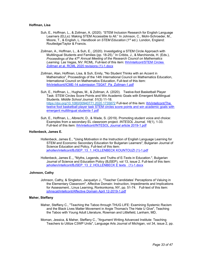# **Hoffman, Lisa**

- Suh, E., Hoffman, L., & Zollman, A. (2020). "STEM Inclusion Research for English Language Learners (ELLs): Making STEM Accessible to All." In Johnson, C., Mohr-Schroeder, M., Moore, T., & English, L. *Handbook on STEM Education* (1st ed.). London, England: Routledge/Taylor & Francis.
- Zollman, A., Hoffman, L., & Suh, E., (2020). Investigating a STEM Circle Approach with Multilingual Students and Families (pp. 18-25)." In Cribbs, J., & Marchionda, H. (Eds.), *Proceedings of the 47th Annual Meeting of the Research Council on Mathematics Learning.* Las Vegas, NV: RCML. Full-text of this item: [lhh/intellcont/STEM Circles](https://www.digitalmeasures.com/login/indiana/faculty/survey/ui/showFile?file=bGhoL2ludGVsbGNvbnQvU1RFTSBDaXJjbGVzIFpvbGxtYW4gZXQgYWwuIFJDTUwgMjAyMCByZXZp%0Ac2lvbnMgKDEpLTEuZG9jeA%3D%3D&surId=17691045&nodeId=1610518&sdId=97329412&sdSurId=17691045&rptId=20226&sgntr=sGFW9aoDRvsjvYzfIb%2Fr0yeG%2F%2FQ%3D)  [Zollman et al. RCML 2020 revisions \(1\)-1.docx](https://www.digitalmeasures.com/login/indiana/faculty/survey/ui/showFile?file=bGhoL2ludGVsbGNvbnQvU1RFTSBDaXJjbGVzIFpvbGxtYW4gZXQgYWwuIFJDTUwgMjAyMCByZXZp%0Ac2lvbnMgKDEpLTEuZG9jeA%3D%3D&surId=17691045&nodeId=1610518&sdId=97329412&sdSurId=17691045&rptId=20226&sgntr=sGFW9aoDRvsjvYzfIb%2Fr0yeG%2F%2FQ%3D)
- Zollman, Alan, Hoffman, Lisa, & Suh, Emily, "No Student Thinks with an Accent in Mathematics", Proceedings of the 14th International Council on Mathematics Education, International Council on Mathematics Education, Full-text of this item: [lhh/intellcont/ICME-14 submission TSG47\\_Pa\\_Zollman-1.pdf](https://www.digitalmeasures.com/login/indiana/faculty/survey/ui/showFile?file=bGhoL2ludGVsbGNvbnQvSUNNRS0xNCBzdWJtaXNzaW9uIFRTRzQ3X1BhX1pvbGxtYW4tMS5wZGY%3D&surId=17691045&nodeId=1610518&sdId=97891421&sdSurId=17691045&rptId=20226&sgntr=HY1v3AjziW4hIhpmOvoN2bOLJRw%3D)
- Suh, E., Hoffman, L., Hughes, M., & Zollman, A. (2020). Twelve-foot Basketball Player Task: STEM Circles Score Points and Win Academic Goals with Emergent Multilingual Students. *Middle School Journal. 51*(3) 11-18. <https://doi.org/10.1080/00940771.2020.1735872> Full-text of this item: [lhh/intellcont/The](https://www.digitalmeasures.com/login/indiana/faculty/survey/ui/showFile?file=bGhoL2ludGVsbGNvbnQvVGhlIHR3ZWx2ZSBmb290IGJhc2tldGJhbGwgcGxheWVyIHRhc2sgU1RF%0ATSBjaXJjbGVzIHNjb3JlIHBvaW50cyBhbmQgd2luIGFjYWRlbWljIGdvYWxzIHdpdGggZW1lcmdl%0AbnQgbXVsdGlsaW5ndWFsIHN0dWRlbnRzLTEucGRm&surId=17691045&nodeId=1610518&sdId=97330231&sdSurId=17691045&rptId=20226&sgntr=zDYGYEUXaz9DRmNGA8k6UKLflGw%3D)  [twelve foot basketball player task STEM circles score points and win academic goals with](https://www.digitalmeasures.com/login/indiana/faculty/survey/ui/showFile?file=bGhoL2ludGVsbGNvbnQvVGhlIHR3ZWx2ZSBmb290IGJhc2tldGJhbGwgcGxheWVyIHRhc2sgU1RF%0ATSBjaXJjbGVzIHNjb3JlIHBvaW50cyBhbmQgd2luIGFjYWRlbWljIGdvYWxzIHdpdGggZW1lcmdl%0AbnQgbXVsdGlsaW5ndWFsIHN0dWRlbnRzLTEucGRm&surId=17691045&nodeId=1610518&sdId=97330231&sdSurId=17691045&rptId=20226&sgntr=zDYGYEUXaz9DRmNGA8k6UKLflGw%3D)  [emergent multilingual students-1.pdf](https://www.digitalmeasures.com/login/indiana/faculty/survey/ui/showFile?file=bGhoL2ludGVsbGNvbnQvVGhlIHR3ZWx2ZSBmb290IGJhc2tldGJhbGwgcGxheWVyIHRhc2sgU1RF%0ATSBjaXJjbGVzIHNjb3JlIHBvaW50cyBhbmQgd2luIGFjYWRlbWljIGdvYWxzIHdpdGggZW1lcmdl%0AbnQgbXVsdGlsaW5ndWFsIHN0dWRlbnRzLTEucGRm&surId=17691045&nodeId=1610518&sdId=97330231&sdSurId=17691045&rptId=20226&sgntr=zDYGYEUXaz9DRmNGA8k6UKLflGw%3D)
- Suh, E., Hoffman, L., Albrecht, D., & Wade, S. (2019). Promoting student voice and choice: Examples from a secondary EL classroom project. *INTESOL Journal, 16*(1), 1-33. Full-text of this item: [lhh/intellcont/INTESOL Journal article 2019-1.pdf](https://www.digitalmeasures.com/login/indiana/faculty/survey/ui/showFile?file=bGhoL2ludGVsbGNvbnQvSU5URVNPTCBKb3VybmFsIGFydGljbGUgMjAxOS0xLnBkZg%3D%3D&surId=17691045&nodeId=1610518&sdId=97333726&sdSurId=17691045&rptId=20226&sgntr=%2BVE%2BnsfsiRP5sNSmshMSe4Ha2AE%3D)

# **Hollenbeck, James E.**

- Hollenbeck, James E., "Using Motivation in the Instruction of English Language Learning for STEM and Economic Secondary Education for Bulgarian Learners", Bulgarian Journal of Science Education and Policy, Full-text of this item: [jehollen/intellcont/BJSEP\\_13\\_1\\_HOLLENBECK KOUNTOUZI \(1\)-1.pdf](https://www.digitalmeasures.com/login/indiana/faculty/survey/ui/showFile?file=amVob2xsZW4vaW50ZWxsY29udC9CSlNFUF8xM18xX0hPTExFTkJFQ0sgS09VTlRPVVpJICgxKS0x%0ALnBkZg%3D%3D&surId=17691040&nodeId=1610518&sdId=97279469&sdSurId=17691040&rptId=20226&sgntr=jPqSVrJJOcwvX1nrys2unqIL2FI%3D)
- Hollenbeck, James E.,, "Myths, Legends, and Truths of E-Texts in Education.", Bulgarian Journal of Science and Education Policy (BJSEP), vol 13, issue 2. Full-text of this item: [jehollen/intellcont/BJSEP\\_13\\_2\\_HOLLENBECK E texts \(1\)-1.docx](https://www.digitalmeasures.com/login/indiana/faculty/survey/ui/showFile?file=amVob2xsZW4vaW50ZWxsY29udC9CSlNFUF8xM18yX0hPTExFTkJFQ0sgRSB0ZXh0cyAgKDEpLTEu%0AZG9jeA%3D%3D&surId=17691040&nodeId=1610518&sdId=97181127&sdSurId=17691040&rptId=20226&sgntr=eTzZdSeRka28WDmvQoInSw4M9o4%3D)

# **Johnson, Cathy**

Johnson, Cathy, & Singleton, Jacquelyn J., "Teacher Candidates' Perceptions of Valuing in the Elementary Classroom", Affective Domain: Instruction, Impediments and Implications for Assessment., Linus Learning, Ronkonkoma, NY, pp. 51-74. Full-text of this item: [johnscat/intellcont/Affective Domain April 12-2019-1.pdf](https://www.digitalmeasures.com/login/indiana/faculty/survey/ui/showFile?file=am9obnNjYXQvaW50ZWxsY29udC9BZmZlY3RpdmUgRG9tYWluIEFwcmlsIDEyLTIwMTktMS5wZGY%3D&surId=17691041&nodeId=1610518&sdId=78299599&sdSurId=17691041&rptId=20226&sgntr=icDV%2B81rY%2F%2Ff3tDyJeQRb66yXgE%3D)

# **Maher, Steffany**

- Maher, Steffany C., "Teaching the Taboo through THUG LIFE: Examining Systemic Racism and the Black Lives Matter Movement in Angie Thomas's The Hate U Give", Teaching the Taboo with Young Adult Literature, Rowman and Littlefield, Lanham, MD,
- Moman, Jessica, & Maher, Steffany C., "Argument Writing Advanced Institute: Teaching Teachers to Utilize C3WP Units", Language Arts Journal of Michigan, vol 34, issue 2, pp.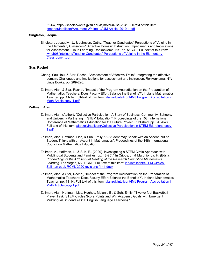62-64, https://scholarworks.gvsu.edu/lajm/vol34/iss2/13/. Full-text of this item: [stmaher/intellcont/Argument Writing\\_LAJM Article\\_2019-1.pdf](https://www.digitalmeasures.com/login/indiana/faculty/survey/ui/showFile?file=c3RtYWhlci9pbnRlbGxjb250L0FyZ3VtZW50IFdyaXRpbmdfTEFKTSBBcnRpY2xlXzIwMTktMS5w%0AZGY%3D&surId=17994982&nodeId=1610518&sdId=96932458&sdSurId=17994982&rptId=20226&sgntr=dXl143dGYjz%2BSk6%2FKsvJM1BE4TU%3D)

#### **Singleton, Jacque J.**

Singleton, Jacquelyn J., & Johnson, Cathy, "Teacher Candidates' Perceptions of Valuing in the Elementary Classroom", Affective Domain: Instruction, Impediments and Implications for Assessment., Linus Learning, Ronkonkoma, NY, pp. 51-74. Full-text of this item: [jwrigh06/intellcont/Teacher Candidates' Perceptions of Valuing in the Elementary](https://www.digitalmeasures.com/login/indiana/faculty/survey/ui/showFile?file=andyaWdoMDYvaW50ZWxsY29udC9UZWFjaGVyIENhbmRpZGF0ZXPigJkgUGVyY2VwdGlvbnMgb2Yg%0AVmFsdWluZyBpbiB0aGUgRWxlbWVudGFyeSBDbGFzc3Jvb20tMS5wZGY%3D&surId=17691042&nodeId=1610518&sdId=96645610&sdSurId=17691042&rptId=20226&sgntr=WaXhtd9I%2BGPaue61e5up1IGeiZo%3D)  [Classroom-1.pdf](https://www.digitalmeasures.com/login/indiana/faculty/survey/ui/showFile?file=andyaWdoMDYvaW50ZWxsY29udC9UZWFjaGVyIENhbmRpZGF0ZXPigJkgUGVyY2VwdGlvbnMgb2Yg%0AVmFsdWluZyBpbiB0aGUgRWxlbWVudGFyeSBDbGFzc3Jvb20tMS5wZGY%3D&surId=17691042&nodeId=1610518&sdId=96645610&sdSurId=17691042&rptId=20226&sgntr=WaXhtd9I%2BGPaue61e5up1IGeiZo%3D)

# **Star, Rachel**

- Chang, Sau Hou, & Star, Rachel, "Assessment of Affective Traits", Integrating the affective domain: Challenges and implications for assessment and instruction, Ronkonkoma, NY: Linus Books, pp. 209-226,
- Zollman, Alan, & Star, Rachel, "Impact of the Program Accreditation on the Preparation of Mathematics Teachers: Does Faculty Effort Balance the Benefits?", Indiana Mathematics Teacher, pp. 11-14. Full-text of this item: [alanzoll/intellcont/IMJ Program Accreditation in](https://www.digitalmeasures.com/login/indiana/faculty/survey/ui/showFile?file=YWxhbnpvbGwvaW50ZWxsY29udC9JTUogUHJvZ3JhbSBBY2NyZWRpdGF0aW9uIGluIE1hdGggQXJ0%0AaWNsZSBjb3B5LTEucGRm&surId=17691031&nodeId=1610518&sdId=96718095&sdSurId=17691031&rptId=20226&sgntr=HtVfdG51ktktO%2Bqwf%2BwKuCToXJg%3D)  [Math Article copy-1.pdf](https://www.digitalmeasures.com/login/indiana/faculty/survey/ui/showFile?file=YWxhbnpvbGwvaW50ZWxsY29udC9JTUogUHJvZ3JhbSBBY2NyZWRpdGF0aW9uIGluIE1hdGggQXJ0%0AaWNsZSBjb3B5LTEucGRm&surId=17691031&nodeId=1610518&sdId=96718095&sdSurId=17691031&rptId=20226&sgntr=HtVfdG51ktktO%2Bqwf%2BwKuCToXJg%3D)

#### **Zollman, Alan**

- Zollman, Alan, (Author), "Collective Participation: A Story of Business, Community, Schools, and University Partnering in STEM Education", Proceedings of the 15th International Conference of Mathematics Education for the Future Project, Published. pp. 643-648. Full-text of this item: [alanzoll/intellcont/Collective Participation in](https://www.digitalmeasures.com/login/indiana/faculty/survey/ui/showFile?file=YWxhbnpvbGwvaW50ZWxsY29udC9Db2xsZWN0aXZlIFBhcnRpY2lwYXRpb24gaW4gU1RFTSBFZC5J%0AcmVsYW5kIGNvcHktMS5wZGY%3D&surId=17691031&nodeId=1610518&sdId=96717912&sdSurId=17691031&rptId=20226&sgntr=92UjmVCUWj0Xlb6bzuJPVgofA68%3D) STEM Ed.Ireland copy-[1.pdf](https://www.digitalmeasures.com/login/indiana/faculty/survey/ui/showFile?file=YWxhbnpvbGwvaW50ZWxsY29udC9Db2xsZWN0aXZlIFBhcnRpY2lwYXRpb24gaW4gU1RFTSBFZC5J%0AcmVsYW5kIGNvcHktMS5wZGY%3D&surId=17691031&nodeId=1610518&sdId=96717912&sdSurId=17691031&rptId=20226&sgntr=92UjmVCUWj0Xlb6bzuJPVgofA68%3D)
- Zollman, Alan, Hoffman, Lisa, & Suh, Emily, "A Student may Speak with an Accent, but no Student Thinks with an Accent in Mathematics", Proceedings of the 14th International Council on Mathematics Education,
- Zollman, A., Hoffman, L., & Suh, E., (2020). Investigating a STEM Circle Approach with Multilingual Students and Families (pp. 18-25)." In Cribbs, J., & Marchionda, H. (Eds.), *Proceedings of the 47th Annual Meeting of the Research Council on Mathematics Learning.* Las Vegas, NV: RCML. Full-text of this item: [lhh/intellcont/STEM Circles](https://www.digitalmeasures.com/login/indiana/faculty/survey/ui/showFile?file=bGhoL2ludGVsbGNvbnQvU1RFTSBDaXJjbGVzIFpvbGxtYW4gZXQgYWwuIFJDTUwgMjAyMCByZXZp%0Ac2lvbnMgKDEpLTEuZG9jeA%3D%3D&surId=17691045&nodeId=1610518&sdId=97329412&sdSurId=17691045&rptId=20226&sgntr=sGFW9aoDRvsjvYzfIb%2Fr0yeG%2F%2FQ%3D)  [Zollman et al. RCML 2020 revisions \(1\)-1.docx](https://www.digitalmeasures.com/login/indiana/faculty/survey/ui/showFile?file=bGhoL2ludGVsbGNvbnQvU1RFTSBDaXJjbGVzIFpvbGxtYW4gZXQgYWwuIFJDTUwgMjAyMCByZXZp%0Ac2lvbnMgKDEpLTEuZG9jeA%3D%3D&surId=17691045&nodeId=1610518&sdId=97329412&sdSurId=17691045&rptId=20226&sgntr=sGFW9aoDRvsjvYzfIb%2Fr0yeG%2F%2FQ%3D)
- Zollman, Alan, & Star, Rachel, "Impact of the Program Accreditation on the Preparation of Mathematics Teachers: Does Faculty Effort Balance the Benefits?", Indiana Mathematics Teacher, pp. 11-14. Full-text of this item: [alanzoll/intellcont/IMJ Program Accreditation in](https://www.digitalmeasures.com/login/indiana/faculty/survey/ui/showFile?file=YWxhbnpvbGwvaW50ZWxsY29udC9JTUogUHJvZ3JhbSBBY2NyZWRpdGF0aW9uIGluIE1hdGggQXJ0%0AaWNsZSBjb3B5LTEucGRm&surId=17691031&nodeId=1610518&sdId=96718095&sdSurId=17691031&rptId=20226&sgntr=HtVfdG51ktktO%2Bqwf%2BwKuCToXJg%3D)  [Math Article copy-1.pdf](https://www.digitalmeasures.com/login/indiana/faculty/survey/ui/showFile?file=YWxhbnpvbGwvaW50ZWxsY29udC9JTUogUHJvZ3JhbSBBY2NyZWRpdGF0aW9uIGluIE1hdGggQXJ0%0AaWNsZSBjb3B5LTEucGRm&surId=17691031&nodeId=1610518&sdId=96718095&sdSurId=17691031&rptId=20226&sgntr=HtVfdG51ktktO%2Bqwf%2BwKuCToXJg%3D)
- Zollman, Alan, Hoffman, Lisa, Hughes, Melanie E., & Suh, Emily, "Twelve-foot Basketball Player Task: STEM Circles Score Points and Win Academic Goals with Emergent Multilingual Students (a.k.a. English Language Learners)."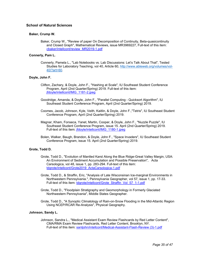# **School of Natural Sciences**

#### **Baker, Crump W.**

Baker, Crump W., "Review of paper On Decomposition of Continuity, Beta-quasicontinuity and Closed Graph", Mathematical Reviews, issue MR3969227, Full-text of this item: [cbaker/intellcont/review\\_MR2019-1.pdf](https://www.digitalmeasures.com/login/indiana/faculty/survey/ui/showFile?file=Y2Jha2VyL2ludGVsbGNvbnQvcmV2aWV3X01SMjAxOS0xLnBkZg%3D%3D&surId=17689435&nodeId=1610518&sdId=97697414&sdSurId=17689435&rptId=20226&sgntr=xLDbSAVrr3NEkpDwvXsE4JXBIg0%3D)

# **Connerly, Pam L.**

Connerly, Pamela L., "Lab Notebooks vs. Lab Discussions: Let's Talk About That", Tested Studies for Laboratory Teaching, vol 40, Article 60, [http://www.ableweb.org/volumes/vol-](http://www.ableweb.org/volumes/vol-40/?art=60)[40/?art=60.](http://www.ableweb.org/volumes/vol-40/?art=60)

#### **Doyle, John F.**

- Clifton, Zachary, & Doyle, John F., "Hashing at Scale", IU Southeast Student Conference Program, April (2nd Quarter/Spring) 2019. Full-text of this item: [jfdoyle/intellcont/IMG\\_1181-2.jpeg](https://www.digitalmeasures.com/login/indiana/faculty/survey/ui/showFile?file=amZkb3lsZS9pbnRlbGxjb250L0lNR18xMTgxLTIuanBlZw%3D%3D&surId=17689451&nodeId=1610518&sdId=98292772&sdSurId=17689451&rptId=20226&sgntr=qVJP8dEVqSQADBusu5%2BBLbih%2BHw%3D)
- Goodridge, Amanda, & Doyle, John F., "Parallel Computing Quicksort Algorithm", IU Southeast Student Conference Program, April (2nd Quarter/Spring) 2019.
- Coomes, Jacob, Johnson, Kyle, Veith, Kaitlin, & Doyle, John F.,"Tetris", IU Southeast Student Conference Program, April (2nd Quarter/Spring) 2019.
- Magnar, Kham, Fonseca, Yanet, Martin, Cooper, & Doyle, John F., "Nuzzle Puzzle", IU Southeast Student Conference Program, issue 15. April (2nd Quarter/Spring) 2019. Full-text of this item: [jfdoyle/intellcont/IMG\\_1180-1.jpeg](https://www.digitalmeasures.com/login/indiana/faculty/survey/ui/showFile?file=amZkb3lsZS9pbnRlbGxjb250L0lNR18xMTgwLTEuanBlZw%3D%3D&surId=17689451&nodeId=1610518&sdId=98292415&sdSurId=17689451&rptId=20226&sgntr=NutzWaethDMjcSYw6hwjECMZtL8%3D)
- Bolen, Walker, Baugh, Brandon, & Doyle, John F., "Space Invaders", IU Southeast Student Conference Program, issue 15. April (2nd Quarter/Spring) 2019.

# **Grote, Todd D.**

- Grote, Todd D., "Evolution of Mantled Karst Along the Blue Ridge-Great Valley Margin, USA: An Environment of Sediment Accumulation and Possible Preservation", Acta Carsologica, vol 48, issue 1, pp. 283-294. Full-text of this item: [tdgrote/intellcont/Grote2019\\_ActaCarsologica-1.pdf](https://www.digitalmeasures.com/login/indiana/faculty/survey/ui/showFile?file=dGRncm90ZS9pbnRlbGxjb250L0dyb3RlMjAxOV9BY3RhQ2Fyc29sb2dpY2EtMS5wZGY%3D&surId=17829048&nodeId=1610518&sdId=91329641&sdSurId=17829048&rptId=20226&sgntr=GFoUaynjnt9ZVughsTB8eoC6ckQ%3D)
- Grote, Todd D., & Straffin, Eric, "Analysis of Late Wisconsinan Ice-marginal Environments in Northwestern Pennsylvania.", Pennsylvania Geographer, vol 57, issue 1, pp. 17-33. Full-text of this item: [tdgrote/intellcont/Grote\\_Straffin\\_Vol\\_57\\_1-1.pdf](https://www.digitalmeasures.com/login/indiana/faculty/survey/ui/showFile?file=dGRncm90ZS9pbnRlbGxjb250L0dyb3RlX1N0cmFmZmluX1ZvbF81N18xLTEucGRm&surId=17829048&nodeId=1610518&sdId=88086449&sdSurId=17829048&rptId=20226&sgntr=cZQBJupYQG9rqoGDB7P1GK3fmK8%3D)
- Grote, Todd D., "Floodplain Stratigraphy and Geomorphology in Formerly Glaciated Northwestern Pennsylvania", Middle States Geographer.
- Grote, Todd D., "A Synoptic Climatology of Rain-on-Snow Flooding in the Mid-Atlantic Region Using NCEP/RCAR Re-Analysis", Physical Geography.

#### **Johnson, Sandy L.**

Johnson, Sandra L., "Medical Assistant Exam Review Flashcards by Red Letter Content", CMA/RMA Exam Review Flashcards, Red Letter Content, Brooklyn, NY. Full-text of this item: [sanljohn/intellcont/Medical-Assistant-Flash-Review \(3\)-1.pdf](https://www.digitalmeasures.com/login/indiana/faculty/survey/ui/showFile?file=c2FubGpvaG4vaW50ZWxsY29udC9NZWRpY2FsLUFzc2lzdGFudC1GbGFzaC1SZXZpZXcgKDMpLTEu%0AcGRm&surId=17689471&nodeId=1610518&sdId=97854638&sdSurId=17689471&rptId=20226&sgntr=OOn2MFhqFyyq2ezkCl5Psw7CXig%3D)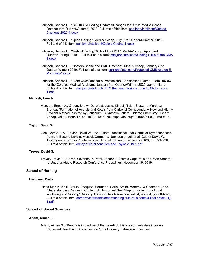- Johnson, Sandra L., "ICD-10-CM Coding Updates/Changes for 2020", Med-A-Scoop, October (4th Quarter/Autumn) 2019. Full-text of this item: [sanljohn/intellcont/Coding](https://www.digitalmeasures.com/login/indiana/faculty/survey/ui/showFile?file=c2FubGpvaG4vaW50ZWxsY29udC9Db2RpbmcgQ2hhbmdlcyAyMDIwLTEuZG9jeA%3D%3D&surId=17689471&nodeId=1610518&sdId=97855176&sdSurId=17689471&rptId=20226&sgntr=nPCRKizxnmYuG3G2HgtEY%2BQIBIw%3D)  [Changes 2020-1.docx](https://www.digitalmeasures.com/login/indiana/faculty/survey/ui/showFile?file=c2FubGpvaG4vaW50ZWxsY29udC9Db2RpbmcgQ2hhbmdlcyAyMDIwLTEuZG9jeA%3D%3D&surId=17689471&nodeId=1610518&sdId=97855176&sdSurId=17689471&rptId=20226&sgntr=nPCRKizxnmYuG3G2HgtEY%2BQIBIw%3D)
- Johnson, Sandra L., "Opiod Coding", Med-A-Scoop, July (3rd Quarter/Summer) 2019. Full-text of this item: [sanljohn/intellcont/Opioid Coding-1.docx](https://www.digitalmeasures.com/login/indiana/faculty/survey/ui/showFile?file=c2FubGpvaG4vaW50ZWxsY29udC9PcGlvaWQgQ29kaW5nLTEuZG9jeA%3D%3D&surId=17689471&nodeId=1610518&sdId=97855113&sdSurId=17689471&rptId=20226&sgntr=6Gx6Qasozn52T%2BuOce0t3gGzMsM%3D)
- Johnson, Sandra L., "Medical Coding Skills of the CMA", Med-A-Scoop, April (2nd Quarter/Spring) 2019. Full-text of this item: [sanljohn/intellcont/Coding Skills of the CMA-](https://www.digitalmeasures.com/login/indiana/faculty/survey/ui/showFile?file=c2FubGpvaG4vaW50ZWxsY29udC9Db2RpbmcgU2tpbGxzIG9mIHRoZSBDTUEtMS5kb2N4&surId=17689471&nodeId=1610518&sdId=97855053&sdSurId=17689471&rptId=20226&sgntr=IhWQjAquk1IQne10PfDVGMgk06U%3D)[1.docx](https://www.digitalmeasures.com/login/indiana/faculty/survey/ui/showFile?file=c2FubGpvaG4vaW50ZWxsY29udC9Db2RpbmcgU2tpbGxzIG9mIHRoZSBDTUEtMS5kb2N4&surId=17689471&nodeId=1610518&sdId=97855053&sdSurId=17689471&rptId=20226&sgntr=IhWQjAquk1IQne10PfDVGMgk06U%3D)
- Johnson, Sandra L.,, "Doctors Spoke and CMS Listened", Med-A-Scoop, January (1st Quarter/Winter) 2019. Full-text of this item[: sanljohn/intellcont/Proposed CMS rule on E-](https://www.digitalmeasures.com/login/indiana/faculty/survey/ui/showFile?file=c2FubGpvaG4vaW50ZWxsY29udC9Qcm9wb3NlZCBDTVMgcnVsZSBvbiBFLU0gY29kaW5nLTEuZG9j%0AeA%3D%3D&surId=17689471&nodeId=1610518&sdId=97854984&sdSurId=17689471&rptId=20226&sgntr=5D5BIrm5oqIU88BRbUAEl7OZzcg%3D)[M coding-1.docx](https://www.digitalmeasures.com/login/indiana/faculty/survey/ui/showFile?file=c2FubGpvaG4vaW50ZWxsY29udC9Qcm9wb3NlZCBDTVMgcnVsZSBvbiBFLU0gY29kaW5nLTEuZG9j%0AeA%3D%3D&surId=17689471&nodeId=1610518&sdId=97854984&sdSurId=17689471&rptId=20226&sgntr=5D5BIrm5oqIU88BRbUAEl7OZzcg%3D)
- Johnson, Sandra L., "Exam Questions for a Professional Certification Exam", Exam Review for the Certified Medical Assistant, January (1st Quarter/Winter) 2020. aama-ntl.org. Full-text of this item: [sanljohn/intellcont/TFTC Item submissions June 2019-Johnson-](https://www.digitalmeasures.com/login/indiana/faculty/survey/ui/showFile?file=c2FubGpvaG4vaW50ZWxsY29udC9URlRDIEl0ZW0gc3VibWlzc2lvbnMgSnVuZSAyMDE5LUpvaG5z%0Ab24tMS5kb2M%3D&surId=17689471&nodeId=1610518&sdId=97895420&sdSurId=17689471&rptId=20226&sgntr=EbrNLfIcPVh1VSWYDkyyVhMfcC0%3D)[1.doc](https://www.digitalmeasures.com/login/indiana/faculty/survey/ui/showFile?file=c2FubGpvaG4vaW50ZWxsY29udC9URlRDIEl0ZW0gc3VibWlzc2lvbnMgSnVuZSAyMDE5LUpvaG5z%0Ab24tMS5kb2M%3D&surId=17689471&nodeId=1610518&sdId=97895420&sdSurId=17689471&rptId=20226&sgntr=EbrNLfIcPVh1VSWYDkyyVhMfcC0%3D)

#### **Mensah, Enoch**

Mensah, Enoch A., Green, Shawn D., West, Jesse, Kindoll, Tyler, & Lazaro-Martinez, Brenda, "Formation of Acetals and Ketals from Carbonyl Compounds: A New and Highly Efficient Method Inspired by Palladium.", Synthetic Letters, Thieme Chemistry - Georg Verlag, vol 30, issue 15, pp. 1810 - 1814, doi: https://doi.org/10.1055/s-0039-1690497.

# **Taylor, David W.**

Gee, Carole T.,& Taylor, David W., "An Extinct Transitional Leaf Genus of Nymphaeaceae from the Eocene Lake at Messel, Germany: Nuphaea engelhardtii Gee et David W. Taylor gen. et sp. nov.", International Journal of Plant Sciences, vol 180, pp. 724-736, Full-text of this item: [dwtaylo2/intellcont/Gee and Taylor 2019-1.pdf](https://www.digitalmeasures.com/login/indiana/faculty/survey/ui/showFile?file=ZHd0YXlsbzIvaW50ZWxsY29udC9HZWUgYW5kIFRheWxvciAyMDE5LTEucGRm&surId=17689444&nodeId=1610518&sdId=88621334&sdSurId=17689444&rptId=20226&sgntr=RLTJ2zgETs48bk73JN7HIdOtaSo%3D)

# **Treves, David S.**

Treves, David S., Carrie, Savonna, & Patel, Landon, "Plasmid Capture in an Urban Stream", IU Undergraduate Research Conference Procedings, November 19, 2019.

# **School of Nursing**

#### **Hermann, Carla**

Hines-Martin, Vicki, Starks, Shaquita, Hermann, Carla, Smith, Montray, & Chatman, Jade, "Understanding Culture in Context: An Important Next Step for Patient Emotional Wellbeing and Nursing", Nursing Clinics of North America, vol 54, issue 4, pp. 609-623, Full-text of this item: [carherm/intellcont/Understanding culture in context final article \(1\)-](https://www.digitalmeasures.com/login/indiana/faculty/survey/ui/showFile?file=Y2FyaGVybS9pbnRlbGxjb250L1VuZGVyc3RhbmRpbmcgY3VsdHVyZSBpbiBjb250ZXh0IGZpbmFs%0AIGFydGljbGUgKDEpLTEucGRm&surId=18089183&nodeId=1610518&sdId=98030654&sdSurId=18089183&rptId=20226&sgntr=YMoCEYa5fapNqT5uCc%2FElUr%2BTvE%3D) [1.pdf](https://www.digitalmeasures.com/login/indiana/faculty/survey/ui/showFile?file=Y2FyaGVybS9pbnRlbGxjb250L1VuZGVyc3RhbmRpbmcgY3VsdHVyZSBpbiBjb250ZXh0IGZpbmFs%0AIGFydGljbGUgKDEpLTEucGRm&surId=18089183&nodeId=1610518&sdId=98030654&sdSurId=18089183&rptId=20226&sgntr=YMoCEYa5fapNqT5uCc%2FElUr%2BTvE%3D)

# **School of Social Sciences**

#### **Adam, Aimee S.**

Adam, Aimee S., "Beauty is in the Eye of the Beautiful: Enhanced Eyelashes increase Perceived Health and Attractiveness", Evolutionary Behavioral Sciences.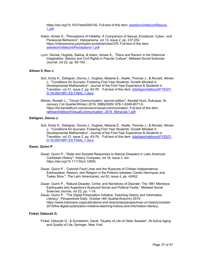https://doi.org/10.1037/ebs0000192. Full-text of this item: [asedison/intellcont/Beauty-](https://www.digitalmeasures.com/login/indiana/faculty/survey/ui/showFile?file=YXNlZGlzb24vaW50ZWxsY29udC9CZWF1dHktMS5wZGY%3D&surId=17998859&nodeId=1610518&sdId=97181582&sdSurId=17998859&rptId=20226&sgntr=kn07ZuUbIWeo%2B3cjbAtN9aamnWc%3D)[1.pdf](https://www.digitalmeasures.com/login/indiana/faculty/survey/ui/showFile?file=YXNlZGlzb24vaW50ZWxsY29udC9CZWF1dHktMS5wZGY%3D&surId=17998859&nodeId=1610518&sdId=97181582&sdSurId=17998859&rptId=20226&sgntr=kn07ZuUbIWeo%2B3cjbAtN9aamnWc%3D)

- Adam, Aimee S., "Perceptions of Infidelity: A Comparison of Sexual, Emotional, Cyber-, and Parasocial Behaviors", Interpersona, vol 13, issue 2, pp. 237-252. https://interpersona.psychopen.eu/article/view/376. Full-text of this item: [asedison/intellcont/Perceptions-1.pdf](https://www.digitalmeasures.com/login/indiana/faculty/survey/ui/showFile?file=YXNlZGlzb24vaW50ZWxsY29udC9QZXJjZXB0aW9ucy0xLnBkZg%3D%3D&surId=17998859&nodeId=1610518&sdId=97092697&sdSurId=17998859&rptId=20226&sgntr=aM54tvqotpiSbvuT6kdxjByywuo%3D)
- Lynn, Denise, Hughes, Sakina, & Adam, Aimee S.,, "Race and Racism in the Historical Imagination: Slavery and Civil Rights in Popular Culture", Midwest Social Sciences Journal, vol 22, pp. 85-100,

# **Allman II, Ron J.**

- Suh, Emily K., Dahlgren, Donna J., Hughes, Melanie E., Keefe, Thomas J., & Ronald, Allman J., "Conditions for Success: Fostering First Year Students' Growth Mindset in Developmental Mathematics", Journal of the First-Year Experience & Students in Transition, vol 31, issue 2, pp. 63-78. Full-text of this item: [ddahlgre/intellcont/FYESIT-](https://www.digitalmeasures.com/login/indiana/faculty/survey/ui/showFile?file=ZGRhaGxncmUvaW50ZWxsY29udC9GWUVTSVQtRC0xOC0wMDAxOFIxLkVTIEZJTkFMLTEuZG9jeA%3D%3D&surId=17689292&nodeId=1610518&sdId=88586590&sdSurId=17689292&rptId=20226&sgntr=yoo9%2FEJq43Rf6ct2zFf4VamInDo%3D)[D-18-00018R1.ES FINAL-1.docx](https://www.digitalmeasures.com/login/indiana/faculty/survey/ui/showFile?file=ZGRhaGxncmUvaW50ZWxsY29udC9GWUVTSVQtRC0xOC0wMDAxOFIxLkVTIEZJTkFMLTEuZG9jeA%3D%3D&surId=17689292&nodeId=1610518&sdId=88586590&sdSurId=17689292&rptId=20226&sgntr=yoo9%2FEJq43Rf6ct2zFf4VamInDo%3D)
- Allman, Ronald J.,, "Visual Communication, second edition", Kendall Hunt, Dubuque, IA, January (1st Quarter/Winter) 2019. ISBN/ISSN: 978-1-5249-8071-9, https://he.kendallhunt.com/product/visual-communication. Full-text of this item: [rallman/intellcont/VisualCommunication\\_2019\\_Allman3a-1.pdf](https://www.digitalmeasures.com/login/indiana/faculty/survey/ui/showFile?file=cmFsbG1hbi9pbnRlbGxjb250L1Zpc3VhbENvbW11bmljYXRpb25fMjAxOV9BbGxtYW4zYS0xLnBk%0AZg%3D%3D&surId=17689306&nodeId=1610518&sdId=88406620&sdSurId=17689306&rptId=20226&sgntr=z9E2aI6OQVxbx1xXzG0ngvcxwS4%3D)

# **Dahlgren, Donna J.**

Suh, Emily K., Dahlgren, Donna J., Hughes, Melanie E., Keefe, Thomas J., & Ronald, Allman J., "Conditions for Success: Fostering First Year Students' Growth Mindset in Developmental Mathematics", Journal of the First-Year Experience & Students in Transition, vol 31, issue 2, pp. 63-78. Full-text of this item: [ddahlgre/intellcont/FYESIT-](https://www.digitalmeasures.com/login/indiana/faculty/survey/ui/showFile?file=ZGRhaGxncmUvaW50ZWxsY29udC9GWUVTSVQtRC0xOC0wMDAxOFIxLkVTIEZJTkFMLTEuZG9jeA%3D%3D&surId=17689292&nodeId=1610518&sdId=88586590&sdSurId=17689292&rptId=20226&sgntr=yoo9%2FEJq43Rf6ct2zFf4VamInDo%3D)[D-18-00018R1.ES FINAL-1.docx](https://www.digitalmeasures.com/login/indiana/faculty/survey/ui/showFile?file=ZGRhaGxncmUvaW50ZWxsY29udC9GWUVTSVQtRC0xOC0wMDAxOFIxLkVTIEZJTkFMLTEuZG9jeA%3D%3D&surId=17689292&nodeId=1610518&sdId=88586590&sdSurId=17689292&rptId=20226&sgntr=yoo9%2FEJq43Rf6ct2zFf4VamInDo%3D)

# **Dauer, Quinn P.**

- Dauer, Quinn P., "State and Societal Responses to Natural Disasters in Latin American Caribbean History", History Compass, vol 18, issue 2. doi: https://doi.org/10.1111/hic3.12605.
- Dauer, Quinn P., "Colonial Fault Lines and the Ruptures of Chilean Independence: Earthquakes, Reason, and Religion in the Polemic between Camilo Henríquez and Tadeo Silva.", The Latin Americanist, vol 63, issue 4, pp. 42452.
- Dauer, Quinn P., "Natural Disaster, Crime, and Narratives of Disorder: The 1861 Mendoza Earthquake and Argentina's Ruptured Social and Political Faults." Midwest Social Sciences Journal, vol 22, pp. 1-19.
- Dauer, Quinn P., "The Digital Polarization Initiative: Teaching History and Information Literacy", Perspectives Daily. October (4th Quarter/Autumn) 2019. https://www.historians.org/publications-and-directories/perspectives-on-history/october-2019/the-digital-polarization-initiative-teaching-history-and-information-literacy.

# **Finkel, Deborah G.**

Finkel, Deborah G., & Sundström, Gerdt, "Quality of Life of Older Swedes", IN Active Aging and Quality of Life, Springer, New York.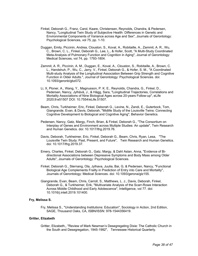- Finkel, Deborah G., Franz, Carol, Kaare, Christensen, Reynolds, Chandra, & Pedersen, Nancy, "Longitudinal Twin Study of Subjective Health: Differences in Genetic and Environmental Components of Variance across Age and Sex", Journals of Gerontology: Psychological Sciences, vol 75, pp. 1-10.
- Duggan, Emily, Piccinin, Andrea, Clouston, S., Koval, A., Robitaille, A., Zammit, A. R., Wu, C., Brown, C. L., Finkel, Deborah G., Lee, L., & Hofer, Scott, "A Multi-Study Coordinated Meta-Analysis of Pulmonary Function and Cognition in Aging", Journal of Gerontology: Medical Sciences, vol 74, pp. 1793-1804.
- Zammit, A. R., Piccinin, A. M., Duggan, E., Koval, A., Clouston, S., Robitaille, A., Brown, C. L., Handshuh, P., Wu, C., Jarry, V., Finkel, Deborah G., & Hofer, S. M., "A Coordinated Multi-study Analysis of the Longitudinal Association Between Grip Strength and Cognitive Function in Older Adults.", Journal of Gerontology: Psychological Sciences. doi: 10.1093/geronb/gbz072.
- Li, X, Ploner, A., Wang, Y., Magnusson, P. K. E., Reynolds, Chandra, G., Finkel, D., Pedersen, Nancy, Jylhävä, J., & Hägg, Sara, "Longitudinal Trajectories, Correlations and Mortality Associations of Nine Biological Ages across 20-years Follow-up", eLife 2020;9:e51507 DOI: 10.7554/eLife.51507.
- Beam, Chris, Turkheimer, Eric, Finkel, Deborah G., Levine, N., Zandi, E., Guterbock, Tom, Giangrande, Evan, & Davis, Deborah, "Midlife Study of the Louisville Twins: Connecting Cognitive Development to Biological and Cognitive Aging", Behavior Genetics.
- Pedersen, Nancy, Gatz, Margy, Finch, Brian, & Finkel, Deborah G., "The Consortium on Interplay of Genes and Environment across Multiple Studies: An update", Twin Research and Human Genetics. doi: 10.1017/thg.2019.76.
- Davis, Deborah, Turkheimer, Eric, Finkel, Deborah G., Beam, Chris, Ryan, Lesa, "The Louisville Twin Study: Past, Present, and Future", Twin Research and Human Genetics. doi: 10.1017/thg.2019.37.
- Emery, Charles, Finkel, Deborah G., Gatz, Margy, & Dahl Aslan, Anna, "Evidence of Bidirectional Associations between Depressive Symptoms and Body Mass among Older Adults", Journals of Gerontology: Psychological Sciences.
- Finkel, Deborah G., Sternang, Ola, Jylhava, Juulia, Bai, G, & Pedersen, Nancy, "Functional Biological Age Complements Frailty in Prediction of Entry into Care and Mortality", Journals of Gerontology: Medical Sciences. doi: 10.1093/gerona/glz155.
- Giangrande, Evan, Beam, Chris, Carroll, S., Matthews, L. J., Davis, Deborah, Finkel, Deborah G., & Turkheimer, Erik, "Multivariate Analysis of the Scarr-Rowe Interaction Across Middle Childhood and Early Adolescence", Intelligence, vol 77. doi: 10.1016/j.intell.2019.101400.

# **Fry, Melissa S.**

Fry, Melissa S., "Understanding Institutions: Education", Sociology in Action, 2nd Edition, SAGE, Thousand Oaks, CA, ISBN/ISSN: 978-1544356419.

#### **Gritter, Elizabeth**

Gritter, Elizabeth,, "Review of Mark Newman's Desegregating Dixie: The Catholic Church in the South and Desegregation, 1945-1992", Tennessee Historical Quarterly.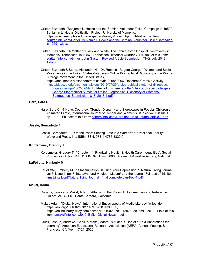- Gritter, Elizabeth, "Benjamin L. Hooks and the Seminal Volunteer Ticket Campaign in 1959", Benjamin L. Hooks Digitization Project, University of Memphis, https://www.memphis.edu/hookspapers/essays/index.php. Full-text of this item: [egritter/intellcont/Gritter\\_Benjamin L Hooks and the Seminal Volunteer Ticket Campaign](https://www.digitalmeasures.com/login/indiana/faculty/survey/ui/showFile?file=ZWdyaXR0ZXIvaW50ZWxsY29udC9Hcml0dGVyX0JlbmphbWluIEwgSG9va3MgYW5kIHRoZSBTZW1p%0AbmFsIFZvbHVudGVlciBUaWNrZXQgQ2FtcGFpZ24gaW4gMTk1OS0xLmRvY3g%3D&surId=17689295&nodeId=1610518&sdId=78274860&sdSurId=17689295&rptId=20226&sgntr=gE08tEysNEGYYwbh08eFcNkduB0%3D)  [in 1959-1.docx](https://www.digitalmeasures.com/login/indiana/faculty/survey/ui/showFile?file=ZWdyaXR0ZXIvaW50ZWxsY29udC9Hcml0dGVyX0JlbmphbWluIEwgSG9va3MgYW5kIHRoZSBTZW1p%0AbmFsIFZvbHVudGVlciBUaWNrZXQgQ2FtcGFpZ24gaW4gMTk1OS0xLmRvY3g%3D&surId=17689295&nodeId=1610518&sdId=78274860&sdSurId=17689295&rptId=20226&sgntr=gE08tEysNEGYYwbh08eFcNkduB0%3D)
- Gritter, Elizabeth,, "A Matter of Black and White: The John Gaston Hospital Controversy in Memphis, Tennessee, in 1956", Tennessee Historical Quarterly. Full-text of this item: [egritter/intellcont/Gritter\\_John Gaston\\_Revised Article Submission\\_THQ\\_July 2019-](https://www.digitalmeasures.com/login/indiana/faculty/survey/ui/showFile?file=ZWdyaXR0ZXIvaW50ZWxsY29udC9Hcml0dGVyX0pvaG4gR2FzdG9uX1JldmlzZWQgQXJ0aWNsZSBT%0AdWJtaXNzaW9uX1RIUV9KdWx5IDIwMTktMS5kb2N4&surId=17689295&nodeId=1610518&sdId=86851277&sdSurId=17689295&rptId=20226&sgntr=R%2F8ltzkFd4ZFVL1ae%2BkKY%2FrqV5k%3D) [1.docx](https://www.digitalmeasures.com/login/indiana/faculty/survey/ui/showFile?file=ZWdyaXR0ZXIvaW50ZWxsY29udC9Hcml0dGVyX0pvaG4gR2FzdG9uX1JldmlzZWQgQXJ0aWNsZSBT%0AdWJtaXNzaW9uX1RIUV9KdWx5IDIwMTktMS5kb2N4&surId=17689295&nodeId=1610518&sdId=86851277&sdSurId=17689295&rptId=20226&sgntr=R%2F8ltzkFd4ZFVL1ae%2BkKY%2FrqV5k%3D)
- Gritter, Elizabeth,& Stepp, Alexandra N., "Dr. Rebecca Rogers George", Women and Social Movements in the United States database's Online Biographical Dictionary of the Woman Suffrage Movement in the United States, https://documents.alexanderstreet.com/d/1009860006. Research/Creative Activity. [https://blogs.iu.edu/bicentennialblogs/2019/07/29/a-biographical-sketch-of-dr-rebecca](https://blogs.iu.edu/bicentennialblogs/2019/07/29/a-biographical-sketch-of-dr-rebecca-rogers-george-1862-1914/)[rogers-george-1862-1914/.](https://blogs.iu.edu/bicentennialblogs/2019/07/29/a-biographical-sketch-of-dr-rebecca-rogers-george-1862-1914/) Full-text of this item: [egritter/intellcont/Rebecca Rogers](https://www.digitalmeasures.com/login/indiana/faculty/survey/ui/showFile?file=ZWdyaXR0ZXIvaW50ZWxsY29udC9SZWJlY2NhIFJvZ2VycyBHZW9yZ2UgQmlvZ3JhcGhpY2FsIFNr%0AZXRjaCBmb3IgT25saW5lIEJpb2dyYXBoaWNhbCBEaWN0aW9uYXJ5IG9mIFdvbWVucyBTdWZmcmFn%0AZXR0ZXNfU3VibWlzc2lvbl84XzhfMjAxOC0xLnBkZg%3D%3D&surId=17689295&nodeId=1610518&sdId=86810238&sdSurId=17689295&rptId=20226&sgntr=%2FFpUSQb5Wglwt8MyfMVE1ypw1Vc%3D)  [George Biographical Sketch for Online Biographical Dictionary of Womens](https://www.digitalmeasures.com/login/indiana/faculty/survey/ui/showFile?file=ZWdyaXR0ZXIvaW50ZWxsY29udC9SZWJlY2NhIFJvZ2VycyBHZW9yZ2UgQmlvZ3JhcGhpY2FsIFNr%0AZXRjaCBmb3IgT25saW5lIEJpb2dyYXBoaWNhbCBEaWN0aW9uYXJ5IG9mIFdvbWVucyBTdWZmcmFn%0AZXR0ZXNfU3VibWlzc2lvbl84XzhfMjAxOC0xLnBkZg%3D%3D&surId=17689295&nodeId=1610518&sdId=86810238&sdSurId=17689295&rptId=20226&sgntr=%2FFpUSQb5Wglwt8MyfMVE1ypw1Vc%3D)  [Suffragettes\\_Submission\\_8\\_8\\_2018-1.pdf](https://www.digitalmeasures.com/login/indiana/faculty/survey/ui/showFile?file=ZWdyaXR0ZXIvaW50ZWxsY29udC9SZWJlY2NhIFJvZ2VycyBHZW9yZ2UgQmlvZ3JhcGhpY2FsIFNr%0AZXRjaCBmb3IgT25saW5lIEJpb2dyYXBoaWNhbCBEaWN0aW9uYXJ5IG9mIFdvbWVucyBTdWZmcmFn%0AZXR0ZXNfU3VibWlzc2lvbl84XzhfMjAxOC0xLnBkZg%3D%3D&surId=17689295&nodeId=1610518&sdId=86810238&sdSurId=17689295&rptId=20226&sgntr=%2FFpUSQb5Wglwt8MyfMVE1ypw1Vc%3D)

#### **Hare, Sara C.**

Hare, Sara C., & Hoke, Courtney, "Gender Disparity and Stereotypes in Popular Children's Animated Films", International Journal of Gender and Women's Studies vol 7, issue 1, pp. 1-14. Full-text of this item: [schare/intellcont/Hare and Hoke Journal article-1.doc](https://www.digitalmeasures.com/login/indiana/faculty/survey/ui/showFile?file=c2NoYXJlL2ludGVsbGNvbnQvSGFyZSBhbmQgSG9rZSBKb3VybmFsIGFydGljbGUtMS5kb2M%3D&surId=17689310&nodeId=1610518&sdId=96710990&sdSurId=17689310&rptId=20226&sgntr=SPTqzt%2BAw15G33vEzaMxYkM4HqM%3D)

#### **Jessie, Bernadette F.**

Jessie, Bernadette F., "On the Patio: Serving Time in a Women's Correctional Facility", Waveland Press, Inc. ISBN/ISSN: 978-1-4786-3820-9.

#### **Kordsmeier, Gregory T.**

Kordsmeier, Gregory T., "Chapter 14: Prioritizing Health & Health Care Inequalities", Social Problems in Action, ISBN/ISSN: 9781544338668. Research/Creative Activity, National.

#### **LaFollette, Kimberly M.**

LaFollette, Kimberly M., "Is Inflammation Causing Your Depression?", Natural Living Journal, vol 5, issue 1, pp. 7, https://naturallivingjournal.com/read-the-journal. Full-text of this item: [kms3/intellcont/Natural living Journal final complete Jan-Feb-1.pdf](https://www.digitalmeasures.com/login/indiana/faculty/survey/ui/showFile?file=a21zMy9pbnRlbGxjb250L05hdHVyYWwgbGl2aW5nIEpvdXJuYWwgIGZpbmFsIGNvbXBsZXRlIEph%0Abi1GZWItMS5wZGY%3D&surId=17881742&nodeId=1610518&sdId=98049315&sdSurId=17881742&rptId=20226&sgntr=PmLpmbsSYthSNR6DFVwC09mJzaM%3D)

#### **Maksl, Adam**

Roberts, Jessica, & Maksl, Adam, "Attacks on the Press: A Documentary and Reference Guide", ABC-CLIO, Santa Barbara, California.

Maksl, Adam, "Digital News", International Encyclopedia of Media Literacy, Wiley. doi: https://doi.org/10.1002/9781118978238.ieml0055, https://onlinelibrary.wiley.com/doi/abs/10.1002/9781118978238.ieml0055. Full-text of this item: [amaksl/intellcont/2019 IEML -](https://www.digitalmeasures.com/login/indiana/faculty/survey/ui/showFile?file=YW1ha3NsL2ludGVsbGNvbnQvMjAxOSBJRU1MIC0gRGlnaXRhbCBOZXdzLTEucGRm&surId=17689287&nodeId=1610518&sdId=69402157&sdSurId=17689287&rptId=20226&sgntr=6N%2B9AgAyqvlddFJOEZWmYoaq98c%3D) Digital News-1.pdf

Quick, Joshua, Andrews, Chris, & Maksl, Adam,, "Students' Use of e-Text Annotations for Learning", American Educational Research Association (AERA) Annual Meeting, San Francisco, CA (April 17-21, 2020).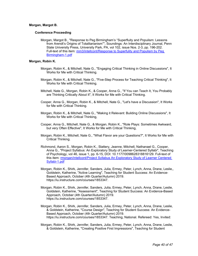# **Morgan, Margot B.**

#### **Conference Proceeding**

Morgan, Margot B., "Response to Peg Birmingham's "Superfluity and Populism: Lessons from Arendt's Origins of Totalitarianism"", Soundings: An Interdisciplinary Journal, Penn State University Press, University Park, PA, vol 102, issue Nos. 2-3, pp. 196-202. Full-text of this item: [mm3/intellcont/Response to Superfulity and Populism by Peg](https://www.digitalmeasures.com/login/indiana/faculty/survey/ui/showFile?file=bW0zL2ludGVsbGNvbnQvUmVzcG9uc2UgdG8gU3VwZXJmdWxpdHkgYW5kIFBvcHVsaXNtIGJ5IFBl%0AZyBCaXJtaW5naGFtLTEucGRm&surId=17689304&nodeId=1610518&sdId=88557010&sdSurId=17689304&rptId=20226&sgntr=brt%2FHxwWpyeTFwH25CxWj4IsHNk%3D)  [Birmingham-1.pdf](https://www.digitalmeasures.com/login/indiana/faculty/survey/ui/showFile?file=bW0zL2ludGVsbGNvbnQvUmVzcG9uc2UgdG8gU3VwZXJmdWxpdHkgYW5kIFBvcHVsaXNtIGJ5IFBl%0AZyBCaXJtaW5naGFtLTEucGRm&surId=17689304&nodeId=1610518&sdId=88557010&sdSurId=17689304&rptId=20226&sgntr=brt%2FHxwWpyeTFwH25CxWj4IsHNk%3D)

#### **Morgan, Robin K.**

- Morgan, Robin K., & Mitchell, Nate G., "Engaging Critical Thinking in Online Discussions", It Works for Me with Critical Thinking.
- Morgan, Robin K., & Mitchell, Nate G., "Five-Step Process for Teaching Critical Thinking", It Works for Me with Critical Thinking.
- Mitchell, Nate G., Morgan, Robin K., & Cooper, Anna G., "If You can Teach It, You Probably are Thinking Critically About It", It Works for Me with Critical Thinking.
- Cooper, Anna G., Morgan, Robin K., & Mitchell, Nate G., "Let's have a Discussion", It Works for Me with Critical Thinking.
- Morgan, Robin K., & Mitchell, Nate G., "Making it Relevant: Building Online Discussions", It Works for Me with Critical Thinking,
- Cooper, Anna G., Mitchell, Nate G., & Morgan, Robin K., "Role Plays: Sometimes Awkward, but very Often Effective", It Works for Me with Critical Thinking,
- Morgan, Robin K., Mitchell, Nate G., "What Flavor are your Questions?", It Works for Me with Critical Thinking.
- Richmond, Aaron S., Morgan, Robin K., Slattery, Jeanne, Mitchell, Nathanael G., Cooper, Anna G., "Project Syllabus: An Exploratory Study of Learner-Centered Syllabi", Teaching of Psychology, vol 46, issue 1, pp. 6-15, DOI: 10.1177/0098628318816129. Full-text of this item: [rmorgan/intellcont/Project Syllabus An Exploratory Study of Learner Centered](https://www.digitalmeasures.com/login/indiana/faculty/survey/ui/showFile?file=cm1vcmdhbi9pbnRlbGxjb250L1Byb2plY3QgU3lsbGFidXMgQW4gRXhwbG9yYXRvcnkgU3R1ZHkg%0Ab2YgTGVhcm5lciBDZW50ZXJlZCBTeWxsYWJpLTEucGRm&surId=17689307&nodeId=1610518&sdId=68303513&sdSurId=17689307&rptId=20226&sgntr=%2FlEtozx56v7bIVuaLl8YLNOiLNs%3D)  [Syllabi-1.pdf](https://www.digitalmeasures.com/login/indiana/faculty/survey/ui/showFile?file=cm1vcmdhbi9pbnRlbGxjb250L1Byb2plY3QgU3lsbGFidXMgQW4gRXhwbG9yYXRvcnkgU3R1ZHkg%0Ab2YgTGVhcm5lciBDZW50ZXJlZCBTeWxsYWJpLTEucGRm&surId=17689307&nodeId=1610518&sdId=68303513&sdSurId=17689307&rptId=20226&sgntr=%2FlEtozx56v7bIVuaLl8YLNOiLNs%3D)
- Morgan, Robin K., Shirk, Jennifer, Sanders, Julia, Ermey, Peter, Lynch, Anna, Drane, Leslie,, Goldstein, Katherine, "Active Learning", Teaching for Student Success: An Evidence-Based Approach, October (4th Quarter/Autumn) 2019. https://iu.instructure.com/courses/1853347.
- Morgan, Robin K., Shirk, Jennifer, Sanders, Julia, Ermey, Peter, Lynch, Anna, Drane, Leslie, Goldstein, Katherine, "Assessment", Teaching for Student Success: An Evidence-Based Approach, October (4th Quarter/Autumn) 2019. https://iu.instructure.com/courses/1853347.
- Morgan, Robin K., Shirk, Jennifer, Sanders, Julia, Ermey, Peter, Lynch, Anna, Drane, Leslie, & Goldstein, Katherine, "Course Design", Teaching for Student Success: An Evidence-Based Approach, October (4th Quarter/Autumn) 2019. https://iu.instructure.com/courses/1853347. Teaching, National. Refereed: Yes, Invited:
- Morgan, Robin K., Shirk, Jennifer, Sanders, Julia, Ermey, Peter, Lynch, Anna, Drane, Leslie, & Goldstein, Katherine, "Creating Positive First Impressions", Teaching for Student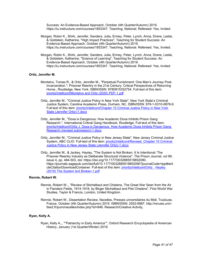Success: An Evidence-Based Approach, October (4th Quarter/Autumn) 2019. https://iu.instructure.com/courses/1853347. Teaching, National. Refereed: Yes, Invited:

- Morgan, Robin K., Shirk, Jennifer, Sanders, Julia, Ermey, Peter, Lynch, Anna, Drane, Leslie, & Goldstein, Katherine, "High Impact Practices", Teaching for Student Success: An Evidence-Based Approach, October (4th Quarter/Autumn) 2019. https://iu.instructure.com/courses/1853347. Teaching, National. Refereed: Yes, Invited:
- Morgan, Robin K., Shirk, Jennifer, Sanders, Julia, Ermey, Peter, Lynch, Anna, Drane, Leslie, & Goldstein, Katherine, "Science of Learning", Teaching for Student Success: An Evidence-Based Approach, October (4th Quarter/Autumn) 2019. https://iu.instructure.com/courses/1853347. Teaching, National. Refereed: Yes, Invited:

# **Ortiz, Jennifer M.**

- Montalvo, Tomas R., & Ortiz, Jennifer M., "Perpetual Punishment: One Man's Journey Post-Incarceration.", Prisoner Reentry in the 21st Century: Critical Perspectives of Returning Home., Routledge, New York. ISBN/ISSN: 9780815352754. Full-text of this item: imortiz/intellcont/Montalvo and Ortiz (2020) PDF-1.pdf
- Ortiz, Jennifer M., "Criminal Justice Policy in New York State", New York State's Criminal Justice System, Carolina Academic Press, Durham, NC, ISBN/ISSN: 978-1-5310-0878-9. Full-text of this item: [jmortiz/intellcont/Chapter 10 Criminal Justice Policy in New York](https://www.digitalmeasures.com/login/indiana/faculty/survey/ui/showFile?file=am1vcnRpei9pbnRlbGxjb250L0NoYXB0ZXIgMTAgQ3JpbWluYWwgSnVzdGljZSBQb2xpY3kgaW4g%0ATmV3IFlvcmsgU3RhdGUgKEplbm5pZmVyIE9ydGl6KS0xLmRvY3g%3D&surId=17829050&nodeId=1610518&sdId=82893477&sdSurId=17829050&rptId=20226&sgntr=2Z4Iu2S7aHJJGbHuHgiXAYuAgzE%3D)  [State \(Jennifer Ortiz\)-1.docx](https://www.digitalmeasures.com/login/indiana/faculty/survey/ui/showFile?file=am1vcnRpei9pbnRlbGxjb250L0NoYXB0ZXIgMTAgQ3JpbWluYWwgSnVzdGljZSBQb2xpY3kgaW4g%0ATmV3IFlvcmsgU3RhdGUgKEplbm5pZmVyIE9ydGl6KS0xLmRvY3g%3D&surId=17829050&nodeId=1610518&sdId=82893477&sdSurId=17829050&rptId=20226&sgntr=2Z4Iu2S7aHJJGbHuHgiXAYuAgzE%3D)
- Ortiz, Jennifer M., "Doxa is Dangerous: How Academic Doxa Inhibits Prison Gang Research.", International Critical Gang Handbook, Routledge. Full-text of this item: [jmortiz/intellcont/Ortiz J. Doxa is Dangerous\\_How Academic Doxa Inhibits Prison Gang](https://www.digitalmeasures.com/login/indiana/faculty/survey/ui/showFile?file=am1vcnRpei9pbnRlbGxjb250L09ydGl6IEouIERveGEgaXMgRGFuZ2Vyb3VzX0hvdyBBY2FkZW1p%0AYyBEb3hhIEluaGliaXRzIFByaXNvbiBHYW5nIFJlc2VhcmNoIChyZXZpc2VkIHN1Ym1pc3Npb24p%0ALTEuZG9jeA%3D%3D&surId=17829050&nodeId=1610518&sdId=96778607&sdSurId=17829050&rptId=20226&sgntr=lIr6JHeRX3FAxp1ZI1nS2M5ZOvk%3D)  [Research \(revised submission\)-1.docx](https://www.digitalmeasures.com/login/indiana/faculty/survey/ui/showFile?file=am1vcnRpei9pbnRlbGxjb250L09ydGl6IEouIERveGEgaXMgRGFuZ2Vyb3VzX0hvdyBBY2FkZW1p%0AYyBEb3hhIEluaGliaXRzIFByaXNvbiBHYW5nIFJlc2VhcmNoIChyZXZpc2VkIHN1Ym1pc3Npb24p%0ALTEuZG9jeA%3D%3D&surId=17829050&nodeId=1610518&sdId=96778607&sdSurId=17829050&rptId=20226&sgntr=lIr6JHeRX3FAxp1ZI1nS2M5ZOvk%3D)
- Ortiz, Jennifer M., "Criminal Justice Policy in New Jersey State", New Jersey Criminal Justice System, ABC CLIO. Full-text of this item: jmortiz/intellcont/Revised Chapter 10 Criminal [Justice Policy in New Jersey State \(Jennifer Ortiz\)-1.docx](https://www.digitalmeasures.com/login/indiana/faculty/survey/ui/showFile?file=am1vcnRpei9pbnRlbGxjb250L1JldmlzZWRfQ2hhcHRlciAxMCBDcmltaW5hbCBKdXN0aWNlIFBv%0AbGljeSBpbiBOZXcgSmVyc2V5IFN0YXRlIChKZW5uaWZlciBPcnRpeiktMS5kb2N4&surId=17829050&nodeId=1610518&sdId=96778505&sdSurId=17829050&rptId=20226&sgntr=0XdBYlRLUci9YiW9ZuV9GdNdo8M%3D)
- Ortiz, Jennifer M., & Jackey, Hayley, "The System is Not Broken, It Is Intentional: The Prisoner Reentry Industry as Deliberate Structural Violence", The Prison Journal, vol 99, issue 4, pp. 484-503, doi: https://doi.org/10.1177/0032885519852090, https://journals.sagepub.com/doi/full/10.1177/0032885519852090?journalCode=tpjd#arti cleCitationDownloadContainer. Full-text of this item: [jmortiz/intellcont/Ortiz Hayley](https://www.digitalmeasures.com/login/indiana/faculty/survey/ui/showFile?file=am1vcnRpei9pbnRlbGxjb250L09ydGl6ICBIYXlsZXkgKDIwMTkpIFRoZSBTeXN0ZW0gSXNudCBC%0Acm9rZW4tMS5wZGY%3D&surId=17829050&nodeId=1610518&sdId=96778285&sdSurId=17829050&rptId=20226&sgntr=MZW%2FJ3QQmF0GFaeaqLQHb2ygsk4%3D)  [\(2019\) The System Isnt Broken-1.pdf](https://www.digitalmeasures.com/login/indiana/faculty/survey/ui/showFile?file=am1vcnRpei9pbnRlbGxjb250L09ydGl6ICBIYXlsZXkgKDIwMTkpIFRoZSBTeXN0ZW0gSXNudCBC%0Acm9rZW4tMS5wZGY%3D&surId=17829050&nodeId=1610518&sdId=96778285&sdSurId=17829050&rptId=20226&sgntr=MZW%2FJ3QQmF0GFaeaqLQHb2ygsk4%3D)

#### **Rennie, Robert W.**

- Rennie, Robert W.,, "Review of Stichelbaut and Chielens, The Great War Seen from the Air in Flanders Fields, 1914-1918, by Birger Stichelbaut and Piet Chielens", First World War Studies, Taylor & Francis, London, United Kingdom.
- Rennie, Robert W., Dissertation Review, Nacelles, Presses universitaires du Midi, Toulouse, France. October (4th Quarter/Autumn) 2019. ISBN/ISSN: 2552-6987, http://revues.univtlse2.fr/pum/nacelles/index.php?id=846. Research/Creative Activity,

# **Ryan, Kelly A.**

Ryan, Kelly A.,, ""Patriarchy in Early America"", Oxford Research Encyclopedia of American History, January (1st Quarter/Winter) 2019.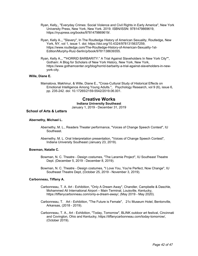- Ryan, Kelly,, "Everyday Crimes: Social Violence and Civil Rights in Early America", New York University Press, New York, New York. 2019. ISBN/ISSN: 9781479869619, https://nyupress.org/books/9781479869619/.
- Ryan, Kelly A.,, "Slavery", In The Routledge History of American Sexuality, Routledge, New York, NY, vol 1, issue 1. doi: https://doi.org/10.4324/9781315637259, https://www.routledge.com/The-Routledge-History-of-American-Sexuality-1st-Edition/Murphy-Ruiz-Serlin/p/book/9781138639355.
- Ryan, Kelly A.,, ""HORRID BARBARITY:" A Trial Against Slaveholders In New York City"", Gotham: A Blog for Scholars of New York History, New York, New York, https://www.gothamcenter.org/blog/horrid-barbarity-a-trial-against-slaveholders-in-newyork-city.

# **Wille, Diane E.**

Mamatova, Makhinur, & Wille, Diane E., "Cross-Cultural Study of Historical Effects on Emotional Intelligence Among Young Adults.", Psychology Research, vol 9 (6), issue 6, pp. 235-242. doi: 10.17265/2159-5542/2019.06.001.

# **Creative Works Indiana University Southeast** January 1, 2019 - December 31, 2019

# **School of Arts & Letters**

#### **Abernethy, Michael L.**

- Abernethy, M. L., Readers Theater performance, "Voices of Change Speech Contest", IU Southeast.
- Abernethy, M. L. Oral Interpretation presentation, "Voices of Change Speech Contest", Indiana University Southeast (January 23, 2019).

#### **Bowman, Natalie C.**

- Bowman, N. C. Theatre Design costumes, "The Laramie Project", IU Southeast Theatre Dept. (December 5, 2019 - December 8, 2019).
- Bowman, N. C. Theatre Design costumes, "I Love You, You're Perfect, Now Change", IU Southeast Theatre Dept, (October 25, 2019 - November 3, 2019).

#### **Carbonneau, Tiffany A.**

- Carbonneau, T. A. Art Exhibition, "Only A Dream Away", Chandler, Campbelle & Daschle, Mohammed Ali International Airport – Main Terminal, Louisville, Kentucky, https://tiffanycarbonneau.com/only-a-dream-away/, (May 2019 - May 2020).
- Carbonneau, T. Art Exhibition, "The Future is Female", 21c Museum Hotel, Bentonville, Arkansas, (2018 - 2019).
- Carbonneau, T. A., Art Exhibition, "Today, Tomorrow", BLINK outdoor art festival, Cincinnati and Covington, Ohio and Kentucky, https://tiffanycarbonneau.com/today-tomorrow/, (October 2019).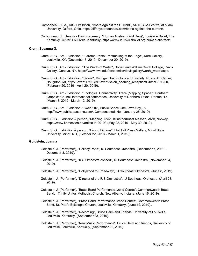- Carbonneau, T. A., Art Exhibition, "Boats Against the Current", ARTECHA Festival at Miami University, Oxford, Ohio, https://tiffanycarbonneau.com/boats-against-the-current/,
- Carbonneau, T. Theatre Design scenery, "Human Abstract (2nd Run)", Louisville Ballet, The Kentucky Center, Louisville, Kentucky, https://www.louisvilleballet.org/human-abstract/,

#### **Crum, Susanna G.**

- Crum, S. G., Art Exhibition, "Extreme Prints: Printmaking at the Edge", Kore Gallery, Louisville, KY, (December 7, 2019 - December 29, 2019).
- Crum, S. G., Art Exhibition, "The Worth of Water", Hobart and William Smith College, Davis Gallery, Geneva, NY, https://www.hws.edu/academics/davisgallery/worth\_water.aspx,
- Crum, S. G., Art Exhibition, "Salon!", Michigan Technological University, Rosza Art Center, Houghton, MI, https://events.mtu.edu/event/salon\_opening\_reception#.XkcnC5NKjUI,. (February 20, 2019 - April 20, 2019).
- Crum, S. G., Art Exhibition, "Ecological Connectivity: Trace (Mapping Space)", Southern Graphics Council International conference, University of Northern Texas, Denton, TX, (March 8, 2019 - March 12, 2019).
- Crum, S. G., Art Exhibition, "Sweet 16", Public Space One, Iowa City, IA, http://www.publicspaceone.com/, Compensated: No. (January 26, 2019).
- Crum, S. G., Exhibition-2 person, "Mapping Alvik", Kunstnarhuset Messen, Alvik, Norway, https://www.khmessen.no/artists-in-2019/, (May 22, 2019 - May 30, 2019).
- Crum, S. G., Exhibition-2 person, "Found Fictions", Flat Tail Press Gallery, Minot State University, Minot, ND, (October 22, 2018 - March 1, 2019).

#### **Goldstein, Joanna**

- Goldstein, J. (Performer), "Holiday Pops", IU Southeast Orchestra, (December 7, 2019 December 8, 2019).
- Goldstein, J. (Performer), "IUS Orchestra concert", IU Southeast Orchestra, (November 24, 2019).
- Goldstein, J. (Performer), "Hollywood to Broadway", IU Southeast Orchestra, (June 8, 2019).
- Goldstein, J. (Performer), "Director of the IUS Orchestra", IU Southeast Orchestra, (April 28, 2019).
- Goldstein, J. (Performer), "Brass Band Performance- 2cnd Cornet", Commonwealth Brass Band, Trinity Unites Methodist Church, New Albany, Indiana, (June 16, 2019).
- Goldstein, J. (Performer), "Brass Band Performance- 2cnd Cornet", Commonwealth Brass Band, St. Paul's Episcopal Church, Louisville, Kentucky, (June 12, 2019)..
- Goldstein, J. (Performer), "Recording", Bruce Heim and Friends, University of Louisville, Louisville, Kentucky, (September 23, 2019).
- Goldstein, J. (Performer), "New Music Performance", Bruce Heim and friends, University of Louisville, Louisville, Kentucky, (September 22, 2019).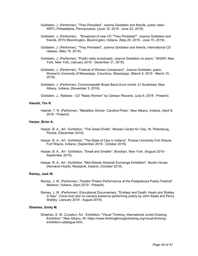- Goldstein, J. (Performer), "They Persisted", Joanna Goldstein and friends, public radio WRTI, Philadelphia, Pennsylvania, (June 16, 2019 - June 23, 2019).
- Goldstein, J. (Performer), "Broadcast of new CD "They Persisted"", Joanna Goldstein and friends, WTIU Bloomington, Bloomington, Indiana, (May 20, 2019 - June 15, 2019).
- Goldstein, J. (Performer), "They Persisted", Joanna Goldstein and friends, International CD release, (May 19, 2019).
- Goldstein, J. (Performer), "Public radio broadcasts, Joanna Goldstein on piano," WQXR, New York, New York, (January 2019 - December 31, 2019).
- Goldstein, J. (Performer), "Festival of Women Composers", Joanna Goldstein, piano, Women's University of Mississippi, Columbus, Mississippi, (March 6, 2019 - March 10, 2019).
- Goldstein, J. (Performer), Commonwealth Brass Band-2cnd cornet, IU Southeast, New Albany, Indiana, (November 3, 2019).
- Goldstein, J., Release CD "Nasty Women" by Centaur Records, (July 6, 2018 Present).

#### **Haertel, Tim R.**

Haertel, T. R. (Performer), "Medallion Dinner- Carolina Pines", New Albany, Indiana, (April 9, 2016 - Present).

#### **Harper, Brian A.**

- Harper, B. A., Art Exhibition, "The Great Divide", Morean Center for Clay, St. Petersburg, Florida, (December 2019).
- Harper, B. A., Art Exhibition, "The State of Clay in Indiana", Purdue University Fort Wayne, Fort Wayne, Indiana, (September 2019 - October 2019).
- Harper, B. A., Art Exhibition, "Small and Smaller", Brooklyn, New York, (August 2019 September 2019).
- Harper, B. A., Art Exhibition, "Mid-Atlantic Keramik Exchange Exhibition", Nordic House (Norræna Húsið), Reykjavik, Iceland, (October 2019).

#### **Ramey, Jack W.**

- Ramey, J. W. (Performer), Theatre "Poetry Performance at the Poetpalooza Poetry Festival", Madison, Indiana, (April 2019 - Present).
- Ramey, J. W. (Performer), Educational Documentary, "Ecstasy and Death: Keats and Shelley in Italy", Voice-over and on-camera presence performing poetry by John Keats and Percy Shelley. (January 2019 - August 2019).

#### **Sheehan, Emily M.**

Sheehan, E. M. (Curator), Art - Exhibition, "Visual Thinking: International Juried Drawing Exhibition:" New Albany, IN. https://www.thinkingthroughdrawing.org/visual-thinkingexhibition-catalogue.html,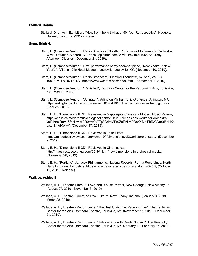# **Stallard, Donna L.**

Stallard, D. L., Art - Exhibition, "View from the Art Village: 50 Year Retrospective", Haggerty Gallery, Irving, TX, (2017 - Present).

#### **Stem, Erich H.**

- Stem, E. (Composer/Author), Radio Broadcast, "Portland", Janacek Philharmonic Orchestra, WMNR studios, Monroe, CT, https://spinitron.com/WMNR/pl/10011955/Saturday-Afternoon-Classics, (December 21, 2019).
- Stem, E. (Composer/Author), Prof. performance of my chamber piece, "New Year's", "New Year's", A/Tonal, 21c Hotel Museum Louisville, Louisville, KY, (November 10, 2019).
- Stem, E. (Composer/Author), Radio Broadcast, "Fleeting Thoughts", A/Tonal, WCHQ 100.9FM, Louisville, KY, https://www.wchqfm.com/index.html, (September 1, 2019).
- Stem, E. (Composer/Author), "Revisited", Kentucky Center for the Performing Arts, Louisville, KY, (May 18, 2019).
- Stem, E. (Composer/Author), "Arlington", Arlington Philharmonic Orchestra, Arlington, MA, https://arlington.wickedlocal.com/news/20190418/philharmonic-society-of-arlington-to- (April 28, 2019).
- Stem, E. H., "Dimensions II CD", Reviewed in Gapplegate Classical Modern Music Review, https://classicalmodernmusic.blogspot.com/2019/10/dimensions-works-for-orchestravol2.html?m=1&fbclid=IwAR0mw9x7Tp8CdmMPr9Z8FVLmPDcKYMeiFbRAVvrn0I6nHXs baz4ZmgIKwwY, (December 17, 2019).
- Stem, E. H., "Dimensions II CD", Reviewed in Take Effect, https://takeeffectreviews.com/reviews-19#/dimensionsvol2worksfororchestra/, (December 9, 2019).
- Stem, E. H., "Dimensions II CD", Reviewed in Cinemusical, http://maestrosteve.xanga.com/2019/11/11/new-dimensions-in-orchestral-music/, (November 20, 2019).
- Stem, E. H., "Portland", Janacek Philharmonic, Navona Records, Parma Recordings, North Hampton, New Hampshire, https://www.navonarecords.com/catalog/nv6251/, (October 11, 2019 - Release).

#### **Wallace, Ashley E.**

- Wallace, A. E., Theatre-Direct, "I Love You, You're Perfect, Now Change", New Albany, IN, (August 27, 2019 - November 3, 2019).
- Wallace, A. E. Theatre Direct, "As You Like It", New Albany, Indiana, (January 9, 2019 March 28, 2019).
- Wallace, A. E., Theatre Performance, "The Best Christmas Pageant Ever", The Kentucky Center for the Arts- Bomhard Theatre, Louisville, KY, (November 11, 2019 - December 21, 2019).
- Wallace, A. E., Theatre Performance, "Tales of a Fourth Grade Nothing", The Kentucky Center for the Arts- Bomhard Theatre, Louisville, KY, (January 4, - February 15, 2019).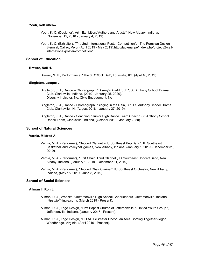# **Yeoh, Kok Cheow**

- Yeoh, K. C. (Designer), Art Exhibition,"Authors and Artists", New Albany, Indiana, (November 15, 2018 - January 4, 2019).
- Yeoh, K. C. (Exhibitor), "The 2nd International Poster Competition", The Peruvian Design Biennial, Callao, Peru, (April 2019 - May 2019).http://labienal.pe/index.php/project/2-callinternational-poster-competition/.

# **School of Education**

#### **Brewer, Neil H.**

Brewer, N. H., Performance, "The 8 O'Clock Bell", Louisville, KY, (April 18, 2019).

#### **Singleton, Jacque J.**

- Singleton, J. J., Dance Choreograph, "Disney's Aladdin, Jr.", St. Anthony School Drama Club, Clarksville, Indiana, (2019 - January 25, 2020). Diversity Indicator: No, Civic Engagement: No
- Singleton, J. J., Dance Choreograph, "Singing in the Rain, Jr.", St. Anthony School Drama Club, Clarksville, IN, (August 2018 - January 27, 2019).
- Singleton, J. J., Dance Coaching, "Junior High Dance Team Coach", St. Anthony School Dance Team, Clarksville, Indiana, (October 2019 - January 2020).

# **School of Natural Sciences**

#### **Vernia, Mildred A.**

- Vernia, M. A. (Performer), "Second Clarinet IU Southeast Pep Band", IU Southeast Basketball and Volleyball games, New Albany, Indiana, (January 1, 2019 - December 31, 2019).
- Vernia, M. A. (Performer), "First Chair, Third Clarinet", IU Southeast Concert Band, New Albany, Indiana, (January 1, 2019 - December 31, 2019).
- Vernia, M. A. (Performer), "Second Chair Clarinet", IU Southeast Orchestra, New Albany, Indiana, (May 15, 2019 - June 8, 2019).

# . **School of Social Sciences**

#### **Allman II, Ron J.**

- Allman, R. J., Website, "Jeffersonville High School Cheerleaders', Jeffersonville, Indiana, https://jeff-jingle.com/, (March 2019 - Present).
- Allman, R. J., Logo Design, "First Baptist Church of Jeffersonville & United Youth Group ", Jeffersonville, Indiana, (January 2017 - Present).
- Allman, R. J., Logo Design, "GO ACT (Greater Occoquan Area Coming Together) logo", Woodbridge, Virginia, (April 2016 - Present).